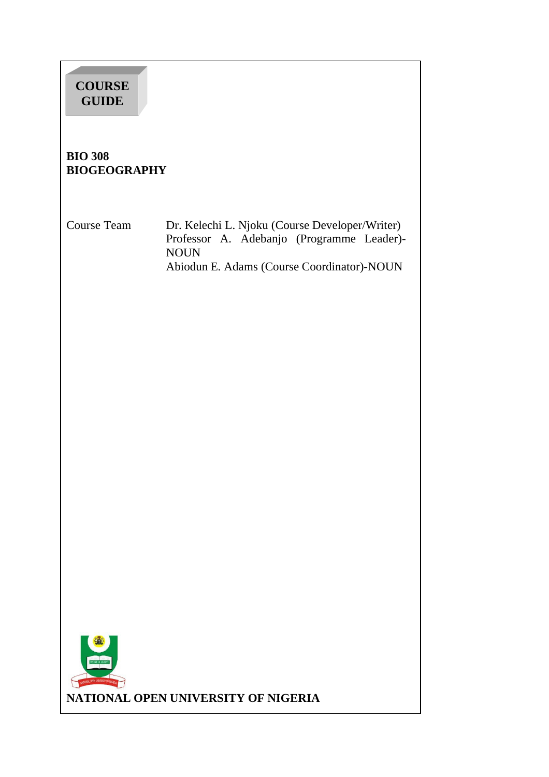# **COURSE GUIDE**

#### **BIO 308 BIOGEOGRAPHY**

Course Team Dr. Kelechi L. Njoku (Course Developer/Writer) Professor A. Adebanjo (Programme Leader)- NOUN Abiodun E. Adams (Course Coordinator)-NOUN

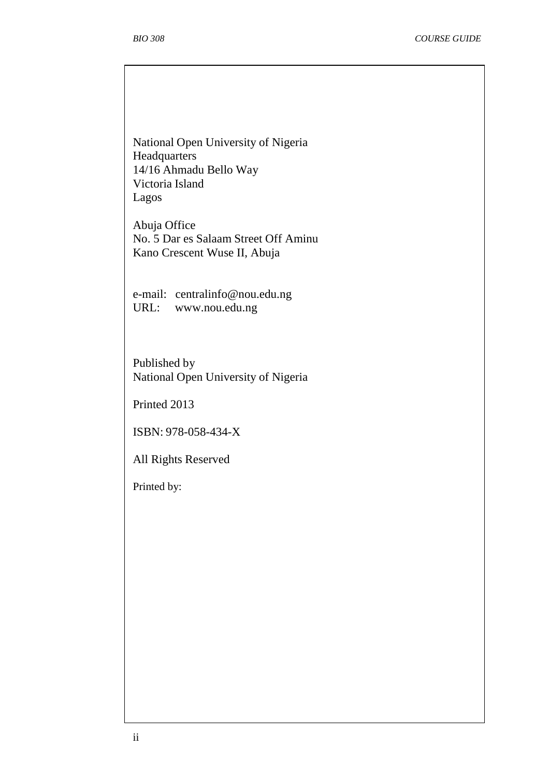National Open University of Nigeria **Headquarters** 14/16 Ahmadu Bello Way Victoria Island Lagos

Abuja Office No. 5 Dar es Salaam Street Off Aminu Kano Crescent Wuse II, Abuja

e-mail: centralinfo@nou.edu.ng URL: www.nou.edu.ng

Published by National Open University of Nigeria

Printed 2013

ISBN: 978-058-434-X

All Rights Reserved

Printed by: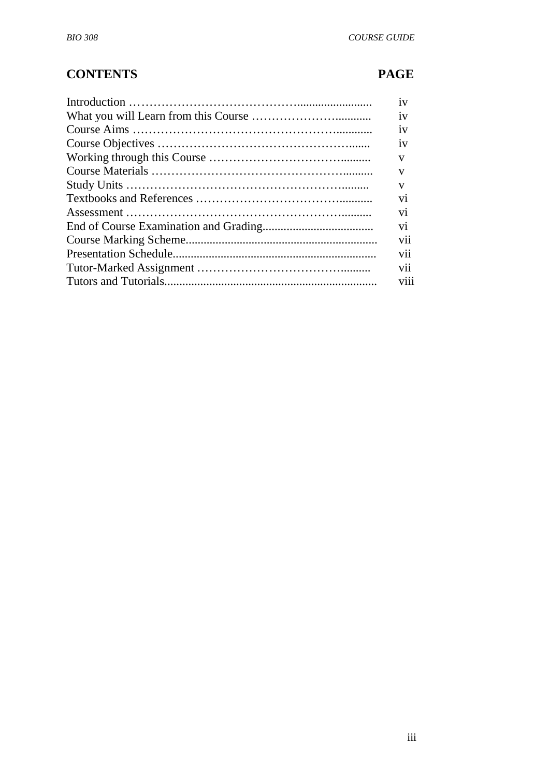## **CONTENTS PAGE**

| 1V                      |
|-------------------------|
| 1V                      |
| 1V                      |
| 1V                      |
| V                       |
| V                       |
| V                       |
| V <sub>1</sub>          |
| V <sub>1</sub>          |
| $\overline{\mathbf{v}}$ |
| V11                     |
| V11                     |
| V11                     |
| V <sub>11</sub>         |
|                         |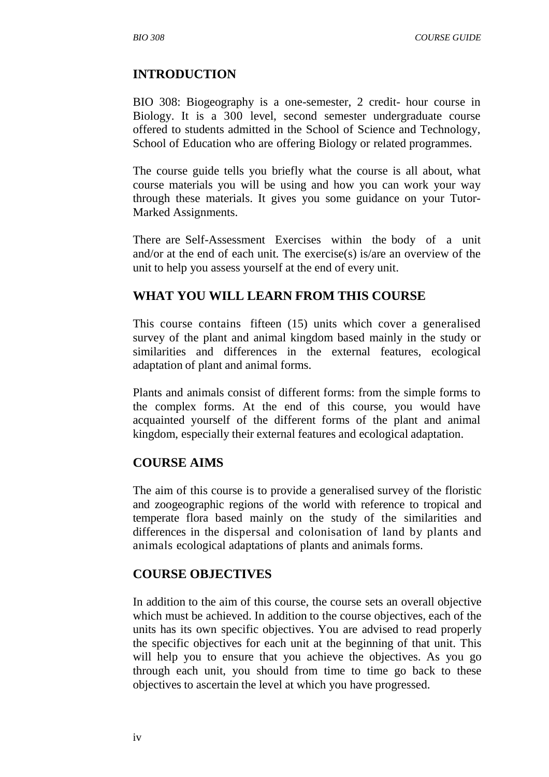#### **INTRODUCTION**

BIO 308: Biogeography is a one-semester, 2 credit- hour course in Biology. It is a 300 level, second semester undergraduate course offered to students admitted in the School of Science and Technology, School of Education who are offering Biology or related programmes.

The course guide tells you briefly what the course is all about, what course materials you will be using and how you can work your way through these materials. It gives you some guidance on your Tutor-Marked Assignments.

There are Self-Assessment Exercises within the body of a unit and/or at the end of each unit. The exercise(s) is/are an overview of the unit to help you assess yourself at the end of every unit.

#### **WHAT YOU WILL LEARN FROM THIS COURSE**

This course contains fifteen (15) units which cover a generalised survey of the plant and animal kingdom based mainly in the study or similarities and differences in the external features, ecological adaptation of plant and animal forms.

Plants and animals consist of different forms: from the simple forms to the complex forms. At the end of this course, you would have acquainted yourself of the different forms of the plant and animal kingdom, especially their external features and ecological adaptation.

#### **COURSE AIMS**

The aim of this course is to provide a generalised survey of the floristic and zoogeographic regions of the world with reference to tropical and temperate flora based mainly on the study of the similarities and differences in the dispersal and colonisation of land by plants and animals ecological adaptations of plants and animals forms.

#### **COURSE OBJECTIVES**

In addition to the aim of this course, the course sets an overall objective which must be achieved. In addition to the course objectives, each of the units has its own specific objectives. You are advised to read properly the specific objectives for each unit at the beginning of that unit. This will help you to ensure that you achieve the objectives. As you go through each unit, you should from time to time go back to these objectives to ascertain the level at which you have progressed.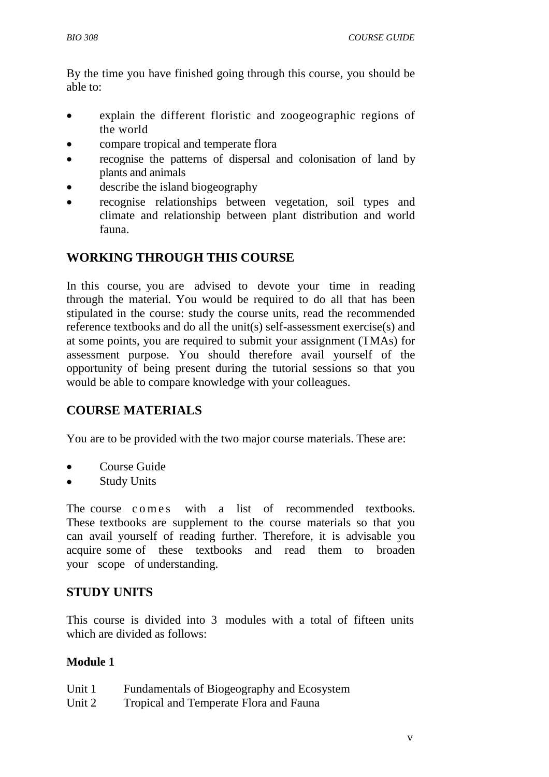By the time you have finished going through this course, you should be able to:

- explain the different floristic and zoogeographic regions of the world
- compare tropical and temperate flora
- recognise the patterns of dispersal and colonisation of land by plants and animals
- describe the island biogeography
- recognise relationships between vegetation, soil types and climate and relationship between plant distribution and world fauna.

## **WORKING THROUGH THIS COURSE**

In this course, you are advised to devote your time in reading through the material. You would be required to do all that has been stipulated in the course: study the course units, read the recommended reference textbooks and do all the unit(s) self-assessment exercise(s) and at some points, you are required to submit your assignment (TMAs) for assessment purpose. You should therefore avail yourself of the opportunity of being present during the tutorial sessions so that you would be able to compare knowledge with your colleagues.

## **COURSE MATERIALS**

You are to be provided with the two major course materials. These are:

- Course Guide
- Study Units

The course comes with a list of recommended textbooks. These textbooks are supplement to the course materials so that you can avail yourself of reading further. Therefore, it is advisable you acquire some of these textbooks and read them to broaden your scope of understanding.

#### **STUDY UNITS**

This course is divided into 3 modules with a total of fifteen units which are divided as follows:

#### **Module 1**

| Unit 1 |  |  | Fundamentals of Biogeography and Ecosystem |
|--------|--|--|--------------------------------------------|
| _ _ _  |  |  |                                            |

Unit 2 Tropical and Temperate Flora and Fauna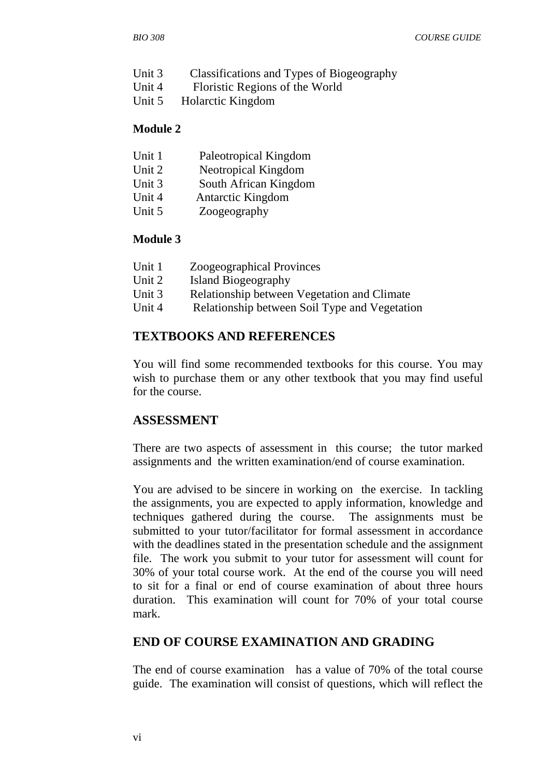- Unit 3 Classifications and Types of Biogeography
- Unit 4 Floristic Regions of the World
- Unit 5Holarctic Kingdom

#### **Module 2**

| Unit 1               | Paleotropical Kingdom |
|----------------------|-----------------------|
| $I\left[ n+i\right]$ | Neotronical Kingdom   |

- Unit 2 Neotropical Kingdom
- Unit 3 South African Kingdom Unit 4 Antarctic Kingdom
- 
- Unit 5 Zoogeography

#### **Module 3**

- Unit 1 Zoogeographical Provinces
- Unit 2 Island Biogeography
- Unit 3 Relationship between Vegetation and Climate
- Unit 4 Relationship between Soil Type and Vegetation

#### **TEXTBOOKS AND REFERENCES**

You will find some recommended textbooks for this course. You may wish to purchase them or any other textbook that you may find useful for the course.

#### **ASSESSMENT**

There are two aspects of assessment in this course; the tutor marked assignments and the written examination/end of course examination.

You are advised to be sincere in working on the exercise. In tackling the assignments, you are expected to apply information, knowledge and techniques gathered during the course. The assignments must be submitted to your tutor/facilitator for formal assessment in accordance with the deadlines stated in the presentation schedule and the assignment file. The work you submit to your tutor for assessment will count for 30% of your total course work. At the end of the course you will need to sit for a final or end of course examination of about three hours duration. This examination will count for 70% of your total course mark.

#### **END OF COURSE EXAMINATION AND GRADING**

The end of course examination has a value of 70% of the total course guide. The examination will consist of questions, which will reflect the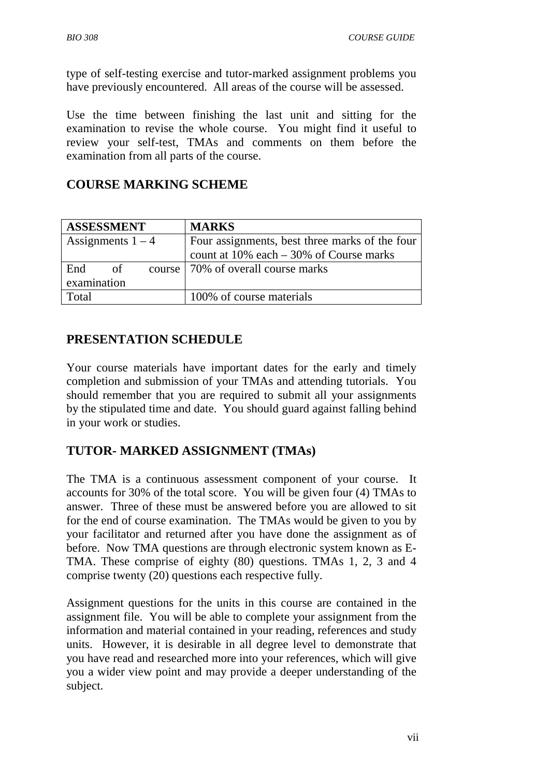type of self-testing exercise and tutor-marked assignment problems you have previously encountered. All areas of the course will be assessed.

Use the time between finishing the last unit and sitting for the examination to revise the whole course. You might find it useful to review your self-test, TMAs and comments on them before the examination from all parts of the course.

### **COURSE MARKING SCHEME**

| <b>ASSESSMENT</b>   | <b>MARKS</b>                                   |
|---------------------|------------------------------------------------|
| Assignments $1 - 4$ | Four assignments, best three marks of the four |
|                     | count at $10\%$ each $-30\%$ of Course marks   |
| of<br>End           | course   70% of overall course marks           |
| examination         |                                                |
| Total               | 100% of course materials                       |

#### **PRESENTATION SCHEDULE**

Your course materials have important dates for the early and timely completion and submission of your TMAs and attending tutorials. You should remember that you are required to submit all your assignments by the stipulated time and date. You should guard against falling behind in your work or studies.

## **TUTOR- MARKED ASSIGNMENT (TMAs)**

The TMA is a continuous assessment component of your course. It accounts for 30% of the total score. You will be given four (4) TMAs to answer. Three of these must be answered before you are allowed to sit for the end of course examination. The TMAs would be given to you by your facilitator and returned after you have done the assignment as of before. Now TMA questions are through electronic system known as E-TMA. These comprise of eighty (80) questions. TMAs 1, 2, 3 and 4 comprise twenty (20) questions each respective fully.

Assignment questions for the units in this course are contained in the assignment file. You will be able to complete your assignment from the information and material contained in your reading, references and study units. However, it is desirable in all degree level to demonstrate that you have read and researched more into your references, which will give you a wider view point and may provide a deeper understanding of the subject.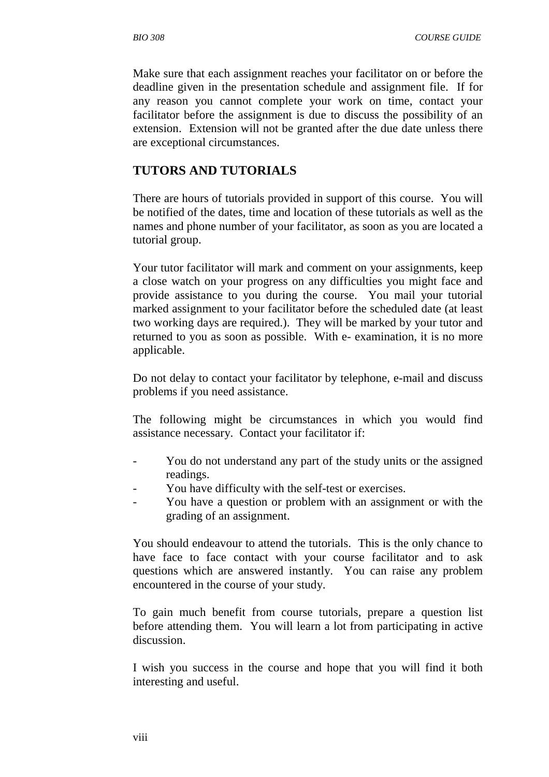Make sure that each assignment reaches your facilitator on or before the deadline given in the presentation schedule and assignment file. If for any reason you cannot complete your work on time, contact your facilitator before the assignment is due to discuss the possibility of an extension. Extension will not be granted after the due date unless there are exceptional circumstances.

#### **TUTORS AND TUTORIALS**

There are hours of tutorials provided in support of this course. You will be notified of the dates, time and location of these tutorials as well as the names and phone number of your facilitator, as soon as you are located a tutorial group.

Your tutor facilitator will mark and comment on your assignments, keep a close watch on your progress on any difficulties you might face and provide assistance to you during the course. You mail your tutorial marked assignment to your facilitator before the scheduled date (at least two working days are required.). They will be marked by your tutor and returned to you as soon as possible. With e- examination, it is no more applicable.

Do not delay to contact your facilitator by telephone, e-mail and discuss problems if you need assistance.

The following might be circumstances in which you would find assistance necessary. Contact your facilitator if:

- You do not understand any part of the study units or the assigned readings.
- You have difficulty with the self-test or exercises.
- You have a question or problem with an assignment or with the grading of an assignment.

You should endeavour to attend the tutorials. This is the only chance to have face to face contact with your course facilitator and to ask questions which are answered instantly. You can raise any problem encountered in the course of your study.

To gain much benefit from course tutorials, prepare a question list before attending them. You will learn a lot from participating in active discussion.

I wish you success in the course and hope that you will find it both interesting and useful.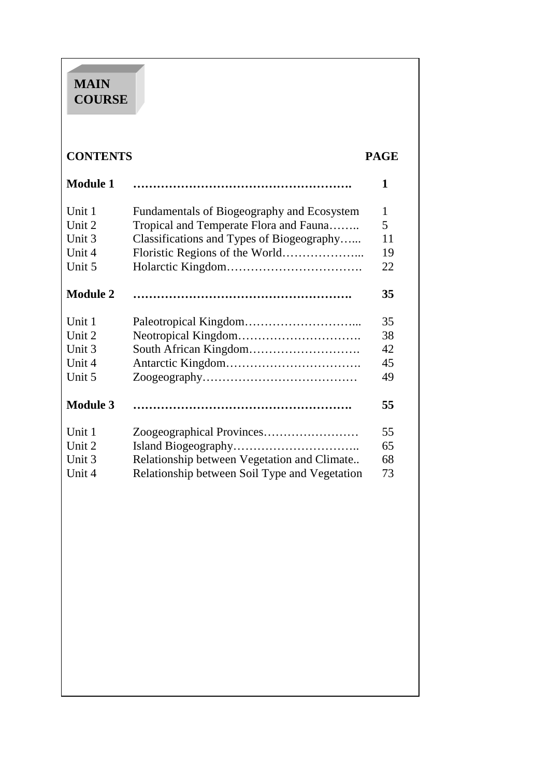## **MAIN COURSE**

## **CONTENTS PAGE**

| <b>Module 1</b> |                                               | 1  |
|-----------------|-----------------------------------------------|----|
| Unit 1          | Fundamentals of Biogeography and Ecosystem    | 1  |
| Unit 2          | Tropical and Temperate Flora and Fauna        | 5  |
| Unit 3          | Classifications and Types of Biogeography     | 11 |
| Unit 4          |                                               | 19 |
| Unit 5          |                                               | 22 |
| <b>Module 2</b> |                                               | 35 |
| Unit 1          |                                               | 35 |
| Unit 2          |                                               | 38 |
| Unit 3          |                                               | 42 |
| Unit 4          |                                               | 45 |
| Unit 5          |                                               | 49 |
| <b>Module 3</b> |                                               | 55 |
| Unit 1          |                                               | 55 |
| Unit 2          |                                               | 65 |
| Unit 3          | Relationship between Vegetation and Climate   | 68 |
| Unit 4          | Relationship between Soil Type and Vegetation | 73 |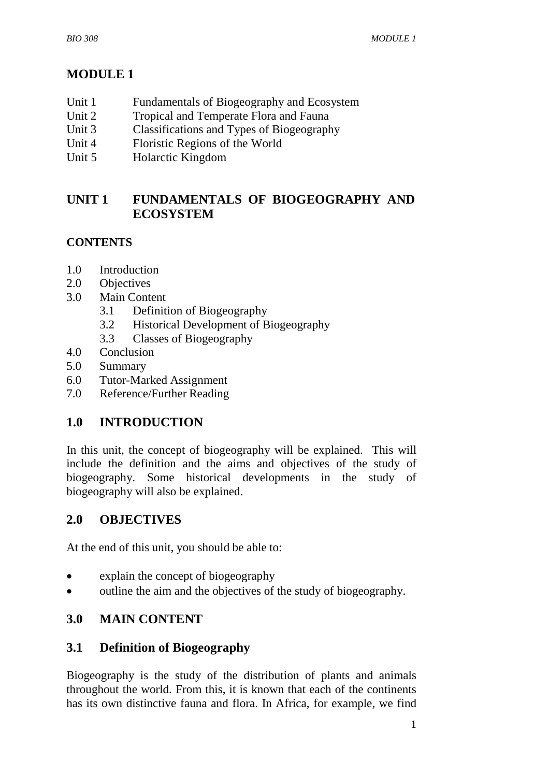## **MODULE 1**

- Unit 1 Fundamentals of Biogeography and Ecosystem
- Unit 2 Tropical and Temperate Flora and Fauna
- Unit 3 Classifications and Types of Biogeography
- Unit 4 Floristic Regions of the World
- Unit 5 **Holarctic Kingdom**

## **UNIT 1 FUNDAMENTALS OF BIOGEOGRAPHY AND ECOSYSTEM**

#### **CONTENTS**

- 1.0 Introduction
- 2.0 Objectives
- 3.0 Main Content
	- 3.1 Definition of Biogeography
	- 3.2 Historical Development of Biogeography
	- 3.3 Classes of Biogeography
- 4.0 Conclusion
- 5.0 Summary
- 6.0 Tutor-Marked Assignment
- 7.0 Reference/Further Reading

## **1.0 INTRODUCTION**

In this unit, the concept of biogeography will be explained. This will include the definition and the aims and objectives of the study of biogeography. Some historical developments in the study of biogeography will also be explained.

## **2.0 OBJECTIVES**

At the end of this unit, you should be able to:

- explain the concept of biogeography
- outline the aim and the objectives of the study of biogeography.

## **3.0 MAIN CONTENT**

#### **3.1 Definition of Biogeography**

Biogeography is the study of the distribution of plants and animals throughout the world. From this, it is known that each of the continents has its own distinctive fauna and flora. In Africa, for example, we find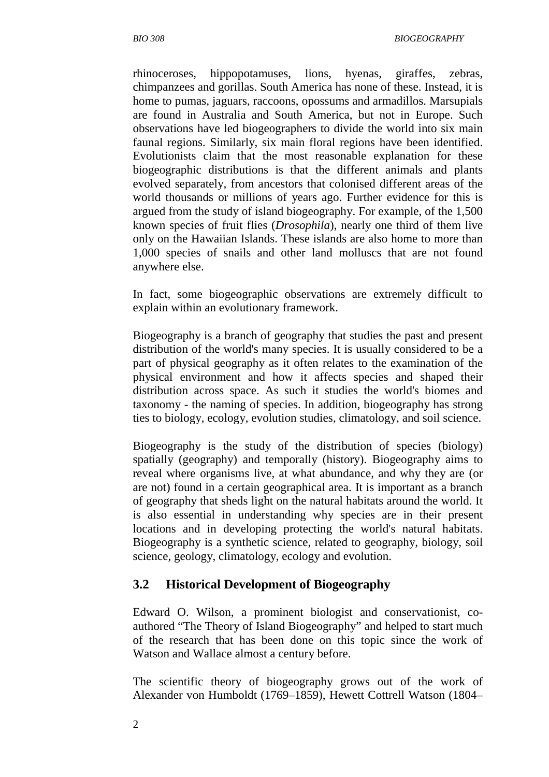rhinoceroses, hippopotamuses, lions, hyenas, giraffes, zebras, chimpanzees and gorillas. South America has none of these. Instead, it is home to pumas, jaguars, raccoons, opossums and armadillos. Marsupials are found in Australia and South America, but not in Europe. Such observations have led biogeographers to divide the world into six main faunal regions. Similarly, six main floral regions have been identified. Evolutionists claim that the most reasonable explanation for these biogeographic distributions is that the different animals and plants evolved separately, from ancestors that colonised different areas of the world thousands or millions of years ago. Further evidence for this is argued from the study of island biogeography. For example, of the 1,500 known species of fruit flies (*Drosophila*), nearly one third of them live only on the Hawaiian Islands. These islands are also home to more than 1,000 species of snails and other land molluscs that are not found anywhere else.

In fact, some biogeographic observations are extremely difficult to explain within an evolutionary framework.

Biogeography is a branch of geography that studies the past and present distribution of the world's many species. It is usually considered to be a part of physical geography as it often relates to the examination of the physical environment and how it affects species and shaped their distribution across space. As such it studies the world's biomes and taxonomy - the naming of species. In addition, biogeography has strong ties to biology, ecology, evolution studies, climatology, and soil science.

Biogeography is the study of the distribution of species (biology) spatially (geography) and temporally (history). Biogeography aims to reveal where organisms live, at what abundance, and why they are (or are not) found in a certain geographical area. It is important as a branch of geography that sheds light on the natural habitats around the world. It is also essential in understanding why species are in their present locations and in developing protecting the world's natural habitats. Biogeography is a synthetic science, related to geography, biology, soil science, geology, climatology, ecology and evolution.

#### **3.2 Historical Development of Biogeography**

Edward O. Wilson, a prominent biologist and conservationist, coauthored "The Theory of Island Biogeography" and helped to start much of the research that has been done on this topic since the work of Watson and Wallace almost a century before.

The scientific theory of biogeography grows out of the work of Alexander von Humboldt (1769–1859), Hewett Cottrell Watson (1804–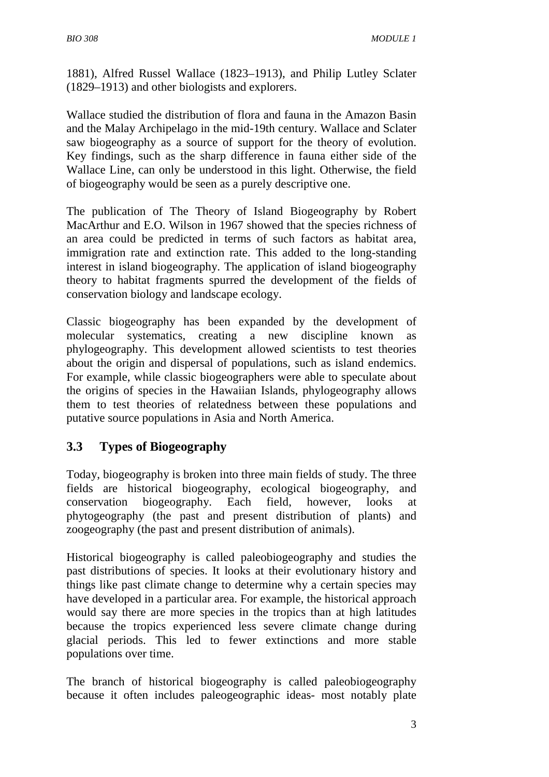1881), Alfred Russel Wallace (1823–1913), and Philip Lutley Sclater (1829–1913) and other biologists and explorers.

Wallace studied the distribution of flora and fauna in the Amazon Basin and the Malay Archipelago in the mid-19th century. Wallace and Sclater saw biogeography as a source of support for the theory of evolution. Key findings, such as the sharp difference in fauna either side of the Wallace Line, can only be understood in this light. Otherwise, the field of biogeography would be seen as a purely descriptive one.

The publication of The Theory of Island Biogeography by Robert MacArthur and E.O. Wilson in 1967 showed that the species richness of an area could be predicted in terms of such factors as habitat area, immigration rate and extinction rate. This added to the long-standing interest in island biogeography. The application of island biogeography theory to habitat fragments spurred the development of the fields of conservation biology and landscape ecology.

Classic biogeography has been expanded by the development of molecular systematics, creating a new discipline known as phylogeography. This development allowed scientists to test theories about the origin and dispersal of populations, such as island endemics. For example, while classic biogeographers were able to speculate about the origins of species in the Hawaiian Islands, phylogeography allows them to test theories of relatedness between these populations and putative source populations in Asia and North America.

#### **3.3 Types of Biogeography**

Today, biogeography is broken into three main fields of study. The three fields are historical biogeography, ecological biogeography, and conservation biogeography. Each field, however, looks at phytogeography (the past and present distribution of plants) and zoogeography (the past and present distribution of animals).

Historical biogeography is called paleobiogeography and studies the past distributions of species. It looks at their evolutionary history and things like past climate change to determine why a certain species may have developed in a particular area. For example, the historical approach would say there are more species in the tropics than at high latitudes because the tropics experienced less severe climate change during glacial periods. This led to fewer extinctions and more stable populations over time.

The branch of historical biogeography is called paleobiogeography because it often includes paleogeographic ideas- most notably plate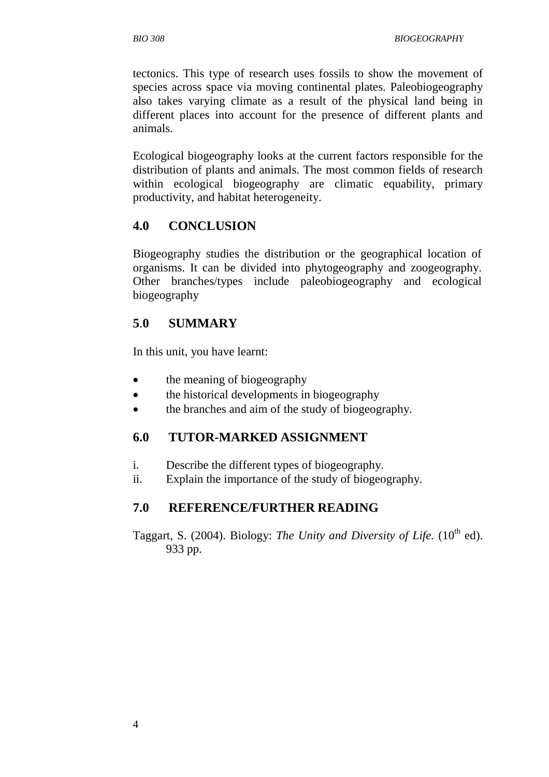tectonics. This type of research uses fossils to show the movement of species across space via moving continental plates. Paleobiogeography also takes varying climate as a result of the physical land being in different places into account for the presence of different plants and animals.

Ecological biogeography looks at the current factors responsible for the distribution of plants and animals. The most common fields of research within ecological biogeography are climatic equability, primary productivity, and habitat heterogeneity.

#### **4.0 CONCLUSION**

Biogeography studies the distribution or the geographical location of organisms. It can be divided into phytogeography and zoogeography. Other branches/types include paleobiogeography and ecological biogeography

#### **5**.**0 SUMMARY**

In this unit, you have learnt:

- the meaning of biogeography
- the historical developments in biogeography
- the branches and aim of the study of biogeography.

## **6.0 TUTOR-MARKED ASSIGNMENT**

- i. Describe the different types of biogeography.
- ii. Explain the importance of the study of biogeography.

## **7.0 REFERENCE/FURTHER READING**

Taggart, S. (2004). Biology: *The Unity and Diversity of Life.* (10<sup>th</sup> ed). 933 pp.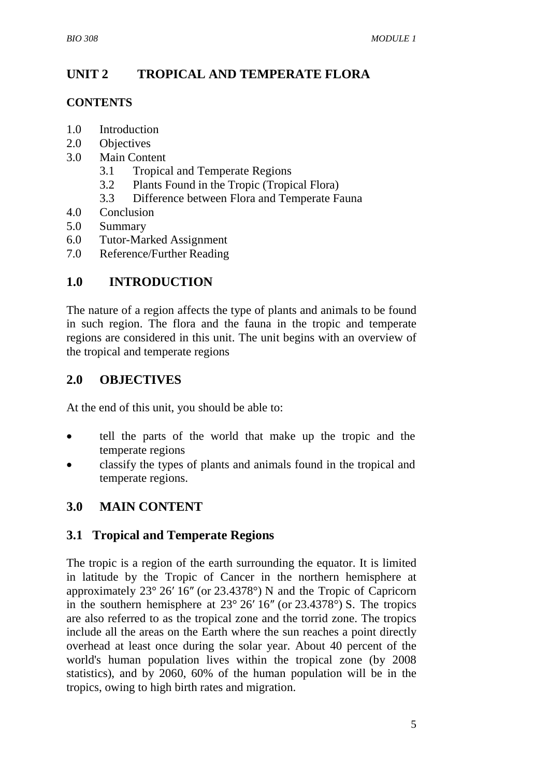## **UNIT 2 TROPICAL AND TEMPERATE FLORA**

#### **CONTENTS**

- 1.0 Introduction
- 2.0 Objectives
- 3.0 Main Content
	- 3.1 Tropical and Temperate Regions
	- 3.2 Plants Found in the Tropic (Tropical Flora)
	- 3.3 Difference between Flora and Temperate Fauna
- 4.0 Conclusion
- 5.0 Summary
- 6.0 Tutor-Marked Assignment
- 7.0 Reference/Further Reading

#### **1.0 INTRODUCTION**

The nature of a region affects the type of plants and animals to be found in such region. The flora and the fauna in the tropic and temperate regions are considered in this unit. The unit begins with an overview of the tropical and temperate regions

#### **2.0 OBJECTIVES**

At the end of this unit, you should be able to:

- tell the parts of the world that make up the tropic and the temperate regions
- classify the types of plants and animals found in the tropical and temperate regions.

## **3.0 MAIN CONTENT**

#### **3.1 Tropical and Temperate Regions**

The tropic is a region of the earth surrounding the equator. It is limited in latitude by the Tropic of Cancer in the northern hemisphere at approximately 23° 26′ 16″ (or 23.4378°) N and the Tropic of Capricorn in the southern hemisphere at 23° 26′ 16″ (or 23.4378°) S. The tropics are also referred to as the tropical zone and the torrid zone. The tropics include all the areas on the Earth where the sun reaches a point directly overhead at least once during the solar year. About 40 percent of the world's human population lives within the tropical zone (by 2008 statistics), and by 2060, 60% of the human population will be in the tropics, owing to high birth rates and migration.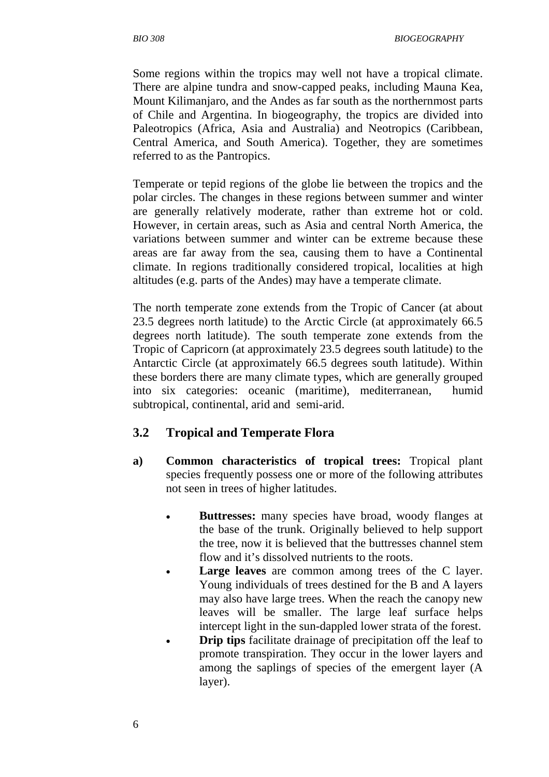Some regions within the tropics may well not have a tropical climate. There are alpine tundra and snow-capped peaks, including Mauna Kea, Mount Kilimanjaro, and the Andes as far south as the northernmost parts of Chile and Argentina. In biogeography, the tropics are divided into Paleotropics (Africa, Asia and Australia) and Neotropics (Caribbean, Central America, and South America). Together, they are sometimes referred to as the Pantropics.

Temperate or tepid regions of the globe lie between the tropics and the polar circles. The changes in these regions between summer and winter are generally relatively moderate, rather than extreme hot or cold. However, in certain areas, such as Asia and central North America, the variations between summer and winter can be extreme because these areas are far away from the sea, causing them to have a Continental climate. In regions traditionally considered tropical, localities at high altitudes (e.g. parts of the Andes) may have a temperate climate.

The north temperate zone extends from the Tropic of Cancer (at about 23.5 degrees north latitude) to the Arctic Circle (at approximately 66.5 degrees north latitude). The south temperate zone extends from the Tropic of Capricorn (at approximately 23.5 degrees south latitude) to the Antarctic Circle (at approximately 66.5 degrees south latitude). Within these borders there are many climate types, which are generally grouped into six categories: oceanic (maritime), mediterranean, humid subtropical, continental, arid and semi-arid.

#### **3.2 Tropical and Temperate Flora**

- **a) Common characteristics of tropical trees:** Tropical plant species frequently possess one or more of the following attributes not seen in trees of higher latitudes.
	- **Buttresses:** many species have broad, woody flanges at the base of the trunk. Originally believed to help support the tree, now it is believed that the buttresses channel stem flow and it's dissolved nutrients to the roots.
	- **Large leaves** are common among trees of the C layer. Young individuals of trees destined for the B and A layers may also have large trees. When the reach the canopy new leaves will be smaller. The large leaf surface helps intercept light in the sun-dappled lower strata of the forest.
	- **Drip tips** facilitate drainage of precipitation off the leaf to promote transpiration. They occur in the lower layers and among the saplings of species of the emergent layer (A layer).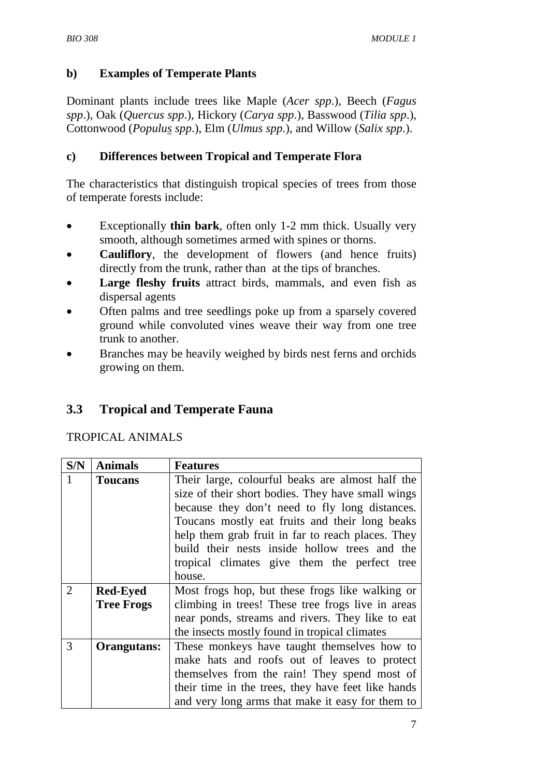#### **b) Examples of Temperate Plants**

Dominant plants include trees like Maple (*Acer spp*.), Beech (*Fagus spp*.), Oak (*Quercus spp*.), Hickory (*Carya spp*.), Basswood (*Tilia spp*.), Cottonwood (*Populus spp*.), Elm (*Ulmus spp*.), and Willow (*Salix spp*.).

#### **c) Differences between Tropical and Temperate Flora**

The characteristics that distinguish tropical species of trees from those of temperate forests include:

- Exceptionally **thin bark**, often only 1-2 mm thick. Usually very smooth, although sometimes armed with spines or thorns.
- **Cauliflory**, the development of flowers (and hence fruits) directly from the trunk, rather than at the tips of branches.
- Large fleshy fruits attract birds, mammals, and even fish as dispersal agents
- Often palms and tree seedlings poke up from a sparsely covered ground while convoluted vines weave their way from one tree trunk to another.
- Branches may be heavily weighed by birds nest ferns and orchids growing on them.

## **3.3 Tropical and Temperate Fauna**

TROPICAL ANIMALS

| S/N            | <b>Animals</b>    | <b>Features</b>                                    |
|----------------|-------------------|----------------------------------------------------|
|                | <b>Toucans</b>    | Their large, colourful beaks are almost half the   |
|                |                   | size of their short bodies. They have small wings  |
|                |                   | because they don't need to fly long distances.     |
|                |                   | Toucans mostly eat fruits and their long beaks     |
|                |                   | help them grab fruit in far to reach places. They  |
|                |                   | build their nests inside hollow trees and the      |
|                |                   | tropical climates give them the perfect tree       |
|                |                   | house.                                             |
| $\overline{2}$ | <b>Red-Eyed</b>   | Most frogs hop, but these frogs like walking or    |
|                | <b>Tree Frogs</b> | climbing in trees! These tree frogs live in areas  |
|                |                   | near ponds, streams and rivers. They like to eat   |
|                |                   | the insects mostly found in tropical climates      |
| 3              | Orangutans:       | These monkeys have taught themselves how to        |
|                |                   | make hats and roofs out of leaves to protect       |
|                |                   | themselves from the rain! They spend most of       |
|                |                   | their time in the trees, they have feet like hands |
|                |                   | and very long arms that make it easy for them to   |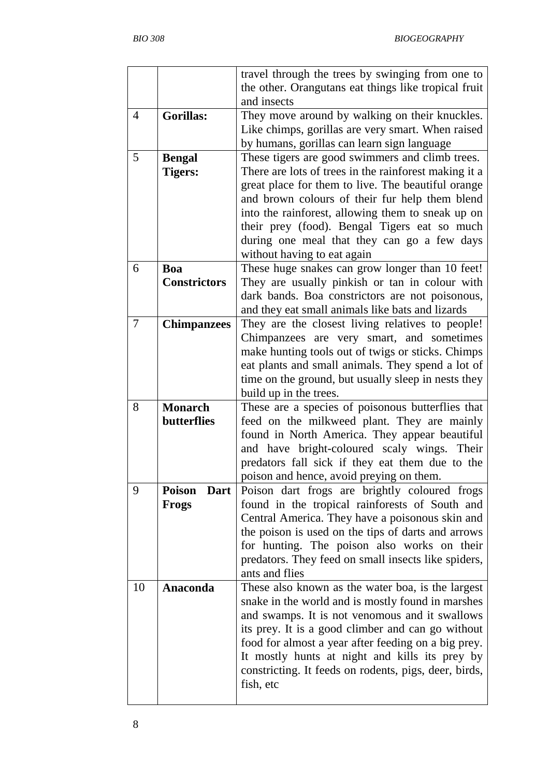|                |                       | travel through the trees by swinging from one to      |
|----------------|-----------------------|-------------------------------------------------------|
|                |                       | the other. Orangutans eat things like tropical fruit  |
|                |                       | and insects                                           |
| $\overline{4}$ | <b>Gorillas:</b>      | They move around by walking on their knuckles.        |
|                |                       | Like chimps, gorillas are very smart. When raised     |
|                |                       | by humans, gorillas can learn sign language           |
|                |                       |                                                       |
| 5              | <b>Bengal</b>         | These tigers are good swimmers and climb trees.       |
|                | <b>Tigers:</b>        | There are lots of trees in the rainforest making it a |
|                |                       | great place for them to live. The beautiful orange    |
|                |                       | and brown colours of their fur help them blend        |
|                |                       | into the rainforest, allowing them to sneak up on     |
|                |                       | their prey (food). Bengal Tigers eat so much          |
|                |                       | during one meal that they can go a few days           |
|                |                       | without having to eat again                           |
| 6              | Boa                   | These huge snakes can grow longer than 10 feet!       |
|                | <b>Constrictors</b>   |                                                       |
|                |                       | They are usually pinkish or tan in colour with        |
|                |                       | dark bands. Boa constrictors are not poisonous,       |
|                |                       | and they eat small animals like bats and lizards      |
| 7              | <b>Chimpanzees</b>    | They are the closest living relatives to people!      |
|                |                       | Chimpanzees are very smart, and sometimes             |
|                |                       | make hunting tools out of twigs or sticks. Chimps     |
|                |                       | eat plants and small animals. They spend a lot of     |
|                |                       | time on the ground, but usually sleep in nests they   |
|                |                       | build up in the trees.                                |
| 8              | <b>Monarch</b>        | These are a species of poisonous butterflies that     |
|                | <b>butterflies</b>    | feed on the milkweed plant. They are mainly           |
|                |                       | found in North America. They appear beautiful         |
|                |                       | and have bright-coloured scaly wings. Their           |
|                |                       |                                                       |
|                |                       | predators fall sick if they eat them due to the       |
|                |                       | poison and hence, avoid preying on them.              |
| 9              | <b>Poison</b><br>Dart | Poison dart frogs are brightly coloured frogs         |
|                | <b>Frogs</b>          | found in the tropical rainforests of South and        |
|                |                       | Central America. They have a poisonous skin and       |
|                |                       | the poison is used on the tips of darts and arrows    |
|                |                       | for hunting. The poison also works on their           |
|                |                       | predators. They feed on small insects like spiders,   |
|                |                       | ants and flies                                        |
| 10             | Anaconda              | These also known as the water boa, is the largest     |
|                |                       | snake in the world and is mostly found in marshes     |
|                |                       | and swamps. It is not venomous and it swallows        |
|                |                       | its prey. It is a good climber and can go without     |
|                |                       |                                                       |
|                |                       | food for almost a year after feeding on a big prey.   |
|                |                       | It mostly hunts at night and kills its prey by        |
|                |                       | constricting. It feeds on rodents, pigs, deer, birds, |
|                |                       | fish, etc                                             |
|                |                       |                                                       |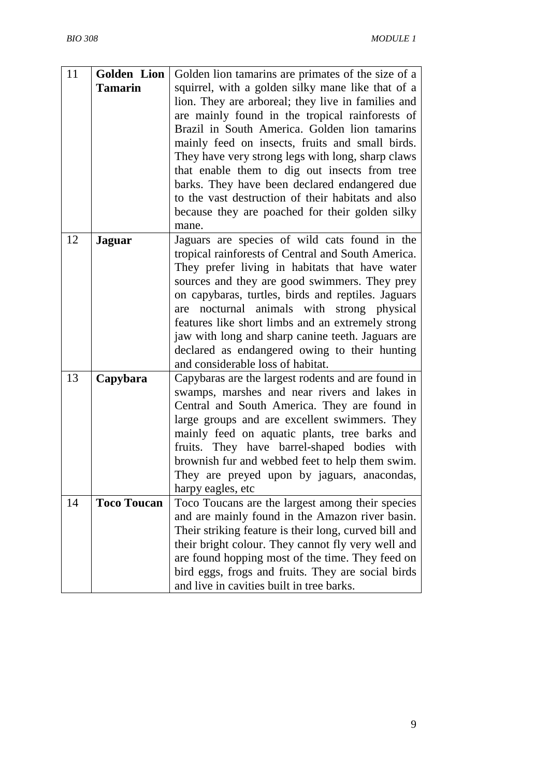| 11 | <b>Golden</b> Lion | Golden lion tamarins are primates of the size of a                                                 |
|----|--------------------|----------------------------------------------------------------------------------------------------|
|    | <b>Tamarin</b>     | squirrel, with a golden silky mane like that of a                                                  |
|    |                    | lion. They are arboreal; they live in families and                                                 |
|    |                    | are mainly found in the tropical rainforests of                                                    |
|    |                    | Brazil in South America. Golden lion tamarins                                                      |
|    |                    | mainly feed on insects, fruits and small birds.                                                    |
|    |                    | They have very strong legs with long, sharp claws                                                  |
|    |                    | that enable them to dig out insects from tree                                                      |
|    |                    | barks. They have been declared endangered due                                                      |
|    |                    | to the vast destruction of their habitats and also                                                 |
|    |                    | because they are poached for their golden silky                                                    |
|    |                    | mane.                                                                                              |
| 12 | <b>Jaguar</b>      | Jaguars are species of wild cats found in the                                                      |
|    |                    | tropical rainforests of Central and South America.                                                 |
|    |                    | They prefer living in habitats that have water                                                     |
|    |                    | sources and they are good swimmers. They prey                                                      |
|    |                    | on capybaras, turtles, birds and reptiles. Jaguars                                                 |
|    |                    | nocturnal animals with strong physical<br>are                                                      |
|    |                    | features like short limbs and an extremely strong                                                  |
|    |                    | jaw with long and sharp canine teeth. Jaguars are<br>declared as endangered owing to their hunting |
|    |                    | and considerable loss of habitat.                                                                  |
| 13 | Capybara           | Capybaras are the largest rodents and are found in                                                 |
|    |                    | swamps, marshes and near rivers and lakes in                                                       |
|    |                    | Central and South America. They are found in                                                       |
|    |                    | large groups and are excellent swimmers. They                                                      |
|    |                    | mainly feed on aquatic plants, tree barks and                                                      |
|    |                    | fruits. They have barrel-shaped bodies with                                                        |
|    |                    | brownish fur and webbed feet to help them swim.                                                    |
|    |                    | They are preyed upon by jaguars, anacondas,                                                        |
|    |                    | harpy eagles, etc                                                                                  |
| 14 | <b>Toco Toucan</b> | Toco Toucans are the largest among their species                                                   |
|    |                    | and are mainly found in the Amazon river basin.                                                    |
|    |                    | Their striking feature is their long, curved bill and                                              |
|    |                    | their bright colour. They cannot fly very well and                                                 |
|    |                    | are found hopping most of the time. They feed on                                                   |
|    |                    | bird eggs, frogs and fruits. They are social birds                                                 |
|    |                    | and live in cavities built in tree barks.                                                          |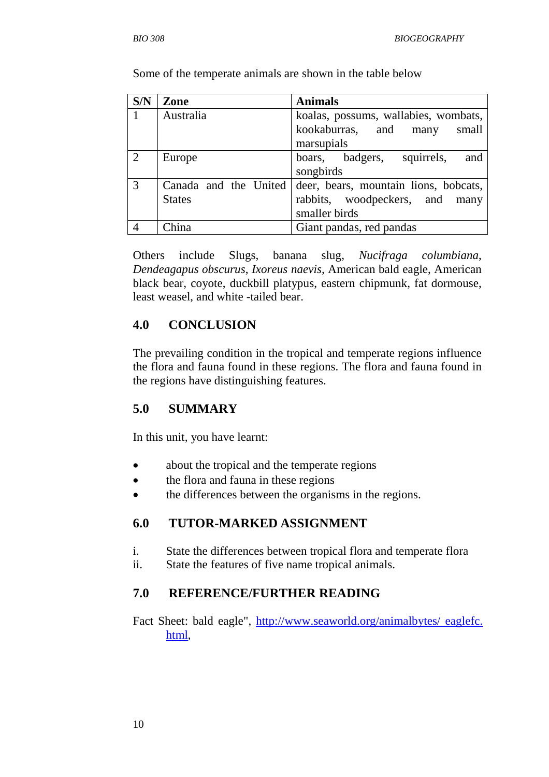**S/N** | **Zone** Animals 1 Australia koalas, possums, wallabies, wombats, kookaburras, and many small marsupials 2 Europe boars, badgers, squirrels, and songbirds 3 Canada and the United **States** deer, bears, mountain lions, bobcats, rabbits, woodpeckers, and many smaller birds 4 | China | Giant pandas, red pandas

Some of the temperate animals are shown in the table below

Others include Slugs, banana slug, *Nucifraga columbiana*, *Dendeagapus obscurus*, *Ixoreus naevis,* American bald eagle, American black bear, coyote, duckbill platypus, eastern chipmunk, fat dormouse, least weasel, and white -tailed bear.

#### **4.0 CONCLUSION**

The prevailing condition in the tropical and temperate regions influence the flora and fauna found in these regions. The flora and fauna found in the regions have distinguishing features.

## **5.0 SUMMARY**

In this unit, you have learnt:

- about the tropical and the temperate regions
- the flora and fauna in these regions
- the differences between the organisms in the regions.

#### **6.0 TUTOR-MARKED ASSIGNMENT**

- i. State the differences between tropical flora and temperate flora
- ii. State the features of five name tropical animals.

## **7.0 REFERENCE/FURTHER READING**

Fact Sheet: bald eagle", http://www.seaworld.org/animalbytes/ eaglefc. html,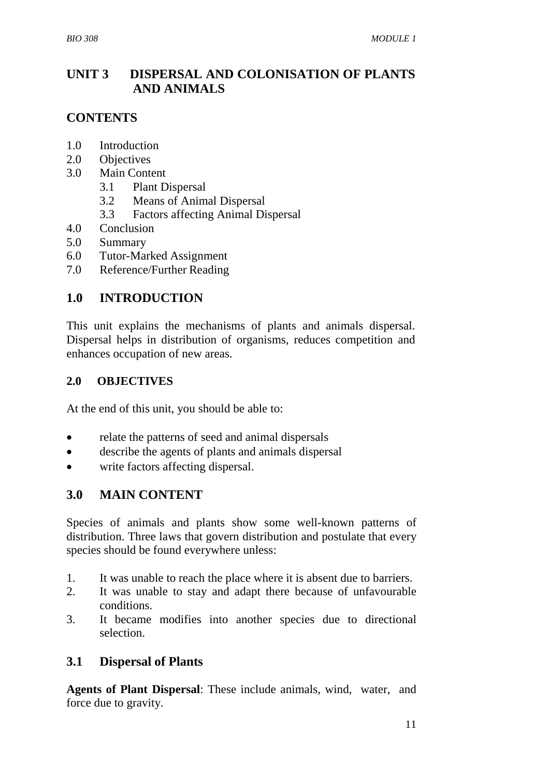## **UNIT 3 DISPERSAL AND COLONISATION OF PLANTS AND ANIMALS**

## **CONTENTS**

- 1.0 Introduction
- 2.0 Objectives
- 3.0 Main Content
	- 3.1 Plant Dispersal
	- 3.2 Means of Animal Dispersal
	- 3.3 Factors affecting Animal Dispersal
- 4.0 Conclusion
- 5.0 Summary
- 6.0 Tutor-Marked Assignment
- 7.0 Reference/Further Reading

#### **1.0 INTRODUCTION**

This unit explains the mechanisms of plants and animals dispersal. Dispersal helps in distribution of organisms, reduces competition and enhances occupation of new areas.

#### **2.0 OBJECTIVES**

At the end of this unit, you should be able to:

- relate the patterns of seed and animal dispersals
- describe the agents of plants and animals dispersal
- write factors affecting dispersal.

#### **3.0 MAIN CONTENT**

Species of animals and plants show some well-known patterns of distribution. Three laws that govern distribution and postulate that every species should be found everywhere unless:

- 1. It was unable to reach the place where it is absent due to barriers.
- 2. It was unable to stay and adapt there because of unfavourable conditions.
- 3. It became modifies into another species due to directional selection.

## **3.1 Dispersal of Plants**

**Agents of Plant Dispersal**: These include animals, wind, water, and force due to gravity.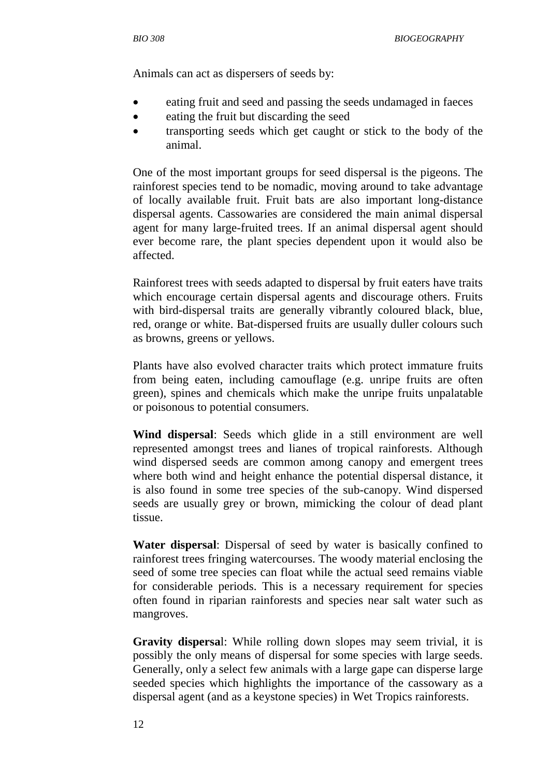Animals can act as dispersers of seeds by:

- eating fruit and seed and passing the seeds undamaged in faeces
- eating the fruit but discarding the seed
- transporting seeds which get caught or stick to the body of the animal.

One of the most important groups for seed dispersal is the pigeons. The rainforest species tend to be nomadic, moving around to take advantage of locally available fruit. Fruit bats are also important long-distance dispersal agents. Cassowaries are considered the main animal dispersal agent for many large-fruited trees. If an animal dispersal agent should ever become rare, the plant species dependent upon it would also be affected.

Rainforest trees with seeds adapted to dispersal by fruit eaters have traits which encourage certain dispersal agents and discourage others. Fruits with bird-dispersal traits are generally vibrantly coloured black, blue, red, orange or white. Bat-dispersed fruits are usually duller colours such as browns, greens or yellows.

Plants have also evolved character traits which protect immature fruits from being eaten, including camouflage (e.g. unripe fruits are often green), spines and chemicals which make the unripe fruits unpalatable or poisonous to potential consumers.

**Wind dispersal**: Seeds which glide in a still environment are well represented amongst trees and lianes of tropical rainforests. Although wind dispersed seeds are common among canopy and emergent trees where both wind and height enhance the potential dispersal distance, it is also found in some tree species of the sub-canopy. Wind dispersed seeds are usually grey or brown, mimicking the colour of dead plant tissue.

**Water dispersal**: Dispersal of seed by water is basically confined to rainforest trees fringing watercourses. The woody material enclosing the seed of some tree species can float while the actual seed remains viable for considerable periods. This is a necessary requirement for species often found in riparian rainforests and species near salt water such as mangroves.

**Gravity dispersa**l: While rolling down slopes may seem trivial, it is possibly the only means of dispersal for some species with large seeds. Generally, only a select few animals with a large gape can disperse large seeded species which highlights the importance of the cassowary as a dispersal agent (and as a keystone species) in Wet Tropics rainforests.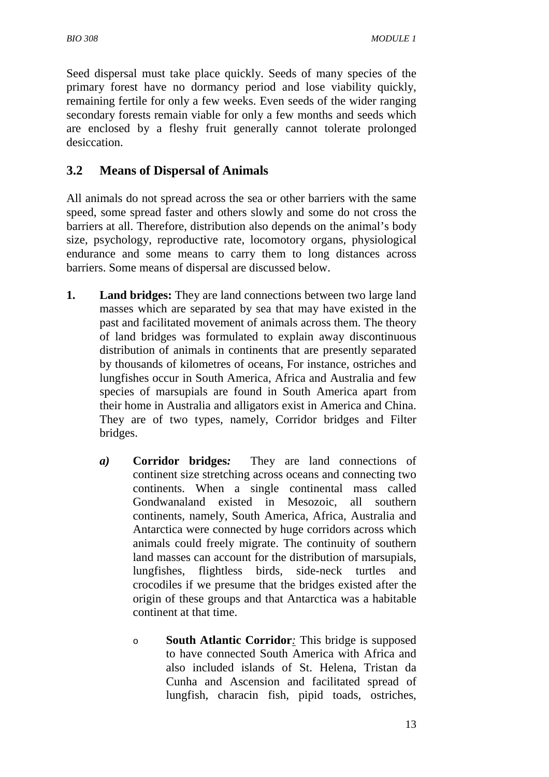Seed dispersal must take place quickly. Seeds of many species of the primary forest have no dormancy period and lose viability quickly, remaining fertile for only a few weeks. Even seeds of the wider ranging secondary forests remain viable for only a few months and seeds which are enclosed by a fleshy fruit generally cannot tolerate prolonged desiccation.

### **3.2 Means of Dispersal of Animals**

All animals do not spread across the sea or other barriers with the same speed, some spread faster and others slowly and some do not cross the barriers at all. Therefore, distribution also depends on the animal's body size, psychology, reproductive rate, locomotory organs, physiological endurance and some means to carry them to long distances across barriers. Some means of dispersal are discussed below.

- **1.** Land bridges: They are land connections between two large land masses which are separated by sea that may have existed in the past and facilitated movement of animals across them. The theory of land bridges was formulated to explain away discontinuous distribution of animals in continents that are presently separated by thousands of kilometres of oceans, For instance, ostriches and lungfishes occur in South America, Africa and Australia and few species of marsupials are found in South America apart from their home in Australia and alligators exist in America and China. They are of two types, namely, Corridor bridges and Filter bridges.
	- *a)* **Corridor bridges***:* They are land connections of continent size stretching across oceans and connecting two continents. When a single continental mass called Gondwanaland existed in Mesozoic, all southern continents, namely, South America, Africa, Australia and Antarctica were connected by huge corridors across which animals could freely migrate. The continuity of southern land masses can account for the distribution of marsupials, lungfishes, flightless birds, side-neck turtles and crocodiles if we presume that the bridges existed after the origin of these groups and that Antarctica was a habitable continent at that time.
		- o **South Atlantic Corridor***:* This bridge is supposed to have connected South America with Africa and also included islands of St. Helena, Tristan da Cunha and Ascension and facilitated spread of lungfish, characin fish, pipid toads, ostriches,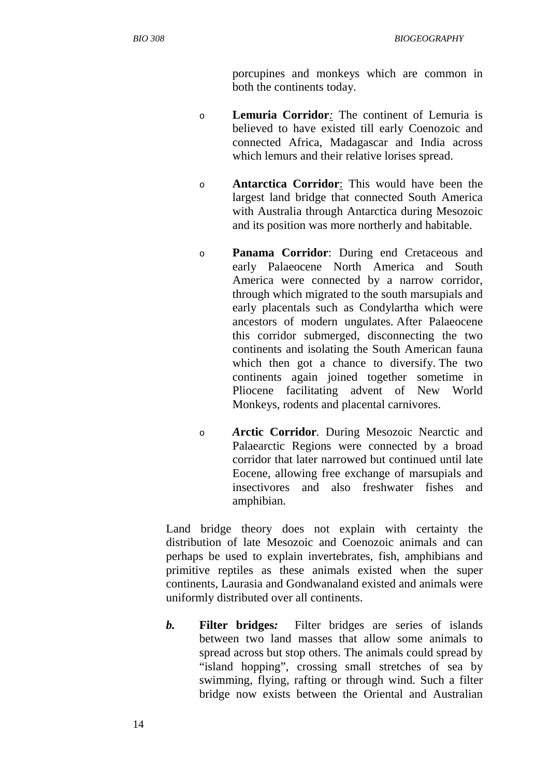porcupines and monkeys which are common in both the continents today.

- o **Lemuria Corridor***:* The continent of Lemuria is believed to have existed till early Coenozoic and connected Africa, Madagascar and India across which lemurs and their relative lorises spread.
- o **Antarctica Corridor**: This would have been the largest land bridge that connected South America with Australia through Antarctica during Mesozoic and its position was more northerly and habitable.
- o **Panama Corridor**: During end Cretaceous and early Palaeocene North America and South America were connected by a narrow corridor, through which migrated to the south marsupials and early placentals such as Condylartha which were ancestors of modern ungulates. After Palaeocene this corridor submerged, disconnecting the two continents and isolating the South American fauna which then got a chance to diversify. The two continents again joined together sometime in Pliocene facilitating advent of New World Monkeys, rodents and placental carnivores.
- o *A***rctic Corridor***.* During Mesozoic Nearctic and Palaearctic Regions were connected by a broad corridor that later narrowed but continued until late Eocene, allowing free exchange of marsupials and insectivores and also freshwater fishes and amphibian.

Land bridge theory does not explain with certainty the distribution of late Mesozoic and Coenozoic animals and can perhaps be used to explain invertebrates, fish, amphibians and primitive reptiles as these animals existed when the super continents, Laurasia and Gondwanaland existed and animals were uniformly distributed over all continents.

 *b.* **Filter bridges***:* Filter bridges are series of islands between two land masses that allow some animals to spread across but stop others. The animals could spread by "island hopping", crossing small stretches of sea by swimming, flying, rafting or through wind. Such a filter bridge now exists between the Oriental and Australian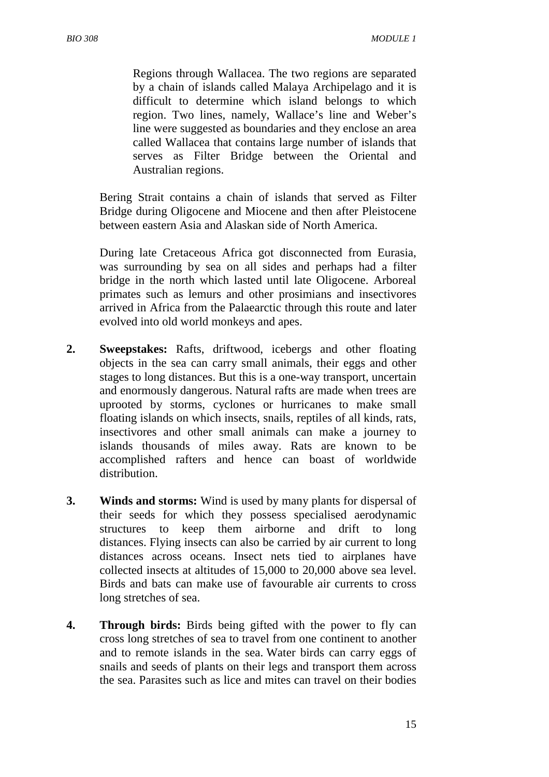Regions through Wallacea. The two regions are separated by a chain of islands called Malaya Archipelago and it is difficult to determine which island belongs to which region. Two lines, namely, Wallace's line and Weber's line were suggested as boundaries and they enclose an area called Wallacea that contains large number of islands that serves as Filter Bridge between the Oriental and Australian regions.

Bering Strait contains a chain of islands that served as Filter Bridge during Oligocene and Miocene and then after Pleistocene between eastern Asia and Alaskan side of North America.

During late Cretaceous Africa got disconnected from Eurasia, was surrounding by sea on all sides and perhaps had a filter bridge in the north which lasted until late Oligocene. Arboreal primates such as lemurs and other prosimians and insectivores arrived in Africa from the Palaearctic through this route and later evolved into old world monkeys and apes.

- **2. Sweepstakes:** Rafts, driftwood, icebergs and other floating objects in the sea can carry small animals, their eggs and other stages to long distances. But this is a one-way transport, uncertain and enormously dangerous. Natural rafts are made when trees are uprooted by storms, cyclones or hurricanes to make small floating islands on which insects, snails, reptiles of all kinds, rats, insectivores and other small animals can make a journey to islands thousands of miles away. Rats are known to be accomplished rafters and hence can boast of worldwide distribution.
- **3. Winds and storms:** Wind is used by many plants for dispersal of their seeds for which they possess specialised aerodynamic structures to keep them airborne and drift to long distances. Flying insects can also be carried by air current to long distances across oceans. Insect nets tied to airplanes have collected insects at altitudes of 15,000 to 20,000 above sea level. Birds and bats can make use of favourable air currents to cross long stretches of sea.
- **4. Through birds:** Birds being gifted with the power to fly can cross long stretches of sea to travel from one continent to another and to remote islands in the sea. Water birds can carry eggs of snails and seeds of plants on their legs and transport them across the sea. Parasites such as lice and mites can travel on their bodies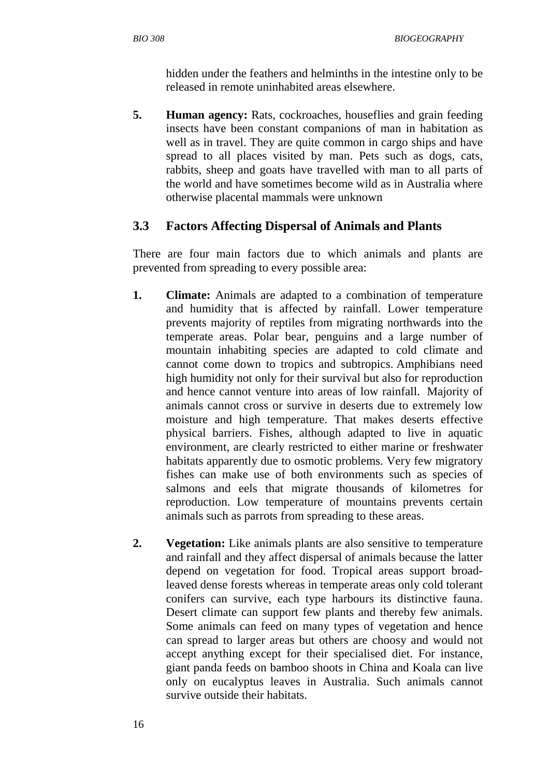hidden under the feathers and helminths in the intestine only to be released in remote uninhabited areas elsewhere.

**5. Human agency:** Rats, cockroaches, houseflies and grain feeding insects have been constant companions of man in habitation as well as in travel. They are quite common in cargo ships and have spread to all places visited by man. Pets such as dogs, cats, rabbits, sheep and goats have travelled with man to all parts of the world and have sometimes become wild as in Australia where otherwise placental mammals were unknown

#### **3.3 Factors Affecting Dispersal of Animals and Plants**

There are four main factors due to which animals and plants are prevented from spreading to every possible area:

- **1. Climate:** Animals are adapted to a combination of temperature and humidity that is affected by rainfall. Lower temperature prevents majority of reptiles from migrating northwards into the temperate areas. Polar bear, penguins and a large number of mountain inhabiting species are adapted to cold climate and cannot come down to tropics and subtropics. Amphibians need high humidity not only for their survival but also for reproduction and hence cannot venture into areas of low rainfall. Majority of animals cannot cross or survive in deserts due to extremely low moisture and high temperature. That makes deserts effective physical barriers. Fishes, although adapted to live in aquatic environment, are clearly restricted to either marine or freshwater habitats apparently due to osmotic problems. Very few migratory fishes can make use of both environments such as species of salmons and eels that migrate thousands of kilometres for reproduction. Low temperature of mountains prevents certain animals such as parrots from spreading to these areas.
- **2. Vegetation:** Like animals plants are also sensitive to temperature and rainfall and they affect dispersal of animals because the latter depend on vegetation for food. Tropical areas support broadleaved dense forests whereas in temperate areas only cold tolerant conifers can survive, each type harbours its distinctive fauna. Desert climate can support few plants and thereby few animals. Some animals can feed on many types of vegetation and hence can spread to larger areas but others are choosy and would not accept anything except for their specialised diet. For instance, giant panda feeds on bamboo shoots in China and Koala can live only on eucalyptus leaves in Australia. Such animals cannot survive outside their habitats.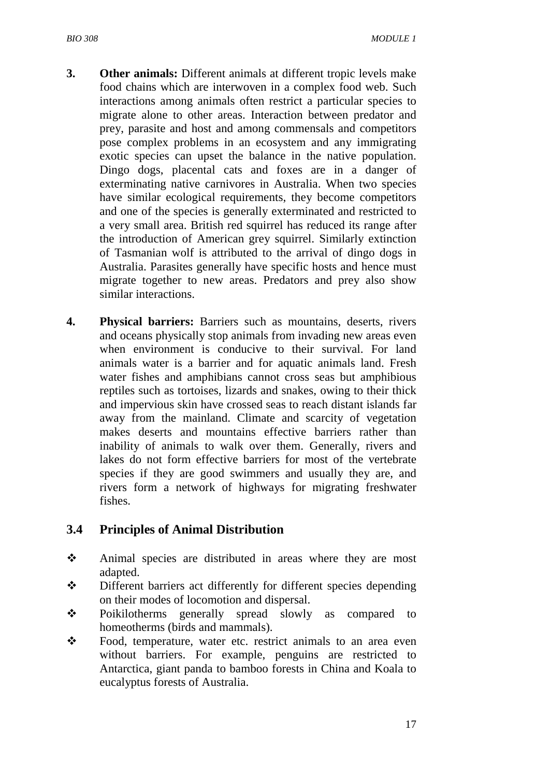- **3.** Other animals: Different animals at different tropic levels make food chains which are interwoven in a complex food web. Such interactions among animals often restrict a particular species to migrate alone to other areas. Interaction between predator and prey, parasite and host and among commensals and competitors pose complex problems in an ecosystem and any immigrating exotic species can upset the balance in the native population. Dingo dogs, placental cats and foxes are in a danger of exterminating native carnivores in Australia. When two species have similar ecological requirements, they become competitors and one of the species is generally exterminated and restricted to a very small area. British red squirrel has reduced its range after the introduction of American grey squirrel. Similarly extinction of Tasmanian wolf is attributed to the arrival of dingo dogs in Australia. Parasites generally have specific hosts and hence must migrate together to new areas. Predators and prey also show similar interactions.
- **4. Physical barriers:** Barriers such as mountains, deserts, rivers and oceans physically stop animals from invading new areas even when environment is conducive to their survival. For land animals water is a barrier and for aquatic animals land. Fresh water fishes and amphibians cannot cross seas but amphibious reptiles such as tortoises, lizards and snakes, owing to their thick and impervious skin have crossed seas to reach distant islands far away from the mainland. Climate and scarcity of vegetation makes deserts and mountains effective barriers rather than inability of animals to walk over them. Generally, rivers and lakes do not form effective barriers for most of the vertebrate species if they are good swimmers and usually they are, and rivers form a network of highways for migrating freshwater fishes.

#### **3.4 Principles of Animal Distribution**

- Animal species are distributed in areas where they are most adapted.
- Different barriers act differently for different species depending on their modes of locomotion and dispersal.
- Poikilotherms generally spread slowly as compared to homeotherms (birds and mammals).
- Food, temperature, water etc. restrict animals to an area even without barriers. For example, penguins are restricted to Antarctica, giant panda to bamboo forests in China and Koala to eucalyptus forests of Australia.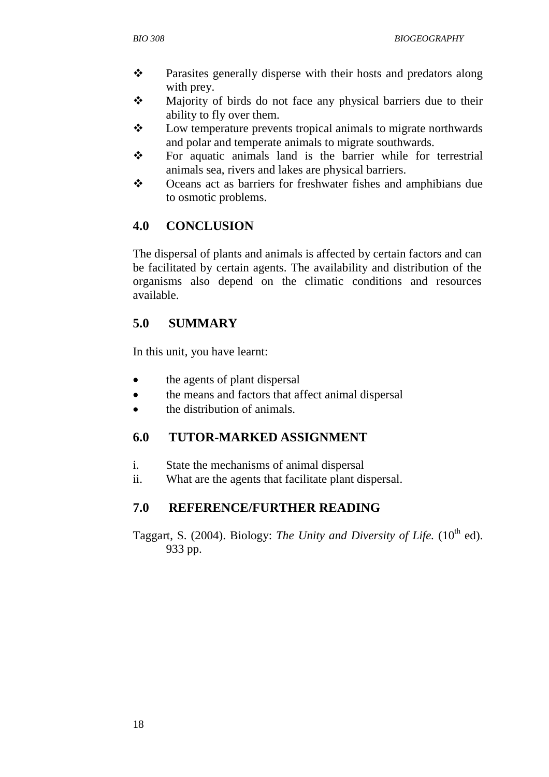- Parasites generally disperse with their hosts and predators along with prey.
- Majority of birds do not face any physical barriers due to their ability to fly over them.
- $\mathbf{\hat{P}}$  Low temperature prevents tropical animals to migrate northwards and polar and temperate animals to migrate southwards.
- $\mathbf{\hat{P}}$  For aquatic animals land is the barrier while for terrestrial animals sea, rivers and lakes are physical barriers.
- Oceans act as barriers for freshwater fishes and amphibians due to osmotic problems.

## **4.0 CONCLUSION**

The dispersal of plants and animals is affected by certain factors and can be facilitated by certain agents. The availability and distribution of the organisms also depend on the climatic conditions and resources available.

## **5.0 SUMMARY**

In this unit, you have learnt:

- the agents of plant dispersal
- the means and factors that affect animal dispersal
- the distribution of animals.

## **6.0 TUTOR-MARKED ASSIGNMENT**

- i. State the mechanisms of animal dispersal
- ii. What are the agents that facilitate plant dispersal.

## **7.0 REFERENCE/FURTHER READING**

Taggart, S. (2004). Biology: *The Unity and Diversity of Life.* (10<sup>th</sup> ed). 933 pp.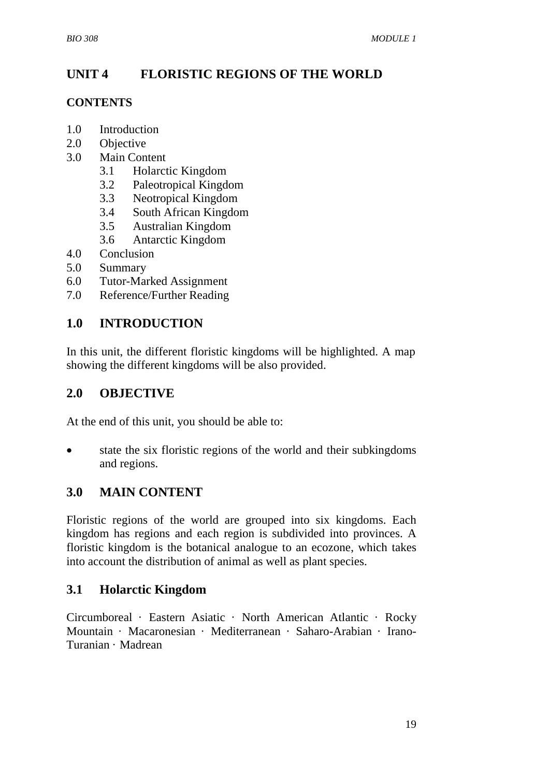## **UNIT 4 FLORISTIC REGIONS OF THE WORLD**

#### **CONTENTS**

- 1.0 Introduction
- 2.0 Objective
- 3.0 Main Content
	- 3.1 Holarctic Kingdom
	- 3.2 Paleotropical Kingdom
	- 3.3 Neotropical Kingdom
	- 3.4 South African Kingdom
	- 3.5 Australian Kingdom
	- 3.6 Antarctic Kingdom
- 4.0 Conclusion
- 5.0 Summary
- 6.0 Tutor-Marked Assignment
- 7.0 Reference/Further Reading

#### **1.0 INTRODUCTION**

In this unit, the different floristic kingdoms will be highlighted. A map showing the different kingdoms will be also provided.

#### **2.0 OBJECTIVE**

At the end of this unit, you should be able to:

state the six floristic regions of the world and their subkingdoms and regions.

#### **3.0 MAIN CONTENT**

Floristic regions of the world are grouped into six kingdoms. Each kingdom has regions and each region is subdivided into provinces. A floristic kingdom is the botanical analogue to an ecozone, which takes into account the distribution of animal as well as plant species.

#### **3.1 Holarctic Kingdom**

Circumboreal · Eastern Asiatic · North American Atlantic · Rocky Mountain · Macaronesian · Mediterranean · Saharo-Arabian · Irano-Turanian · Madrean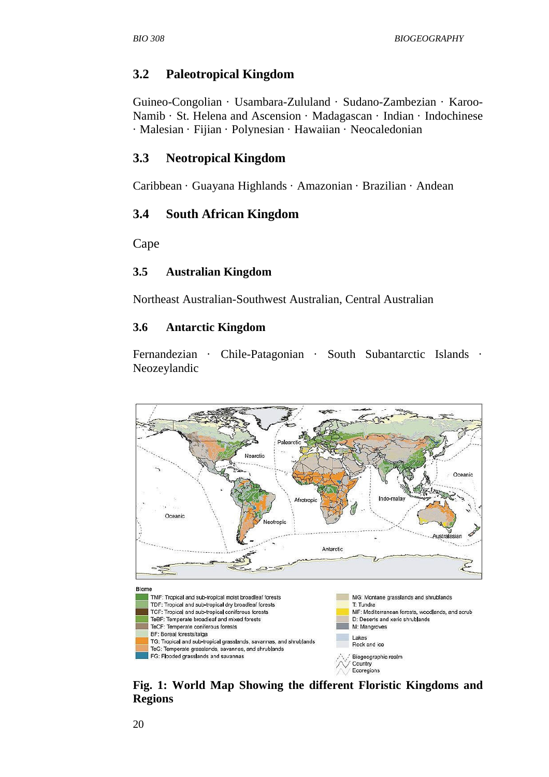#### **3.2 Paleotropical Kingdom**

Guineo-Congolian · Usambara-Zululand · Sudano-Zambezian · Karoo-Namib · St. Helena and Ascension · Madagascan · Indian · Indochinese · Malesian · Fijian · Polynesian · Hawaiian · Neocaledonian

#### **3.3 Neotropical Kingdom**

Caribbean · Guayana Highlands · Amazonian · Brazilian · Andean

#### **3.4 South African Kingdom**

Cape

#### **3.5 Australian Kingdom**

Northeast Australian-Southwest Australian, Central Australian

#### **3.6 Antarctic Kingdom**

Fernandezian · Chile-Patagonian · South Subantarctic Islands · Neozeylandic



**Fig. 1: World Map Showing the different Floristic Kingdoms and Regions**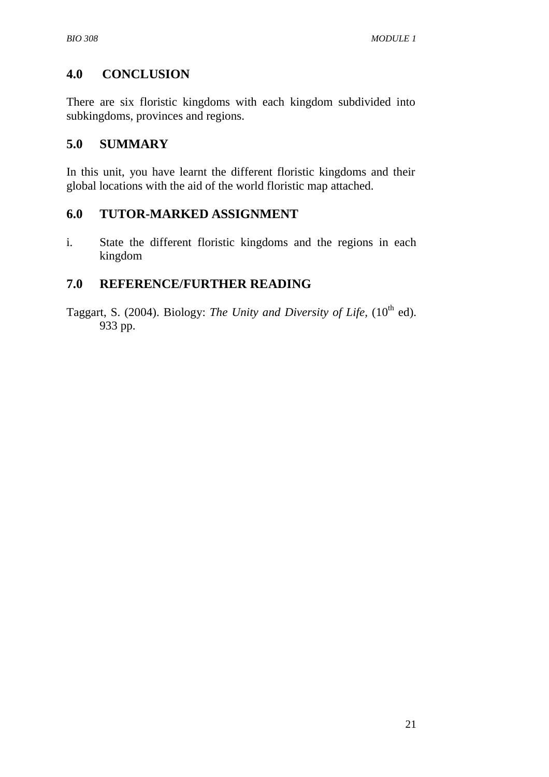### **4.0 CONCLUSION**

There are six floristic kingdoms with each kingdom subdivided into subkingdoms, provinces and regions.

#### **5.0 SUMMARY**

In this unit, you have learnt the different floristic kingdoms and their global locations with the aid of the world floristic map attached.

#### **6.0 TUTOR-MARKED ASSIGNMENT**

i. State the different floristic kingdoms and the regions in each kingdom

#### **7.0 REFERENCE/FURTHER READING**

Taggart, S. (2004). Biology: *The Unity and Diversity of Life*, (10<sup>th</sup> ed). 933 pp.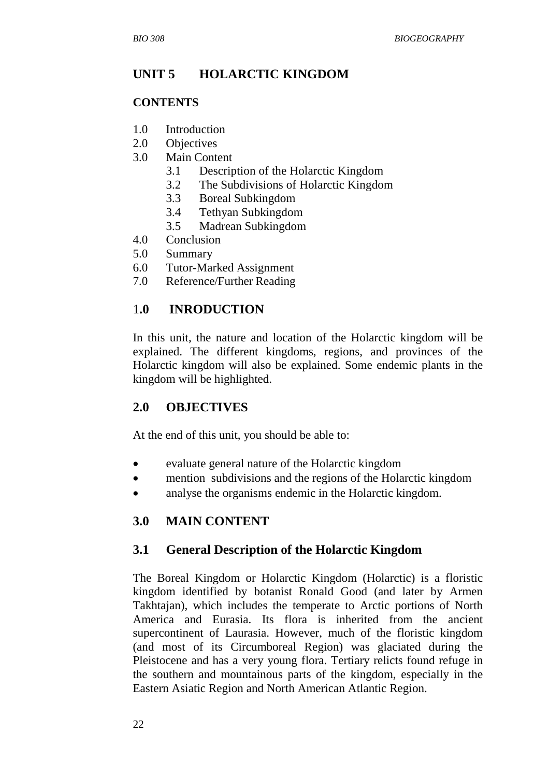## **UNIT 5 HOLARCTIC KINGDOM**

#### **CONTENTS**

- 1.0 Introduction
- 2.0 Objectives
- 3.0 Main Content
	- 3.1 Description of the Holarctic Kingdom
	- 3.2 The Subdivisions of Holarctic Kingdom
	- 3.3 Boreal Subkingdom
	- 3.4 Tethyan Subkingdom
	- 3.5 Madrean Subkingdom
- 4.0 Conclusion
- 5.0 Summary
- 6.0 Tutor-Marked Assignment
- 7.0 Reference/Further Reading

#### 1**.0 INRODUCTION**

In this unit, the nature and location of the Holarctic kingdom will be explained. The different kingdoms, regions, and provinces of the Holarctic kingdom will also be explained. Some endemic plants in the kingdom will be highlighted.

#### **2.0 OBJECTIVES**

At the end of this unit, you should be able to:

- evaluate general nature of the Holarctic kingdom
- mention subdivisions and the regions of the Holarctic kingdom
- analyse the organisms endemic in the Holarctic kingdom.

#### **3.0 MAIN CONTENT**

#### **3.1 General Description of the Holarctic Kingdom**

The Boreal Kingdom or Holarctic Kingdom (Holarctic) is a floristic kingdom identified by botanist Ronald Good (and later by Armen Takhtajan), which includes the temperate to Arctic portions of North America and Eurasia. Its flora is inherited from the ancient supercontinent of Laurasia. However, much of the floristic kingdom (and most of its Circumboreal Region) was glaciated during the Pleistocene and has a very young flora. Tertiary relicts found refuge in the southern and mountainous parts of the kingdom, especially in the Eastern Asiatic Region and North American Atlantic Region.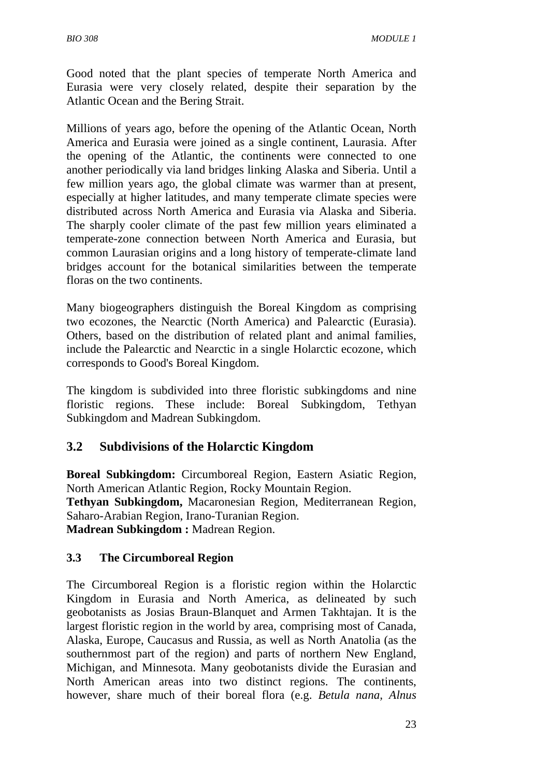Good noted that the plant species of temperate North America and Eurasia were very closely related, despite their separation by the Atlantic Ocean and the Bering Strait.

Millions of years ago, before the opening of the Atlantic Ocean, North America and Eurasia were joined as a single continent, Laurasia. After the opening of the Atlantic, the continents were connected to one another periodically via land bridges linking Alaska and Siberia. Until a few million years ago, the global climate was warmer than at present, especially at higher latitudes, and many temperate climate species were distributed across North America and Eurasia via Alaska and Siberia. The sharply cooler climate of the past few million years eliminated a temperate-zone connection between North America and Eurasia, but common Laurasian origins and a long history of temperate-climate land bridges account for the botanical similarities between the temperate floras on the two continents.

Many biogeographers distinguish the Boreal Kingdom as comprising two ecozones, the Nearctic (North America) and Palearctic (Eurasia). Others, based on the distribution of related plant and animal families, include the Palearctic and Nearctic in a single Holarctic ecozone, which corresponds to Good's Boreal Kingdom.

The kingdom is subdivided into three floristic subkingdoms and nine floristic regions. These include: Boreal Subkingdom, Tethyan Subkingdom and Madrean Subkingdom.

#### **3.2 Subdivisions of the Holarctic Kingdom**

**Boreal Subkingdom:** Circumboreal Region, Eastern Asiatic Region, North American Atlantic Region, Rocky Mountain Region. **Tethyan Subkingdom,** Macaronesian Region, Mediterranean Region, Saharo-Arabian Region, Irano-Turanian Region. **Madrean Subkingdom :** Madrean Region.

#### **3.3 The Circumboreal Region**

The Circumboreal Region is a floristic region within the Holarctic Kingdom in Eurasia and North America, as delineated by such geobotanists as Josias Braun-Blanquet and Armen Takhtajan. It is the largest floristic region in the world by area, comprising most of Canada, Alaska, Europe, Caucasus and Russia, as well as North Anatolia (as the southernmost part of the region) and parts of northern New England, Michigan, and Minnesota. Many geobotanists divide the Eurasian and North American areas into two distinct regions. The continents, however, share much of their boreal flora (e.g. *Betula nana, Alnus*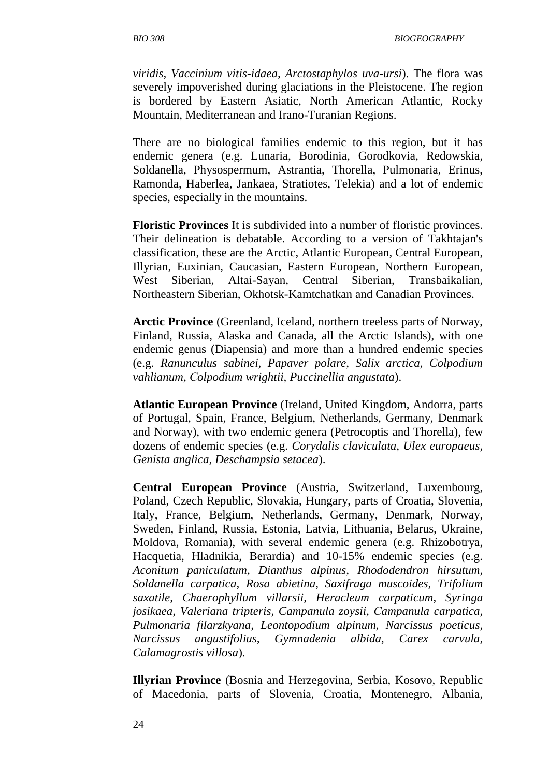*viridis, Vaccinium vitis-idaea, Arctostaphylos uva-ursi*). The flora was severely impoverished during glaciations in the Pleistocene. The region is bordered by Eastern Asiatic, North American Atlantic, Rocky Mountain, Mediterranean and Irano-Turanian Regions.

There are no biological families endemic to this region, but it has endemic genera (e.g. Lunaria, Borodinia, Gorodkovia, Redowskia, Soldanella, Physospermum, Astrantia, Thorella, Pulmonaria, Erinus, Ramonda, Haberlea, Jankaea, Stratiotes, Telekia) and a lot of endemic species, especially in the mountains.

**Floristic Provinces** It is subdivided into a number of floristic provinces. Their delineation is debatable. According to a version of Takhtajan's classification, these are the Arctic, Atlantic European, Central European, Illyrian, Euxinian, Caucasian, Eastern European, Northern European, West Siberian, Altai-Sayan, Central Siberian, Transbaikalian, Northeastern Siberian, Okhotsk-Kamtchatkan and Canadian Provinces.

**Arctic Province** (Greenland, Iceland, northern treeless parts of Norway, Finland, Russia, Alaska and Canada, all the Arctic Islands), with one endemic genus (Diapensia) and more than a hundred endemic species (e.g. *Ranunculus sabinei, Papaver polare, Salix arctica, Colpodium vahlianum,* С*olpodium wrightii, Puccinellia angustata*).

**Atlantic European Province** (Ireland, United Kingdom, Andorra, parts of Portugal, Spain, France, Belgium, Netherlands, Germany, Denmark and Norway), with two endemic genera (Petrocoptis and Thorella), few dozens of endemic species (e.g. *Corydalis claviculata, Ulex europaeus, Genista anglica, Deschampsia setacea*).

**Central European Province** (Austria, Switzerland, Luxembourg, Poland, Czech Republic, Slovakia, Hungary, parts of Croatia, Slovenia, Italy, France, Belgium, Netherlands, Germany, Denmark, Norway, Sweden, Finland, Russia, Estonia, Latvia, Lithuania, Belarus, Ukraine, Moldova, Romania), with several endemic genera (e.g. Rhizobotrya, Hacquetia, Hladnikia, Berardia) and 10-15% endemic species (e.g. *Aconitum paniculatum, Dianthus alpinus, Rhododendron hirsutum, Soldanella carpatica, Rosa abietina, Saxifraga muscoides, Trifolium saxatile, Chaerophyllum villarsii, Heracleum carpaticum, Syringa josikaea, Valeriana tripteris, Campanula zoysii,* С*ampanula carpatica, Pulmonaria filarzkyana, Leontopodium alpinum, Narcissus poeticus, Narcissus angustifolius, Gymnadenia albida, Carex carvula, Calamagrostis villosa*).

**Illyrian Province** (Bosnia and Herzegovina, Serbia, Kosovo, Republic of Macedonia, parts of Slovenia, Croatia, Montenegro, Albania,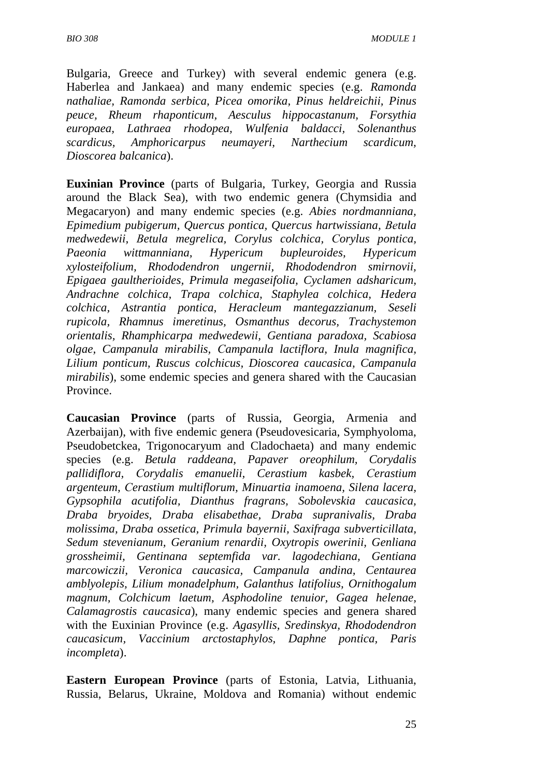Bulgaria, Greece and Turkey) with several endemic genera (e.g. Haberlea and Jankaea) and many endemic species (e.g. *Ramonda nathaliae, Ramonda serbica, Picea omorika, Pinus heldreichii, Pinus peuce, Rheum rhaponticum, Aesculus hippocastanum, Forsythia europaea, Lathraea rhodopea, Wulfenia baldacci, Solenanthus scardicus, Amphoricarpus neumayeri, Narthecium scardicum, Dioscorea balcanica*).

**Euxinian Province** (parts of Bulgaria, Turkey, Georgia and Russia around the Black Sea), with two endemic genera (Chymsidia and Megacaryon) and many endemic species (e.g. *Abies nordmanniana, Epimedium pubigerum, Quercus pontica, Quercus hartwissiana,* Ве*tula medwedewii,* В*etula megrelica, Corylus colchica,* С*orylus pontica, Paeonia wittmanniana, Hypericum bupleuroides, Hypericum xylosteifolium, Rhododendron ungernii, Rhododendron smirnovii, Epigaea gaultherioides, Primula megaseifolia, Cyclamen adsharicum, Andrachne colchica, Trapa colchica, Staphylea colchica, Hedera colchica, Astrantia pontica, Heracleum mantegazzianum, Seseli rupicola, Rhamnus imeretinus, Osmanthus decorus, Trachystemon orientalis, Rhamphicarpa medwedewii, Gentiana paradoxa, Scabiosa olgae, Campanula mirabilis,* С*ampanula lactiflora, Inula magnifica, Lilium ponticum, Ruscus colchicus, Dioscorea caucasica, Campanula mirabilis*), some endemic species and genera shared with the Caucasian Province.

**Caucasian Province** (parts of Russia, Georgia, Armenia and Azerbaijan), with five endemic genera (Pseudovesicaria, Symphyoloma, Pseudobetckea, Trigonocaryum and Cladochaeta) and many endemic species (e.g. *Betula raddeana, Papaver oreophilum, Corydalis pallidiflora,* С*orydalis emanuelii, Cerastium kasbek,* С*erastium argenteum,* С*erastium multiflorum, Minuartia inamoena, Silena lacera, Gypsophila acutifolia, Dianthus fragrans, Sobolevskia caucasica, Draba bryoides, Draba elisabethae, Draba supranivalis, Draba molissima, Draba ossetica, Primula bayernii, Saxifraga subverticillata, Sedum stevenianum, Geranium renardii, Oxytropis owerinii, Genliana grossheimii, Gentinana septemfida var. lagodechiana, Gentiana marcowiczii, Veronica caucasica, Campanula andina, Centaurea amblyolepis, Lilium monadelphum, Galanthus latifolius, Ornithogalum magnum, Colchicum laetum, Asphodoline tenuior, Gagea helenae, Calamagrostis caucasica*), many endemic species and genera shared with the Euxinian Province (e.g. *Agasyllis, Sredinskya, Rhododendron caucasicum, Vaccinium arctostaphylos, Daphne pontica, Paris incompleta*).

**Eastern European Province** (parts of Estonia, Latvia, Lithuania, Russia, Belarus, Ukraine, Moldova and Romania) without endemic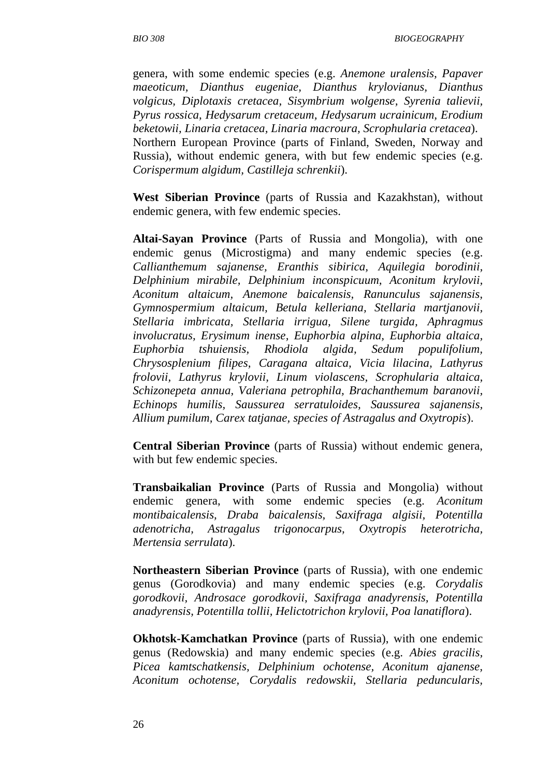genera, with some endemic species (e.g. *Anemone uralensis, Papaver maeoticum, Dianthus eugeniae, Dianthus krylovianus, Dianthus volgicus, Diplotaxis cretacea, Sisymbrium wolgense, Syrenia talievii, Pyrus rossica, Hedysarum cretaceum,* Н*edysarum ucrainicum, Erodium beketowii, Linaria cretacea, Linaria macroura, Scrophularia cretacea*). Northern European Province (parts of Finland, Sweden, Norway and Russia), without endemic genera, with but few endemic species (e.g. *Corispermum algidum, Castilleja schrenkii*).

**West Siberian Province** (parts of Russia and Kazakhstan), without endemic genera, with few endemic species.

**Altai-Sayan Province** (Parts of Russia and Mongolia), with one endemic genus (Microstigma) and many endemic species (e.g. *Callianthemum sajanense, Eranthis sibirica, Aquilegia borodinii, Delphinium mirabile, Delphinium inconspicuum, Aconitum krylovii, Aconitum altaicum, Anemone baicalensis, Ranunculus sajanensis, Gymnospermium altaicum, Betula kelleriana, Stellaria martjanovii, Stellaria imbricata, Stellaria irrigua, Silene turgida, Aphragmus involucratus, Erysimum inense, Euphorbia alpina, Euphorbia altaica, Euphorbia tshuiensis, Rhodiola algida, Sedum populifolium, Chrysosplenium filipes, Caragana altaica, Vicia lilacina, Lathyrus frolovii, Lathyrus krylovii, Linum violascens, Scrophularia altaica, Schizonepeta annua, Valeriana petrophila, Brachanthemum baranovii, Echinops humilis, Saussurea serratuloides, Saussurea sajanensis, Allium pumilum, Carex tatjanae, species of Astragalus and Oxytropis*).

**Central Siberian Province** (parts of Russia) without endemic genera, with but few endemic species.

**Transbaikalian Province** (Parts of Russia and Mongolia) without endemic genera, with some endemic species (e.g. *Aconitum montibaicalensis, Draba baicalensis, Saxifraga algisii, Potentilla adenotricha, Astragalus trigonocarpus, Oxytropis heterotricha, Mertensia serrulata*).

**Northeastern Siberian Province** (parts of Russia), with one endemic genus (Gorodkovia) and many endemic species (e.g. *Corydalis gorodkovii, Androsace gorodkovii, Saxifraga anadyrensis, Potentilla anadyrensis, Potentilla tollii, Helictotrichon krylovii, Poa lanatiflora*).

**Okhotsk-Kamchatkan Province** (parts of Russia), with one endemic genus (Redowskia) and many endemic species (e.g. *Abies gracilis, Picea kamtschatkensis, Delphinium ochotense, Aconitum ajanense, Aconitum ochotense, Corydalis redowskii, Stellaria peduncularis,*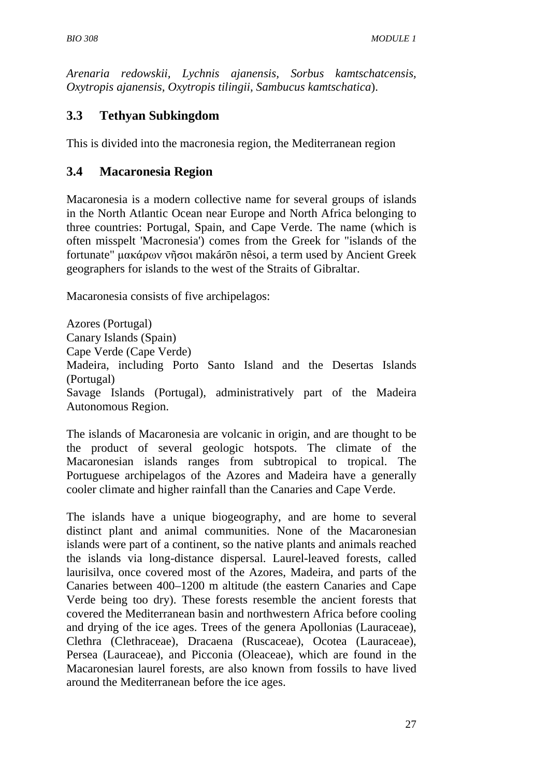*Arenaria redowskii, Lychnis ajanensis, Sorbus kamtschatcensis, Oxytropis ajanensis, Oxytropis tilingii, Sambucus kamtschatica*).

## **3.3 Tethyan Subkingdom**

This is divided into the macronesia region, the Mediterranean region

### **3.4 Macaronesia Region**

Macaronesia is a modern collective name for several groups of islands in the North Atlantic Ocean near Europe and North Africa belonging to three countries: Portugal, Spain, and Cape Verde. The name (which is often misspelt 'Macronesia') comes from the Greek for "islands of the fortunate" µακάρων νῆσοι makárōn nêsoi, a term used by Ancient Greek geographers for islands to the west of the Straits of Gibraltar.

Macaronesia consists of five archipelagos:

Azores (Portugal) Canary Islands (Spain) Cape Verde (Cape Verde) Madeira, including Porto Santo Island and the Desertas Islands (Portugal) Savage Islands (Portugal), administratively part of the Madeira Autonomous Region.

The islands of Macaronesia are volcanic in origin, and are thought to be the product of several geologic hotspots. The climate of the Macaronesian islands ranges from subtropical to tropical. The Portuguese archipelagos of the Azores and Madeira have a generally cooler climate and higher rainfall than the Canaries and Cape Verde.

The islands have a unique biogeography, and are home to several distinct plant and animal communities. None of the Macaronesian islands were part of a continent, so the native plants and animals reached the islands via long-distance dispersal. Laurel-leaved forests, called laurisilva, once covered most of the Azores, Madeira, and parts of the Canaries between 400–1200 m altitude (the eastern Canaries and Cape Verde being too dry). These forests resemble the ancient forests that covered the Mediterranean basin and northwestern Africa before cooling and drying of the ice ages. Trees of the genera Apollonias (Lauraceae), Clethra (Clethraceae), Dracaena (Ruscaceae), Ocotea (Lauraceae), Persea (Lauraceae), and Picconia (Oleaceae), which are found in the Macaronesian laurel forests, are also known from fossils to have lived around the Mediterranean before the ice ages.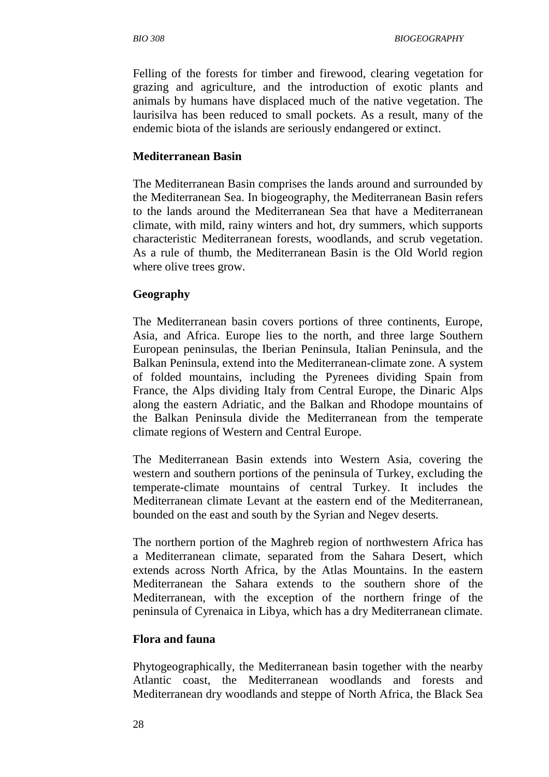Felling of the forests for timber and firewood, clearing vegetation for grazing and agriculture, and the introduction of exotic plants and animals by humans have displaced much of the native vegetation. The laurisilva has been reduced to small pockets. As a result, many of the endemic biota of the islands are seriously endangered or extinct.

#### **Mediterranean Basin**

The Mediterranean Basin comprises the lands around and surrounded by the Mediterranean Sea. In biogeography, the Mediterranean Basin refers to the lands around the Mediterranean Sea that have a Mediterranean climate, with mild, rainy winters and hot, dry summers, which supports characteristic Mediterranean forests, woodlands, and scrub vegetation. As a rule of thumb, the Mediterranean Basin is the Old World region where olive trees grow.

#### **Geography**

The Mediterranean basin covers portions of three continents, Europe, Asia, and Africa. Europe lies to the north, and three large Southern European peninsulas, the Iberian Peninsula, Italian Peninsula, and the Balkan Peninsula, extend into the Mediterranean-climate zone. A system of folded mountains, including the Pyrenees dividing Spain from France, the Alps dividing Italy from Central Europe, the Dinaric Alps along the eastern Adriatic, and the Balkan and Rhodope mountains of the Balkan Peninsula divide the Mediterranean from the temperate climate regions of Western and Central Europe.

The Mediterranean Basin extends into Western Asia, covering the western and southern portions of the peninsula of Turkey, excluding the temperate-climate mountains of central Turkey. It includes the Mediterranean climate Levant at the eastern end of the Mediterranean, bounded on the east and south by the Syrian and Negev deserts.

The northern portion of the Maghreb region of northwestern Africa has a Mediterranean climate, separated from the Sahara Desert, which extends across North Africa, by the Atlas Mountains. In the eastern Mediterranean the Sahara extends to the southern shore of the Mediterranean, with the exception of the northern fringe of the peninsula of Cyrenaica in Libya, which has a dry Mediterranean climate.

#### **Flora and fauna**

Phytogeographically, the Mediterranean basin together with the nearby Atlantic coast, the Mediterranean woodlands and forests and Mediterranean dry woodlands and steppe of North Africa, the Black Sea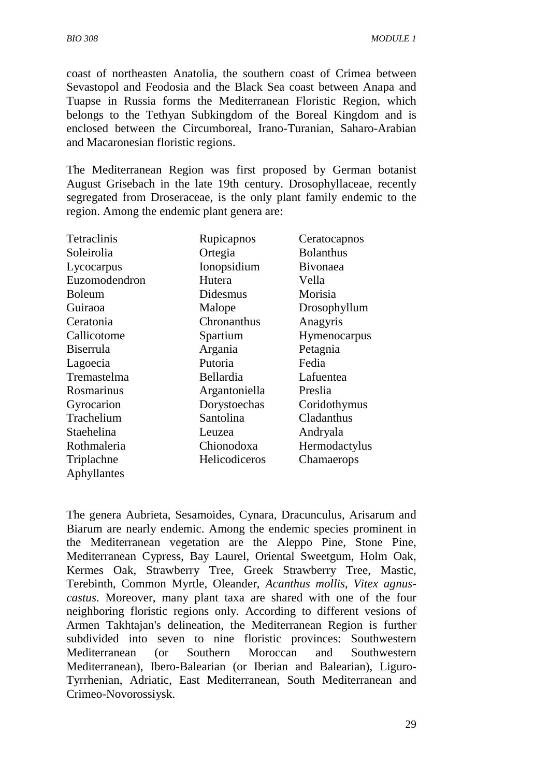coast of northeasten Anatolia, the southern coast of Crimea between Sevastopol and Feodosia and the Black Sea coast between Anapa and Tuapse in Russia forms the Mediterranean Floristic Region, which belongs to the Tethyan Subkingdom of the Boreal Kingdom and is enclosed between the Circumboreal, Irano-Turanian, Saharo-Arabian and Macaronesian floristic regions.

The Mediterranean Region was first proposed by German botanist August Grisebach in the late 19th century. Drosophyllaceae, recently segregated from Droseraceae, is the only plant family endemic to the region. Among the endemic plant genera are:

| <b>Tetraclinis</b> | Rupicapnos           | Ceratocapnos     |
|--------------------|----------------------|------------------|
| Soleirolia         | Ortegia              | <b>Bolanthus</b> |
| Lycocarpus         | Ionopsidium          | Bivonaea         |
| Euzomodendron      | Hutera               | Vella            |
| <b>Boleum</b>      | Didesmus             | Morisia          |
| Guiraoa            | Malope               | Drosophyllum     |
| Ceratonia          | Chronanthus          | Anagyris         |
| Callicotome        | Spartium             | Hymenocarpus     |
| <b>Biserrula</b>   | Argania              | Petagnia         |
| Lagoecia           | Putoria              | Fedia            |
| Tremastelma        | Bellardia            | Lafuentea        |
| Rosmarinus         | Argantoniella        | Preslia          |
| Gyrocarion         | Dorystoechas         | Coridothymus     |
| Trachelium         | Santolina            | Cladanthus       |
| Staehelina         | Leuzea               | Andryala         |
| Rothmaleria        | Chionodoxa           | Hermodactylus    |
| Triplachne         | <b>Helicodiceros</b> | Chamaerops       |
| Aphyllantes        |                      |                  |

The genera Aubrieta, Sesamoides, Cynara, Dracunculus, Arisarum and Biarum are nearly endemic. Among the endemic species prominent in the Mediterranean vegetation are the Aleppo Pine, Stone Pine, Mediterranean Cypress, Bay Laurel, Oriental Sweetgum, Holm Oak, Kermes Oak, Strawberry Tree, Greek Strawberry Tree, Mastic, Terebinth, Common Myrtle, Oleander, *Acanthus mollis, Vitex agnuscastus*. Moreover, many plant taxa are shared with one of the four neighboring floristic regions only. According to different vesions of Armen Takhtajan's delineation, the Mediterranean Region is further subdivided into seven to nine floristic provinces: Southwestern Mediterranean (or Southern Moroccan and Southwestern Mediterranean), Ibero-Balearian (or Iberian and Balearian), Liguro-Tyrrhenian, Adriatic, East Mediterranean, South Mediterranean and Crimeo-Novorossiysk.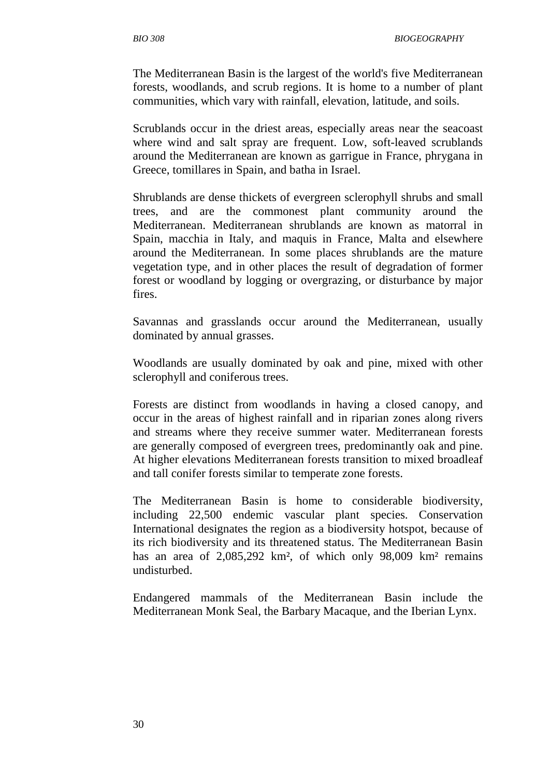The Mediterranean Basin is the largest of the world's five Mediterranean forests, woodlands, and scrub regions. It is home to a number of plant communities, which vary with rainfall, elevation, latitude, and soils.

Scrublands occur in the driest areas, especially areas near the seacoast where wind and salt spray are frequent. Low, soft-leaved scrublands around the Mediterranean are known as garrigue in France, phrygana in Greece, tomillares in Spain, and batha in Israel.

Shrublands are dense thickets of evergreen sclerophyll shrubs and small trees, and are the commonest plant community around the Mediterranean. Mediterranean shrublands are known as matorral in Spain, macchia in Italy, and maquis in France, Malta and elsewhere around the Mediterranean. In some places shrublands are the mature vegetation type, and in other places the result of degradation of former forest or woodland by logging or overgrazing, or disturbance by major fires.

Savannas and grasslands occur around the Mediterranean, usually dominated by annual grasses.

Woodlands are usually dominated by oak and pine, mixed with other sclerophyll and coniferous trees.

Forests are distinct from woodlands in having a closed canopy, and occur in the areas of highest rainfall and in riparian zones along rivers and streams where they receive summer water. Mediterranean forests are generally composed of evergreen trees, predominantly oak and pine. At higher elevations Mediterranean forests transition to mixed broadleaf and tall conifer forests similar to temperate zone forests.

The Mediterranean Basin is home to considerable biodiversity, including 22,500 endemic vascular plant species. Conservation International designates the region as a biodiversity hotspot, because of its rich biodiversity and its threatened status. The Mediterranean Basin has an area of 2,085,292 km<sup>2</sup>, of which only 98,009 km<sup>2</sup> remains undisturbed.

Endangered mammals of the Mediterranean Basin include the Mediterranean Monk Seal, the Barbary Macaque, and the Iberian Lynx.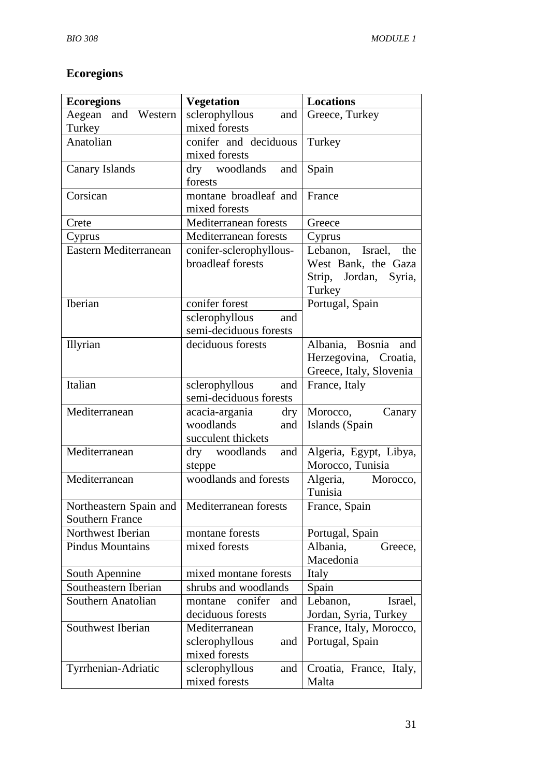# **Ecoregions**

| <b>Ecoregions</b>                              | <b>Vegetation</b>         | <b>Locations</b>        |
|------------------------------------------------|---------------------------|-------------------------|
| Aegean and Western                             | sclerophyllous<br>and     | Greece, Turkey          |
| Turkey                                         | mixed forests             |                         |
| Anatolian                                      | conifer and deciduous     | Turkey                  |
|                                                | mixed forests             |                         |
| Canary Islands                                 | dry woodlands<br>and      | Spain                   |
|                                                | forests                   |                         |
| Corsican                                       | montane broadleaf and     | France                  |
|                                                | mixed forests             |                         |
| Crete                                          | Mediterranean forests     | Greece                  |
| Cyprus                                         | Mediterranean forests     | Cyprus                  |
| Eastern Mediterranean                          | conifer-sclerophyllous-   | Lebanon, Israel, the    |
|                                                | broadleaf forests         | West Bank, the Gaza     |
|                                                |                           | Strip, Jordan, Syria,   |
|                                                |                           | Turkey                  |
| Iberian                                        | conifer forest            | Portugal, Spain         |
|                                                | sclerophyllous<br>and     |                         |
|                                                | semi-deciduous forests    |                         |
| Illyrian                                       | deciduous forests         | Albania, Bosnia<br>and  |
|                                                |                           | Herzegovina, Croatia,   |
|                                                |                           | Greece, Italy, Slovenia |
| Italian                                        | sclerophyllous<br>and     | France, Italy           |
|                                                | semi-deciduous forests    |                         |
| Mediterranean                                  | acacia-argania<br>dry     | Morocco,<br>Canary      |
|                                                | woodlands<br>and          | Islands (Spain          |
|                                                | succulent thickets        |                         |
| Mediterranean                                  | dry woodlands<br>and      | Algeria, Egypt, Libya,  |
|                                                | steppe                    | Morocco, Tunisia        |
| Mediterranean                                  | woodlands and forests     | Algeria, Morocco,       |
|                                                |                           | Tunisia                 |
| Northeastern Spain and   Mediterranean forests |                           | France, Spain           |
| <b>Southern France</b>                         |                           |                         |
| Northwest Iberian                              | montane forests           | Portugal, Spain         |
| <b>Pindus Mountains</b>                        | mixed forests             | Albania,<br>Greece,     |
|                                                |                           | Macedonia               |
| South Apennine                                 | mixed montane forests     | Italy                   |
| Southeastern Iberian                           | shrubs and woodlands      | Spain                   |
| Southern Anatolian                             | conifer<br>montane<br>and | Lebanon,<br>Israel,     |
|                                                | deciduous forests         | Jordan, Syria, Turkey   |
| Southwest Iberian                              | Mediterranean             | France, Italy, Morocco, |
|                                                | sclerophyllous<br>and     | Portugal, Spain         |
|                                                | mixed forests             |                         |
| Tyrrhenian-Adriatic                            | sclerophyllous<br>and     | Croatia, France, Italy, |
|                                                | mixed forests             | Malta                   |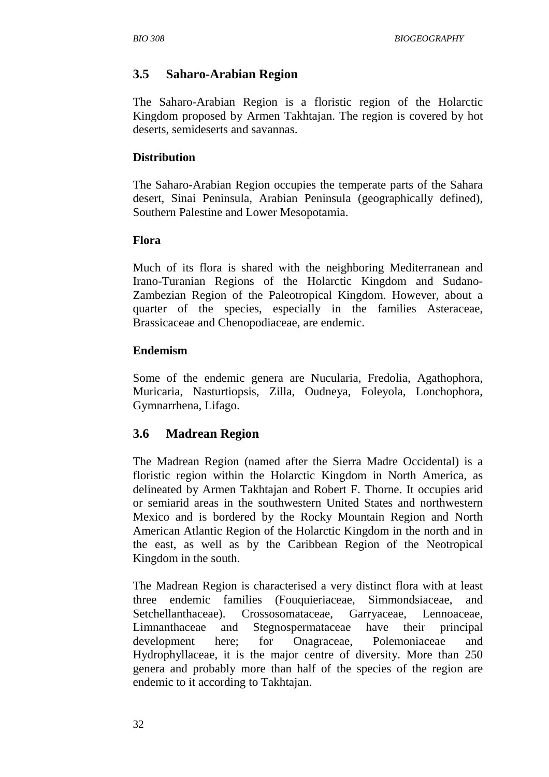## **3.5 Saharo-Arabian Region**

The Saharo-Arabian Region is a floristic region of the Holarctic Kingdom proposed by Armen Takhtajan. The region is covered by hot deserts, semideserts and savannas.

#### **Distribution**

The Saharo-Arabian Region occupies the temperate parts of the Sahara desert, Sinai Peninsula, Arabian Peninsula (geographically defined), Southern Palestine and Lower Mesopotamia.

#### **Flora**

Much of its flora is shared with the neighboring Mediterranean and Irano-Turanian Regions of the Holarctic Kingdom and Sudano-Zambezian Region of the Paleotropical Kingdom. However, about a quarter of the species, especially in the families Asteraceae, Brassicaceae and Chenopodiaceae, are endemic.

#### **Endemism**

Some of the endemic genera are Nucularia, Fredolia, Agathophora, Muricaria, Nasturtiopsis, Zilla, Oudneya, Foleyola, Lonchophora, Gymnarrhena, Lifago.

### **3.6 Madrean Region**

The Madrean Region (named after the Sierra Madre Occidental) is a floristic region within the Holarctic Kingdom in North America, as delineated by Armen Takhtajan and Robert F. Thorne. It occupies arid or semiarid areas in the southwestern United States and northwestern Mexico and is bordered by the Rocky Mountain Region and North American Atlantic Region of the Holarctic Kingdom in the north and in the east, as well as by the Caribbean Region of the Neotropical Kingdom in the south.

The Madrean Region is characterised a very distinct flora with at least three endemic families (Fouquieriaceae, Simmondsiaceae, and Setchellanthaceae). Crossosomataceae, Garryaceae, Lennoaceae, Limnanthaceae and Stegnospermataceae have their principal development here; for Onagraceae, Polemoniaceae and Hydrophyllaceae, it is the major centre of diversity. More than 250 genera and probably more than half of the species of the region are endemic to it according to Takhtajan.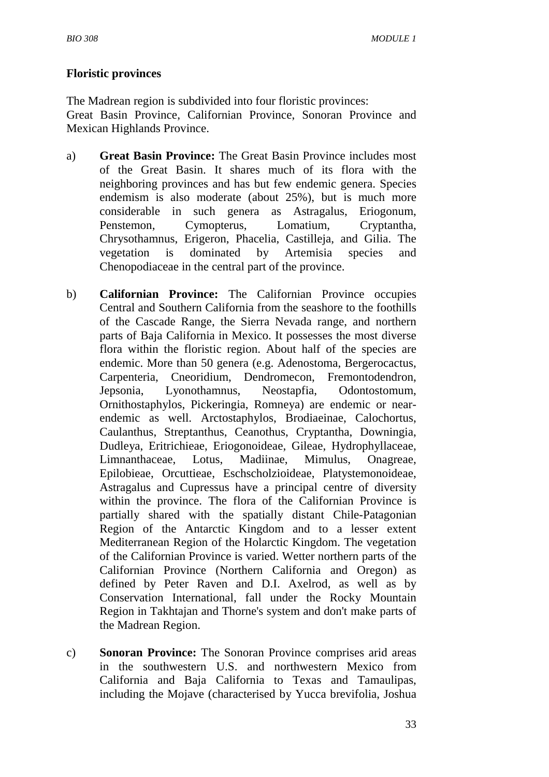#### **Floristic provinces**

The Madrean region is subdivided into four floristic provinces:

Great Basin Province, Californian Province, Sonoran Province and Mexican Highlands Province.

- a) **Great Basin Province:** The Great Basin Province includes most of the Great Basin. It shares much of its flora with the neighboring provinces and has but few endemic genera. Species endemism is also moderate (about 25%), but is much more considerable in such genera as Astragalus, Eriogonum, Penstemon, Cymopterus, Lomatium, Cryptantha, Chrysothamnus, Erigeron, Phacelia, Castilleja, and Gilia. The vegetation is dominated by Artemisia species and Chenopodiaceae in the central part of the province.
- b) **Californian Province:** The Californian Province occupies Central and Southern California from the seashore to the foothills of the Cascade Range, the Sierra Nevada range, and northern parts of Baja California in Mexico. It possesses the most diverse flora within the floristic region. About half of the species are endemic. More than 50 genera (e.g. Adenostoma, Bergerocactus, Carpenteria, Cneoridium, Dendromecon, Fremontodendron, Jepsonia, Lyonothamnus, Neostapfia, Odontostomum, Ornithostaphylos, Pickeringia, Romneya) are endemic or nearendemic as well. Arctostaphylos, Brodiaeinae, Calochortus, Caulanthus, Streptanthus, Ceanothus, Cryptantha, Downingia, Dudleya, Eritrichieae, Eriogonoideae, Gileae, Hydrophyllaceae, Limnanthaceae, Lotus, Madiinae, Mimulus, Onagreae, Epilobieae, Orcuttieae, Eschscholzioideae, Platystemonoideae, Astragalus and Cupressus have a principal centre of diversity within the province. The flora of the Californian Province is partially shared with the spatially distant Chile-Patagonian Region of the Antarctic Kingdom and to a lesser extent Mediterranean Region of the Holarctic Kingdom. The vegetation of the Californian Province is varied. Wetter northern parts of the Californian Province (Northern California and Oregon) as defined by Peter Raven and D.I. Axelrod, as well as by Conservation International, fall under the Rocky Mountain Region in Takhtajan and Thorne's system and don't make parts of the Madrean Region.
- c) **Sonoran Province:** The Sonoran Province comprises arid areas in the southwestern U.S. and northwestern Mexico from California and Baja California to Texas and Tamaulipas, including the Mojave (characterised by Yucca brevifolia, Joshua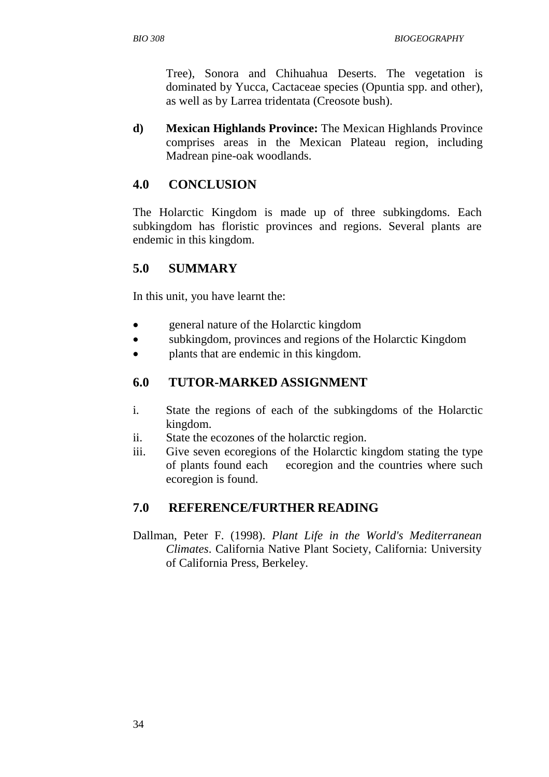Tree), Sonora and Chihuahua Deserts. The vegetation is dominated by Yucca, Cactaceae species (Opuntia spp. and other), as well as by Larrea tridentata (Creosote bush).

**d) Mexican Highlands Province:** The Mexican Highlands Province comprises areas in the Mexican Plateau region, including Madrean pine-oak woodlands.

## **4.0 CONCLUSION**

The Holarctic Kingdom is made up of three subkingdoms. Each subkingdom has floristic provinces and regions. Several plants are endemic in this kingdom.

### **5.0 SUMMARY**

In this unit, you have learnt the:

- general nature of the Holarctic kingdom
- subkingdom, provinces and regions of the Holarctic Kingdom
- plants that are endemic in this kingdom.

### **6.0 TUTOR-MARKED ASSIGNMENT**

- i. State the regions of each of the subkingdoms of the Holarctic kingdom.
- ii. State the ecozones of the holarctic region.
- iii. Give seven ecoregions of the Holarctic kingdom stating the type of plants found each ecoregion and the countries where such ecoregion is found.

# **7.0 REFERENCE/FURTHER READING**

Dallman, Peter F. (1998). *Plant Life in the World's Mediterranean Climates*. California Native Plant Society, California: University of California Press, Berkeley.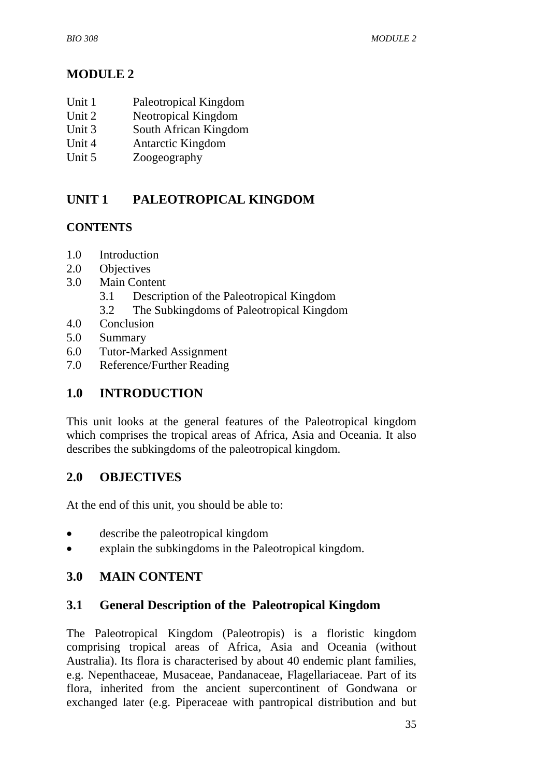# **MODULE 2**

- Unit 1 Paleotropical Kingdom
- Unit 2 Neotropical Kingdom
- Unit 3 South African Kingdom
- Unit 4 Antarctic Kingdom
- Unit 5 Zoogeography

# **UNIT 1 PALEOTROPICAL KINGDOM**

# **CONTENTS**

- 1.0 Introduction
- 2.0 Objectives
- 3.0 Main Content
	- 3.1 Description of the Paleotropical Kingdom
	- 3.2 The Subkingdoms of Paleotropical Kingdom
- 4.0 Conclusion
- 5.0 Summary
- 6.0 Tutor-Marked Assignment
- 7.0 Reference/Further Reading

# **1.0 INTRODUCTION**

This unit looks at the general features of the Paleotropical kingdom which comprises the tropical areas of Africa, Asia and Oceania. It also describes the subkingdoms of the paleotropical kingdom.

# **2.0 OBJECTIVES**

At the end of this unit, you should be able to:

- describe the paleotropical kingdom
- explain the subkingdoms in the Paleotropical kingdom.

# **3.0 MAIN CONTENT**

# **3.1 General Description of the Paleotropical Kingdom**

The Paleotropical Kingdom (Paleotropis) is a floristic kingdom comprising tropical areas of Africa, Asia and Oceania (without Australia). Its flora is characterised by about 40 endemic plant families, e.g. Nepenthaceae, Musaceae, Pandanaceae, Flagellariaceae. Part of its flora, inherited from the ancient supercontinent of Gondwana or exchanged later (e.g. Piperaceae with pantropical distribution and but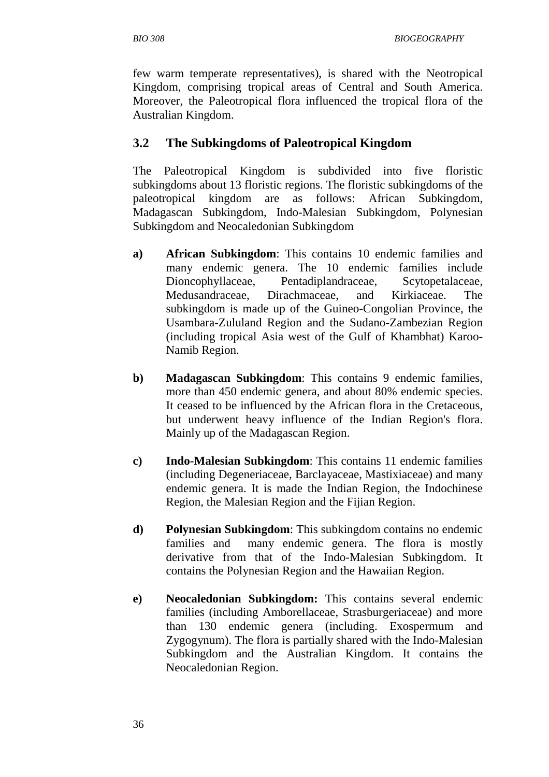*BIO 308 BIOGEOGRAPHY* 

few warm temperate representatives), is shared with the Neotropical Kingdom, comprising tropical areas of Central and South America. Moreover, the Paleotropical flora influenced the tropical flora of the Australian Kingdom.

### **3.2 The Subkingdoms of Paleotropical Kingdom**

The Paleotropical Kingdom is subdivided into five floristic subkingdoms about 13 floristic regions. The floristic subkingdoms of the paleotropical kingdom are as follows: African Subkingdom, Madagascan Subkingdom, Indo-Malesian Subkingdom, Polynesian Subkingdom and Neocaledonian Subkingdom

- **a) African Subkingdom**: This contains 10 endemic families and many endemic genera. The 10 endemic families include Dioncophyllaceae, Pentadiplandraceae, Scytopetalaceae, Medusandraceae, Dirachmaceae, and Kirkiaceae. The subkingdom is made up of the Guineo-Congolian Province, the Usambara-Zululand Region and the Sudano-Zambezian Region (including tropical Asia west of the Gulf of Khambhat) Karoo-Namib Region.
- **b) Madagascan Subkingdom**: This contains 9 endemic families, more than 450 endemic genera, and about 80% endemic species. It ceased to be influenced by the African flora in the Cretaceous, but underwent heavy influence of the Indian Region's flora. Mainly up of the Madagascan Region.
- **c) Indo-Malesian Subkingdom**: This contains 11 endemic families (including Degeneriaceae, Barclayaceae, Mastixiaceae) and many endemic genera. It is made the Indian Region, the Indochinese Region, the Malesian Region and the Fijian Region.
- **d) Polynesian Subkingdom**: This subkingdom contains no endemic families and many endemic genera. The flora is mostly derivative from that of the Indo-Malesian Subkingdom. It contains the Polynesian Region and the Hawaiian Region.
- **e) Neocaledonian Subkingdom:** This contains several endemic families (including Amborellaceae, Strasburgeriaceae) and more than 130 endemic genera (including. Exospermum and Zygogynum). The flora is partially shared with the Indo-Malesian Subkingdom and the Australian Kingdom. It contains the Neocaledonian Region.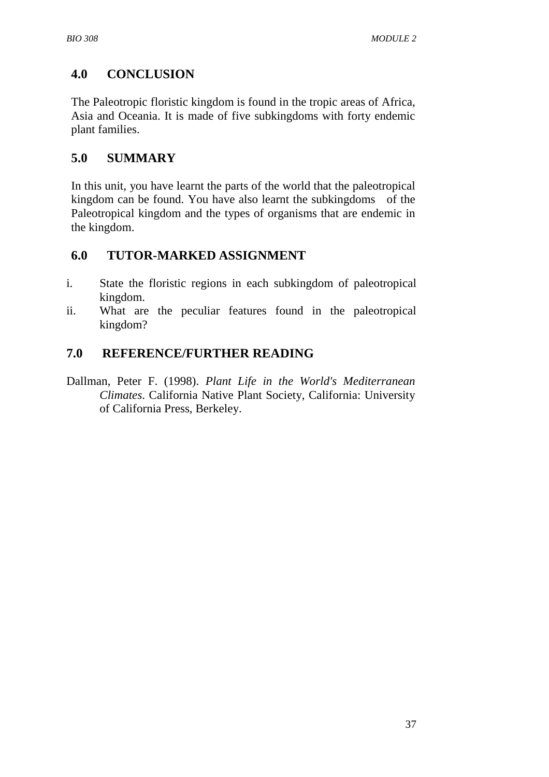# **4.0 CONCLUSION**

The Paleotropic floristic kingdom is found in the tropic areas of Africa, Asia and Oceania. It is made of five subkingdoms with forty endemic plant families.

### **5.0 SUMMARY**

In this unit, you have learnt the parts of the world that the paleotropical kingdom can be found. You have also learnt the subkingdoms of the Paleotropical kingdom and the types of organisms that are endemic in the kingdom.

### **6.0 TUTOR-MARKED ASSIGNMENT**

- i. State the floristic regions in each subkingdom of paleotropical kingdom.
- ii. What are the peculiar features found in the paleotropical kingdom?

## **7.0 REFERENCE/FURTHER READING**

Dallman, Peter F. (1998). *Plant Life in the World's Mediterranean Climates*. California Native Plant Society, California: University of California Press, Berkeley.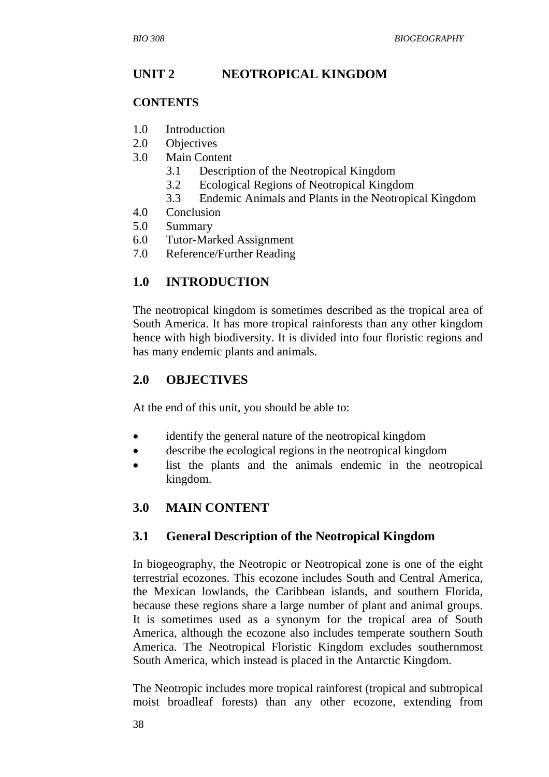# **UNIT 2 NEOTROPICAL KINGDOM**

#### **CONTENTS**

- 1.0 Introduction
- 2.0 Objectives
- 3.0 Main Content
	- 3.1 Description of the Neotropical Kingdom
	- 3.2 Ecological Regions of Neotropical Kingdom
	- 3.3 Endemic Animals and Plants in the Neotropical Kingdom
- 4.0 Conclusion
- 5.0 Summary
- 6.0 Tutor-Marked Assignment
- 7.0 Reference/Further Reading

### **1.0 INTRODUCTION**

The neotropical kingdom is sometimes described as the tropical area of South America. It has more tropical rainforests than any other kingdom hence with high biodiversity. It is divided into four floristic regions and has many endemic plants and animals.

#### **2.0 OBJECTIVES**

At the end of this unit, you should be able to:

- identify the general nature of the neotropical kingdom
- describe the ecological regions in the neotropical kingdom
- list the plants and the animals endemic in the neotropical kingdom.

### **3.0 MAIN CONTENT**

### **3.1 General Description of the Neotropical Kingdom**

In biogeography, the Neotropic or Neotropical zone is one of the eight terrestrial ecozones. This ecozone includes South and Central America, the Mexican lowlands, the Caribbean islands, and southern Florida, because these regions share a large number of plant and animal groups. It is sometimes used as a synonym for the tropical area of South America, although the ecozone also includes temperate southern South America. The Neotropical Floristic Kingdom excludes southernmost South America, which instead is placed in the Antarctic Kingdom.

The Neotropic includes more tropical rainforest (tropical and subtropical moist broadleaf forests) than any other ecozone, extending from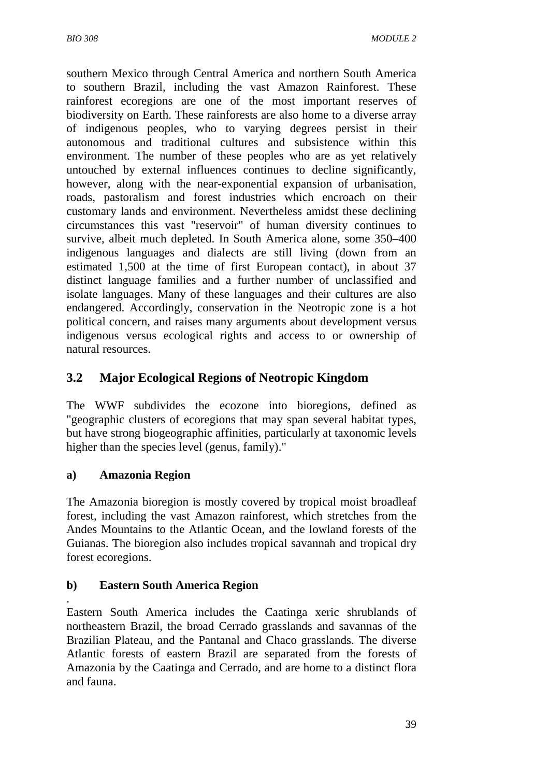southern Mexico through Central America and northern South America to southern Brazil, including the vast Amazon Rainforest. These rainforest ecoregions are one of the most important reserves of biodiversity on Earth. These rainforests are also home to a diverse array of indigenous peoples, who to varying degrees persist in their autonomous and traditional cultures and subsistence within this environment. The number of these peoples who are as yet relatively untouched by external influences continues to decline significantly, however, along with the near-exponential expansion of urbanisation, roads, pastoralism and forest industries which encroach on their customary lands and environment. Nevertheless amidst these declining circumstances this vast "reservoir" of human diversity continues to survive, albeit much depleted. In South America alone, some 350–400 indigenous languages and dialects are still living (down from an estimated 1,500 at the time of first European contact), in about 37 distinct language families and a further number of unclassified and isolate languages. Many of these languages and their cultures are also endangered. Accordingly, conservation in the Neotropic zone is a hot political concern, and raises many arguments about development versus indigenous versus ecological rights and access to or ownership of natural resources.

# **3.2 Major Ecological Regions of Neotropic Kingdom**

The WWF subdivides the ecozone into bioregions, defined as "geographic clusters of ecoregions that may span several habitat types, but have strong biogeographic affinities, particularly at taxonomic levels higher than the species level (genus, family)."

### **a) Amazonia Region**

The Amazonia bioregion is mostly covered by tropical moist broadleaf forest, including the vast Amazon rainforest, which stretches from the Andes Mountains to the Atlantic Ocean, and the lowland forests of the Guianas. The bioregion also includes tropical savannah and tropical dry forest ecoregions.

### **b) Eastern South America Region**

. Eastern South America includes the Caatinga xeric shrublands of northeastern Brazil, the broad Cerrado grasslands and savannas of the Brazilian Plateau, and the Pantanal and Chaco grasslands. The diverse Atlantic forests of eastern Brazil are separated from the forests of Amazonia by the Caatinga and Cerrado, and are home to a distinct flora and fauna.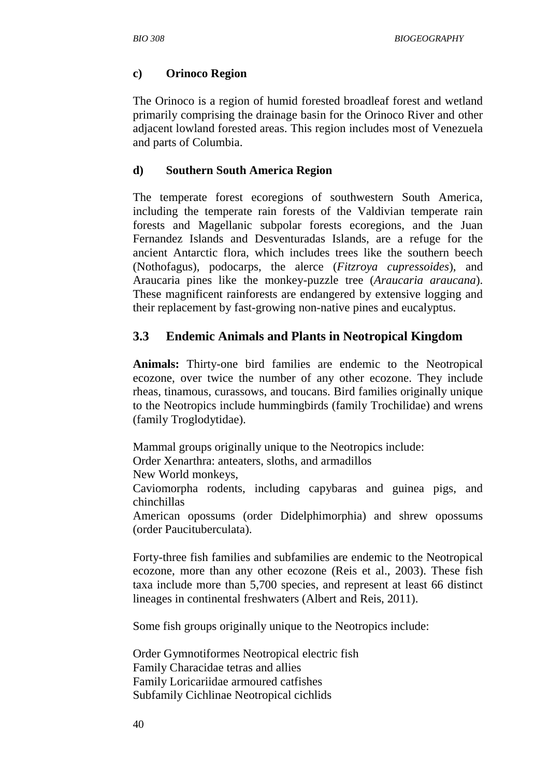#### **c) Orinoco Region**

The Orinoco is a region of humid forested broadleaf forest and wetland primarily comprising the drainage basin for the Orinoco River and other adjacent lowland forested areas. This region includes most of Venezuela and parts of Columbia.

#### **d) Southern South America Region**

The temperate forest ecoregions of southwestern South America, including the temperate rain forests of the Valdivian temperate rain forests and Magellanic subpolar forests ecoregions, and the Juan Fernandez Islands and Desventuradas Islands, are a refuge for the ancient Antarctic flora, which includes trees like the southern beech (Nothofagus), podocarps, the alerce (*Fitzroya cupressoides*), and Araucaria pines like the monkey-puzzle tree (*Araucaria araucana*). These magnificent rainforests are endangered by extensive logging and their replacement by fast-growing non-native pines and eucalyptus.

## **3.3 Endemic Animals and Plants in Neotropical Kingdom**

**Animals:** Thirty-one bird families are endemic to the Neotropical ecozone, over twice the number of any other ecozone. They include rheas, tinamous, curassows, and toucans. Bird families originally unique to the Neotropics include hummingbirds (family Trochilidae) and wrens (family Troglodytidae).

Mammal groups originally unique to the Neotropics include: Order Xenarthra: anteaters, sloths, and armadillos

New World monkeys,

Caviomorpha rodents, including capybaras and guinea pigs, and chinchillas

American opossums (order Didelphimorphia) and shrew opossums (order Paucituberculata).

Forty-three fish families and subfamilies are endemic to the Neotropical ecozone, more than any other ecozone (Reis et al., 2003). These fish taxa include more than 5,700 species, and represent at least 66 distinct lineages in continental freshwaters (Albert and Reis, 2011).

Some fish groups originally unique to the Neotropics include:

Order Gymnotiformes Neotropical electric fish Family Characidae tetras and allies Family Loricariidae armoured catfishes Subfamily Cichlinae Neotropical cichlids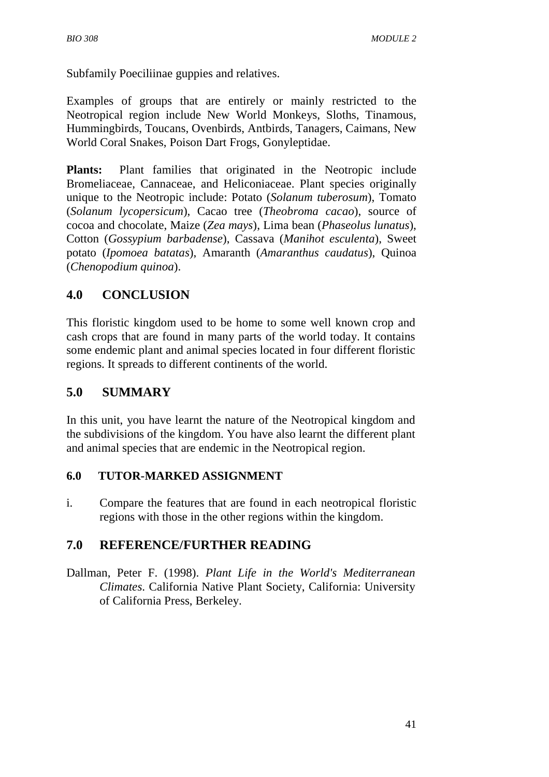Subfamily Poeciliinae guppies and relatives.

Examples of groups that are entirely or mainly restricted to the Neotropical region include New World Monkeys, Sloths, Tinamous, Hummingbirds, Toucans, Ovenbirds, Antbirds, Tanagers, Caimans, New World Coral Snakes, Poison Dart Frogs, Gonyleptidae.

**Plants:** Plant families that originated in the Neotropic include Bromeliaceae, Cannaceae, and Heliconiaceae. Plant species originally unique to the Neotropic include: Potato (*Solanum tuberosum*), Tomato (*Solanum lycopersicum*), Cacao tree (*Theobroma cacao*), source of cocoa and chocolate, Maize (*Zea mays*), Lima bean (*Phaseolus lunatus*), Cotton (*Gossypium barbadense*), Cassava (*Manihot esculenta*), Sweet potato (*Ipomoea batatas*), Amaranth (*Amaranthus caudatus*), Quinoa (*Chenopodium quinoa*).

# **4.0 CONCLUSION**

This floristic kingdom used to be home to some well known crop and cash crops that are found in many parts of the world today. It contains some endemic plant and animal species located in four different floristic regions. It spreads to different continents of the world.

# **5.0 SUMMARY**

In this unit, you have learnt the nature of the Neotropical kingdom and the subdivisions of the kingdom. You have also learnt the different plant and animal species that are endemic in the Neotropical region.

### **6.0 TUTOR-MARKED ASSIGNMENT**

i. Compare the features that are found in each neotropical floristic regions with those in the other regions within the kingdom.

# **7.0 REFERENCE/FURTHER READING**

Dallman, Peter F. (1998). *Plant Life in the World's Mediterranean Climates*. California Native Plant Society, California: University of California Press, Berkeley.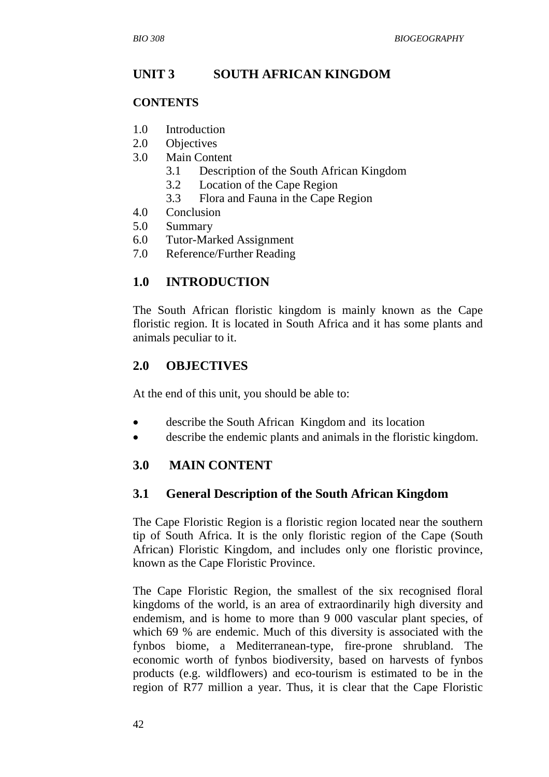## **UNIT 3 SOUTH AFRICAN KINGDOM**

#### **CONTENTS**

- 1.0 Introduction
- 2.0 Objectives
- 3.0 Main Content
	- 3.1 Description of the South African Kingdom
	- 3.2 Location of the Cape Region
	- 3.3 Flora and Fauna in the Cape Region
- 4.0 Conclusion
- 5.0 Summary
- 6.0 Tutor-Marked Assignment
- 7.0 Reference/Further Reading

#### **1.0 INTRODUCTION**

The South African floristic kingdom is mainly known as the Cape floristic region. It is located in South Africa and it has some plants and animals peculiar to it.

#### **2.0 OBJECTIVES**

At the end of this unit, you should be able to:

- describe the South African Kingdom and its location
- describe the endemic plants and animals in the floristic kingdom.

### **3.0 MAIN CONTENT**

#### **3.1 General Description of the South African Kingdom**

The Cape Floristic Region is a floristic region located near the southern tip of South Africa. It is the only floristic region of the Cape (South African) Floristic Kingdom, and includes only one floristic province, known as the Cape Floristic Province.

The Cape Floristic Region, the smallest of the six recognised floral kingdoms of the world, is an area of extraordinarily high diversity and endemism, and is home to more than 9 000 vascular plant species, of which 69 % are endemic. Much of this diversity is associated with the fynbos biome, a Mediterranean-type, fire-prone shrubland. The economic worth of fynbos biodiversity, based on harvests of fynbos products (e.g. wildflowers) and eco-tourism is estimated to be in the region of R77 million a year. Thus, it is clear that the Cape Floristic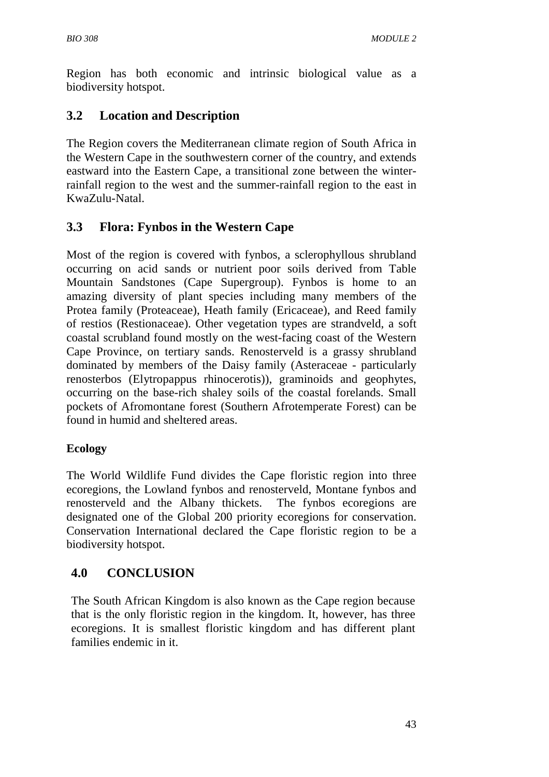Region has both economic and intrinsic biological value as a biodiversity hotspot.

# **3.2 Location and Description**

The Region covers the Mediterranean climate region of South Africa in the Western Cape in the southwestern corner of the country, and extends eastward into the Eastern Cape, a transitional zone between the winterrainfall region to the west and the summer-rainfall region to the east in KwaZulu-Natal.

# **3.3 Flora: Fynbos in the Western Cape**

Most of the region is covered with fynbos, a sclerophyllous shrubland occurring on acid sands or nutrient poor soils derived from Table Mountain Sandstones (Cape Supergroup). Fynbos is home to an amazing diversity of plant species including many members of the Protea family (Proteaceae), Heath family (Ericaceae), and Reed family of restios (Restionaceae). Other vegetation types are strandveld, a soft coastal scrubland found mostly on the west-facing coast of the Western Cape Province, on tertiary sands. Renosterveld is a grassy shrubland dominated by members of the Daisy family (Asteraceae - particularly renosterbos (Elytropappus rhinocerotis)), graminoids and geophytes, occurring on the base-rich shaley soils of the coastal forelands. Small pockets of Afromontane forest (Southern Afrotemperate Forest) can be found in humid and sheltered areas.

### **Ecology**

The World Wildlife Fund divides the Cape floristic region into three ecoregions, the Lowland fynbos and renosterveld, Montane fynbos and renosterveld and the Albany thickets. The fynbos ecoregions are designated one of the Global 200 priority ecoregions for conservation. Conservation International declared the Cape floristic region to be a biodiversity hotspot.

# **4.0 CONCLUSION**

The South African Kingdom is also known as the Cape region because that is the only floristic region in the kingdom. It, however, has three ecoregions. It is smallest floristic kingdom and has different plant families endemic in it.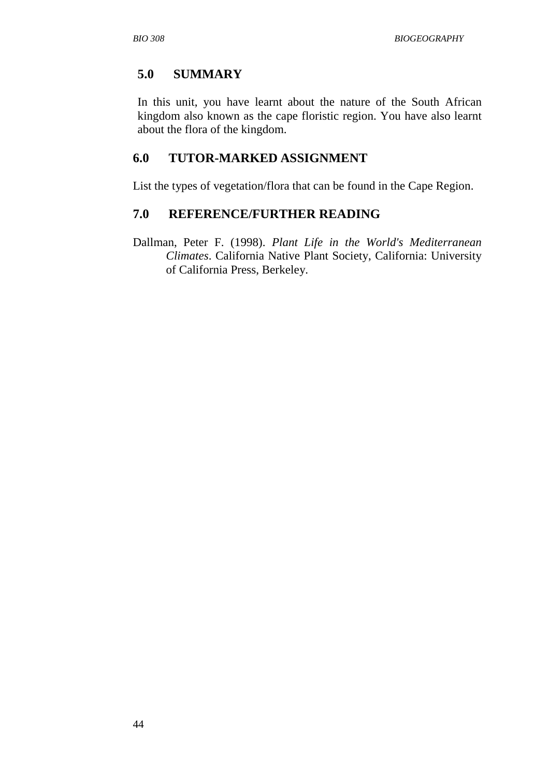# **5.0 SUMMARY**

In this unit, you have learnt about the nature of the South African kingdom also known as the cape floristic region. You have also learnt about the flora of the kingdom.

### **6.0 TUTOR-MARKED ASSIGNMENT**

List the types of vegetation/flora that can be found in the Cape Region.

#### **7.0 REFERENCE/FURTHER READING**

Dallman, Peter F. (1998). *Plant Life in the World's Mediterranean Climates*. California Native Plant Society, California: University of California Press, Berkeley.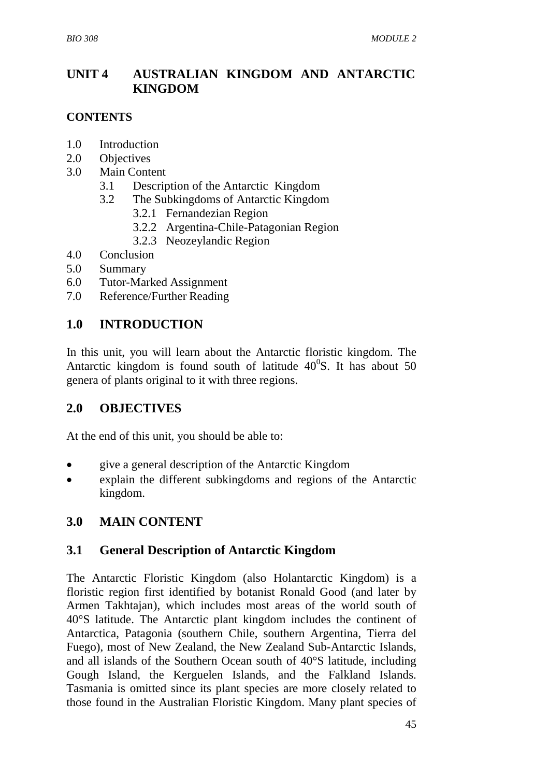# **UNIT 4 AUSTRALIAN KINGDOM AND ANTARCTIC KINGDOM**

#### **CONTENTS**

- 1.0 Introduction
- 2.0 Objectives
- 3.0 Main Content
	- 3.1 Description of the Antarctic Kingdom
	- 3.2 The Subkingdoms of Antarctic Kingdom
		- 3.2.1 Fernandezian Region
		- 3.2.2 Argentina-Chile-Patagonian Region
		- 3.2.3 Neozeylandic Region
- 4.0 Conclusion
- 5.0 Summary
- 6.0 Tutor-Marked Assignment
- 7.0 Reference/Further Reading

## **1.0 INTRODUCTION**

In this unit, you will learn about the Antarctic floristic kingdom. The Antarctic kingdom is found south of latitude  $40^{\circ}$ S. It has about 50 genera of plants original to it with three regions.

### **2.0 OBJECTIVES**

At the end of this unit, you should be able to:

- give a general description of the Antarctic Kingdom
- explain the different subkingdoms and regions of the Antarctic kingdom.

### **3.0 MAIN CONTENT**

### **3.1 General Description of Antarctic Kingdom**

The Antarctic Floristic Kingdom (also Holantarctic Kingdom) is a floristic region first identified by botanist Ronald Good (and later by Armen Takhtajan), which includes most areas of the world south of 40°S latitude. The Antarctic plant kingdom includes the continent of Antarctica, Patagonia (southern Chile, southern Argentina, Tierra del Fuego), most of New Zealand, the New Zealand Sub-Antarctic Islands, and all islands of the Southern Ocean south of 40°S latitude, including Gough Island, the Kerguelen Islands, and the Falkland Islands. Tasmania is omitted since its plant species are more closely related to those found in the Australian Floristic Kingdom. Many plant species of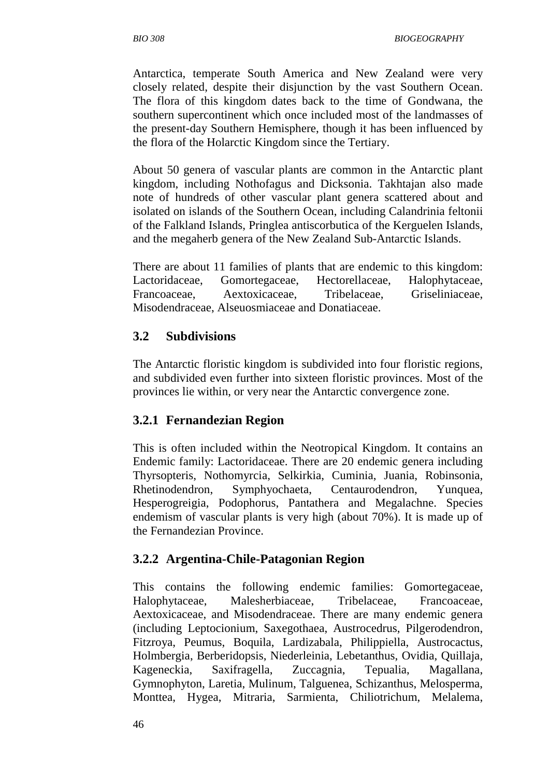Antarctica, temperate South America and New Zealand were very closely related, despite their disjunction by the vast Southern Ocean. The flora of this kingdom dates back to the time of Gondwana, the southern supercontinent which once included most of the landmasses of the present-day Southern Hemisphere, though it has been influenced by the flora of the Holarctic Kingdom since the Tertiary.

About 50 genera of vascular plants are common in the Antarctic plant kingdom, including Nothofagus and Dicksonia. Takhtajan also made note of hundreds of other vascular plant genera scattered about and isolated on islands of the Southern Ocean, including Calandrinia feltonii of the Falkland Islands, Pringlea antiscorbutica of the Kerguelen Islands, and the megaherb genera of the New Zealand Sub-Antarctic Islands.

There are about 11 families of plants that are endemic to this kingdom: Lactoridaceae, Gomortegaceae, Hectorellaceae, Halophytaceae, Francoaceae, Aextoxicaceae, Tribelaceae, Griseliniaceae, Misodendraceae, Alseuosmiaceae and Donatiaceae.

#### **3.2 Subdivisions**

The Antarctic floristic kingdom is subdivided into four floristic regions, and subdivided even further into sixteen floristic provinces. Most of the provinces lie within, or very near the Antarctic convergence zone.

#### **3.2.1 Fernandezian Region**

This is often included within the Neotropical Kingdom. It contains an Endemic family: Lactoridaceae. There are 20 endemic genera including Thyrsopteris, Nothomyrcia, Selkirkia, Cuminia, Juania, Robinsonia, Rhetinodendron, Symphyochaeta, Centaurodendron, Yunquea, Hesperogreigia, Podophorus, Pantathera and Megalachne. Species endemism of vascular plants is very high (about 70%). It is made up of the Fernandezian Province.

#### **3.2.2 Argentina-Chile-Patagonian Region**

This contains the following endemic families: Gomortegaceae, Halophytaceae, Malesherbiaceae, Tribelaceae, Francoaceae, Aextoxicaceae, and Misodendraceae. There are many endemic genera (including Leptocionium, Saxegothaea, Austrocedrus, Pilgerodendron, Fitzroya, Peumus, Boquila, Lardizabala, Philippiella, Austrocactus, Holmbergia, Berberidopsis, Niederleinia, Lebetanthus, Ovidia, Quillaja, Kageneckia, Saxifragella, Zuccagnia, Tepualia, Magallana, Gymnophyton, Laretia, Mulinum, Talguenea, Schizanthus, Melosperma, Monttea, Hygea, Mitraria, Sarmienta, Chiliotrichum, Melalema,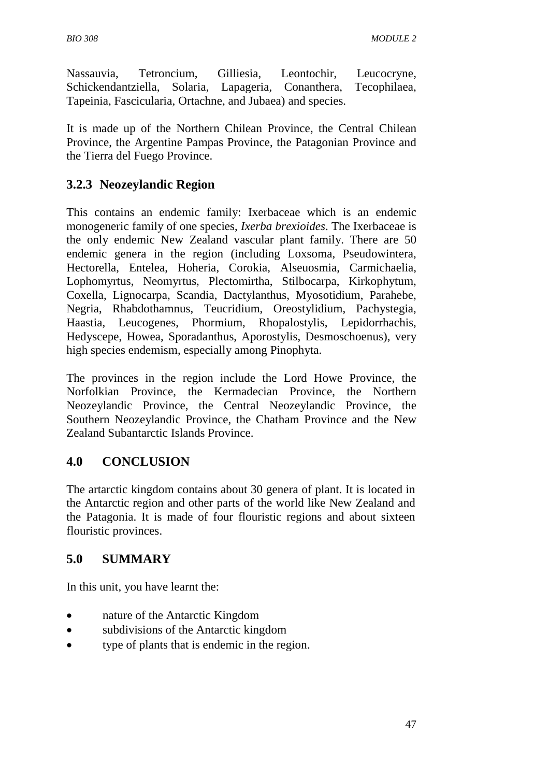Nassauvia, Tetroncium, Gilliesia, Leontochir, Leucocryne, Schickendantziella, Solaria, Lapageria, Conanthera, Tecophilaea, Tapeinia, Fascicularia, Ortachne, and Jubaea) and species.

It is made up of the Northern Chilean Province, the Central Chilean Province, the Argentine Pampas Province, the Patagonian Province and the Tierra del Fuego Province.

# **3.2.3 Neozeylandic Region**

This contains an endemic family: Ixerbaceae which is an endemic monogeneric family of one species, *Ixerba brexioides*. The Ixerbaceae is the only endemic New Zealand vascular plant family. There are 50 endemic genera in the region (including Loxsoma, Pseudowintera, Hectorella, Entelea, Hoheria, Corokia, Alseuosmia, Carmichaelia, Lophomyrtus, Neomyrtus, Plectomirtha, Stilbocarpa, Kirkophytum, Coxella, Lignocarpa, Scandia, Dactylanthus, Myosotidium, Parahebe, Negria, Rhabdothamnus, Teucridium, Oreostylidium, Pachystegia, Haastia, Leucogenes, Phormium, Rhopalostylis, Lepidorrhachis, Hedyscepe, Howea, Sporadanthus, Aporostylis, Desmoschoenus), very high species endemism, especially among Pinophyta.

The provinces in the region include the Lord Howe Province, the Norfolkian Province, the Kermadecian Province, the Northern Neozeylandic Province, the Central Neozeylandic Province, the Southern Neozeylandic Province, the Chatham Province and the New Zealand Subantarctic Islands Province.

# **4.0 CONCLUSION**

The artarctic kingdom contains about 30 genera of plant. It is located in the Antarctic region and other parts of the world like New Zealand and the Patagonia. It is made of four flouristic regions and about sixteen flouristic provinces.

### **5.0 SUMMARY**

In this unit, you have learnt the:

- nature of the Antarctic Kingdom
- subdivisions of the Antarctic kingdom
- type of plants that is endemic in the region.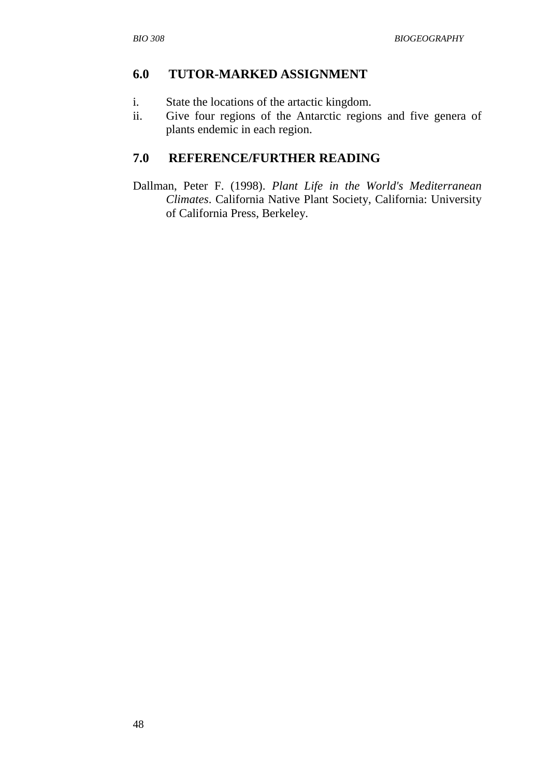#### **6.0 TUTOR-MARKED ASSIGNMENT**

- i. State the locations of the artactic kingdom.
- ii. Give four regions of the Antarctic regions and five genera of plants endemic in each region.

### **7.0 REFERENCE/FURTHER READING**

Dallman, Peter F. (1998). *Plant Life in the World's Mediterranean Climates*. California Native Plant Society, California: University of California Press, Berkeley.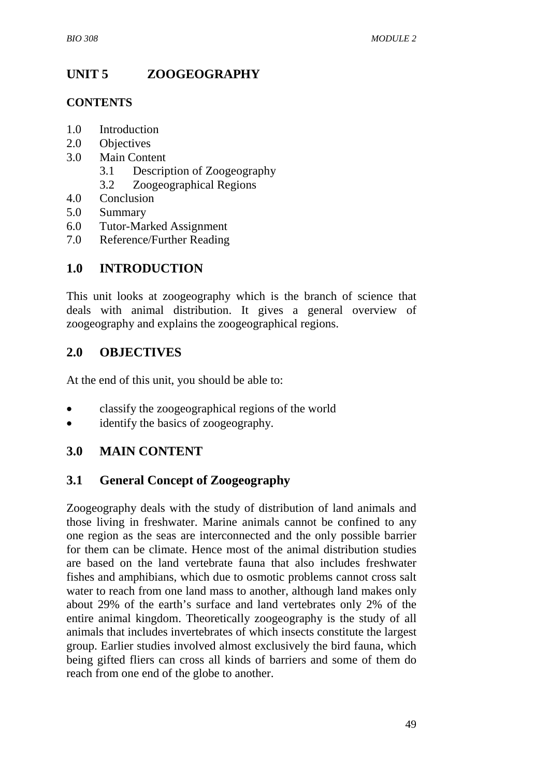# **UNIT 5 ZOOGEOGRAPHY**

#### **CONTENTS**

- 1.0 Introduction
- 2.0 Objectives
- 3.0 Main Content
	- 3.1 Description of Zoogeography
	- 3.2 Zoogeographical Regions
- 4.0 Conclusion
- 5.0 Summary
- 6.0 Tutor-Marked Assignment
- 7.0 Reference/Further Reading

# **1.0 INTRODUCTION**

This unit looks at zoogeography which is the branch of science that deals with animal distribution. It gives a general overview of zoogeography and explains the zoogeographical regions.

## **2.0 OBJECTIVES**

At the end of this unit, you should be able to:

- classify the zoogeographical regions of the world
- identify the basics of zoogeography.

### **3.0 MAIN CONTENT**

### **3.1 General Concept of Zoogeography**

Zoogeography deals with the study of distribution of land animals and those living in freshwater. Marine animals cannot be confined to any one region as the seas are interconnected and the only possible barrier for them can be climate. Hence most of the animal distribution studies are based on the land vertebrate fauna that also includes freshwater fishes and amphibians, which due to osmotic problems cannot cross salt water to reach from one land mass to another, although land makes only about 29% of the earth's surface and land vertebrates only 2% of the entire animal kingdom. Theoretically zoogeography is the study of all animals that includes invertebrates of which insects constitute the largest group. Earlier studies involved almost exclusively the bird fauna, which being gifted fliers can cross all kinds of barriers and some of them do reach from one end of the globe to another.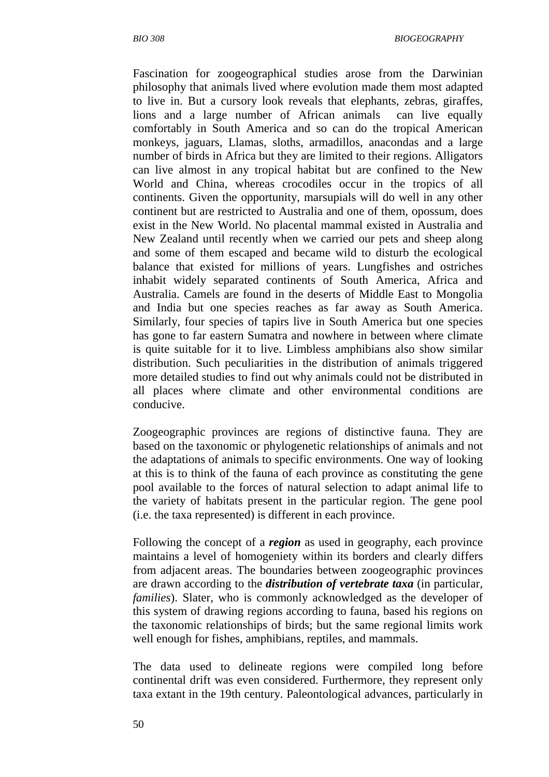Fascination for zoogeographical studies arose from the Darwinian philosophy that animals lived where evolution made them most adapted to live in. But a cursory look reveals that elephants, zebras, giraffes, lions and a large number of African animals can live equally comfortably in South America and so can do the tropical American monkeys, jaguars, Llamas, sloths, armadillos, anacondas and a large number of birds in Africa but they are limited to their regions. Alligators can live almost in any tropical habitat but are confined to the New World and China, whereas crocodiles occur in the tropics of all continents. Given the opportunity, marsupials will do well in any other continent but are restricted to Australia and one of them, opossum, does exist in the New World. No placental mammal existed in Australia and New Zealand until recently when we carried our pets and sheep along and some of them escaped and became wild to disturb the ecological balance that existed for millions of years. Lungfishes and ostriches inhabit widely separated continents of South America, Africa and Australia. Camels are found in the deserts of Middle East to Mongolia and India but one species reaches as far away as South America. Similarly, four species of tapirs live in South America but one species has gone to far eastern Sumatra and nowhere in between where climate is quite suitable for it to live. Limbless amphibians also show similar distribution. Such peculiarities in the distribution of animals triggered more detailed studies to find out why animals could not be distributed in all places where climate and other environmental conditions are conducive.

Zoogeographic provinces are regions of distinctive fauna. They are based on the taxonomic or phylogenetic relationships of animals and not the adaptations of animals to specific environments. One way of looking at this is to think of the fauna of each province as constituting the gene pool available to the forces of natural selection to adapt animal life to the variety of habitats present in the particular region. The gene pool (i.e. the taxa represented) is different in each province.

Following the concept of a *region* as used in geography, each province maintains a level of homogeniety within its borders and clearly differs from adjacent areas. The boundaries between zoogeographic provinces are drawn according to the *distribution of vertebrate taxa* (in particular, *families*). Slater, who is commonly acknowledged as the developer of this system of drawing regions according to fauna, based his regions on the taxonomic relationships of birds; but the same regional limits work well enough for fishes, amphibians, reptiles, and mammals.

The data used to delineate regions were compiled long before continental drift was even considered. Furthermore, they represent only taxa extant in the 19th century. Paleontological advances, particularly in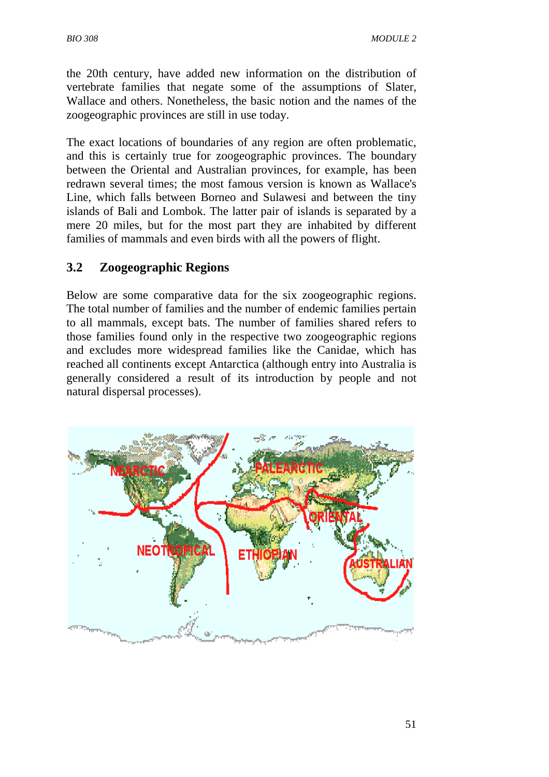the 20th century, have added new information on the distribution of vertebrate families that negate some of the assumptions of Slater, Wallace and others. Nonetheless, the basic notion and the names of the zoogeographic provinces are still in use today.

The exact locations of boundaries of any region are often problematic, and this is certainly true for zoogeographic provinces. The boundary between the Oriental and Australian provinces, for example, has been redrawn several times; the most famous version is known as Wallace's Line, which falls between Borneo and Sulawesi and between the tiny islands of Bali and Lombok. The latter pair of islands is separated by a mere 20 miles, but for the most part they are inhabited by different families of mammals and even birds with all the powers of flight.

### **3.2 Zoogeographic Regions**

Below are some comparative data for the six zoogeographic regions. The total number of families and the number of endemic families pertain to all mammals, except bats. The number of families shared refers to those families found only in the respective two zoogeographic regions and excludes more widespread families like the Canidae, which has reached all continents except Antarctica (although entry into Australia is generally considered a result of its introduction by people and not natural dispersal processes).

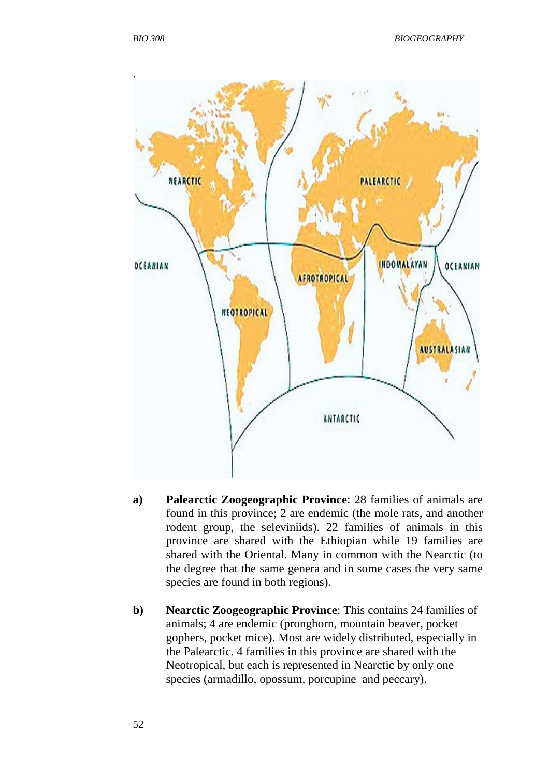

- **a) Palearctic Zoogeographic Province**: 28 families of animals are found in this province; 2 are endemic (the mole rats, and another rodent group, the seleviniids). 22 families of animals in this province are shared with the Ethiopian while 19 families are shared with the Oriental. Many in common with the Nearctic (to the degree that the same genera and in some cases the very same species are found in both regions).
- **b) Nearctic Zoogeographic Province**: This contains 24 families of animals; 4 are endemic (pronghorn, mountain beaver, pocket gophers, pocket mice). Most are widely distributed, especially in the Palearctic. 4 families in this province are shared with the Neotropical, but each is represented in Nearctic by only one species (armadillo, opossum, porcupine and peccary).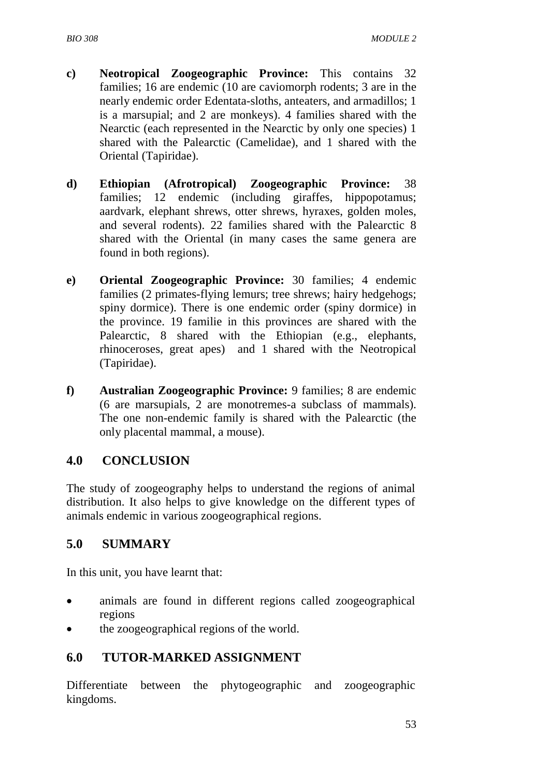- **c) Neotropical Zoogeographic Province:** This contains 32 families; 16 are endemic (10 are caviomorph rodents; 3 are in the nearly endemic order Edentata-sloths, anteaters, and armadillos; 1 is a marsupial; and 2 are monkeys). 4 families shared with the Nearctic (each represented in the Nearctic by only one species) 1 shared with the Palearctic (Camelidae), and 1 shared with the Oriental (Tapiridae).
- **d) Ethiopian (Afrotropical) Zoogeographic Province:** 38 families; 12 endemic (including giraffes, hippopotamus; aardvark, elephant shrews, otter shrews, hyraxes, golden moles, and several rodents). 22 families shared with the Palearctic 8 shared with the Oriental (in many cases the same genera are found in both regions).
- **e) Oriental Zoogeographic Province:** 30 families; 4 endemic families (2 primates-flying lemurs; tree shrews; hairy hedgehogs; spiny dormice). There is one endemic order (spiny dormice) in the province. 19 familie in this provinces are shared with the Palearctic, 8 shared with the Ethiopian (e.g., elephants, rhinoceroses, great apes) and 1 shared with the Neotropical (Tapiridae).
- **f) Australian Zoogeographic Province:** 9 families; 8 are endemic (6 are marsupials, 2 are monotremes-a subclass of mammals). The one non-endemic family is shared with the Palearctic (the only placental mammal, a mouse).

# **4.0 CONCLUSION**

The study of zoogeography helps to understand the regions of animal distribution. It also helps to give knowledge on the different types of animals endemic in various zoogeographical regions.

# **5.0 SUMMARY**

In this unit, you have learnt that:

- animals are found in different regions called zoogeographical regions
- the zoogeographical regions of the world.

# **6.0 TUTOR-MARKED ASSIGNMENT**

Differentiate between the phytogeographic and zoogeographic kingdoms.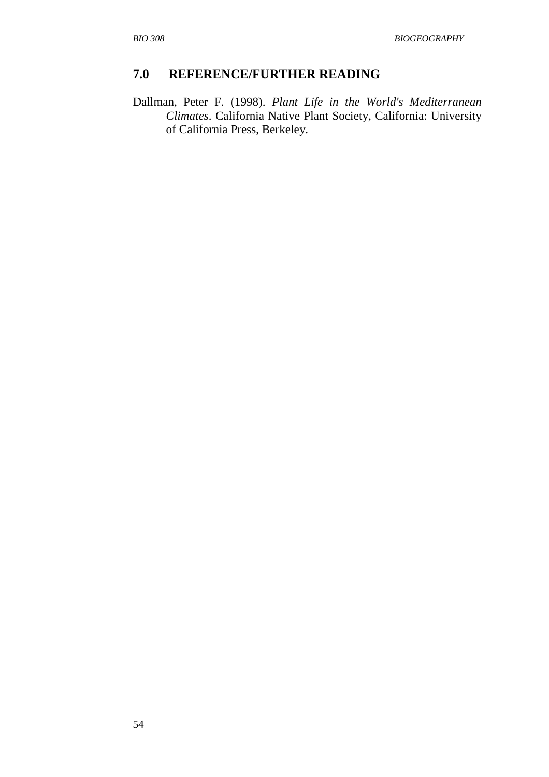#### **7.0 REFERENCE/FURTHER READING**

Dallman, Peter F. (1998). *Plant Life in the World's Mediterranean Climates*. California Native Plant Society, California: University of California Press, Berkeley.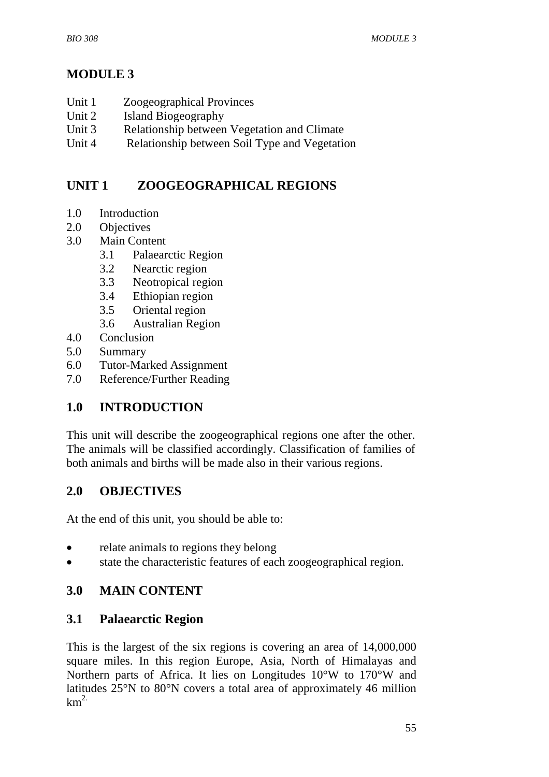# **MODULE 3**

- Unit 1 Zoogeographical Provinces
- Unit 2 Island Biogeography
- Unit 3 Relationship between Vegetation and Climate
- Unit 4 Relationship between Soil Type and Vegetation

# **UNIT 1 ZOOGEOGRAPHICAL REGIONS**

- 1.0 Introduction
- 2.0 Objectives
- 3.0 Main Content
	- 3.1Palaearctic Region
	- 3.2 Nearctic region
	- 3.3 Neotropical region
	- 3.4 Ethiopian region
	- 3.5 Oriental region
	- 3.6 Australian Region
- 4.0 Conclusion
- 5.0 Summary
- 6.0 Tutor-Marked Assignment
- 7.0 Reference/Further Reading

# **1.0 INTRODUCTION**

This unit will describe the zoogeographical regions one after the other. The animals will be classified accordingly. Classification of families of both animals and births will be made also in their various regions.

# **2.0 OBJECTIVES**

At the end of this unit, you should be able to:

- relate animals to regions they belong
- state the characteristic features of each zoogeographical region.

# **3.0 MAIN CONTENT**

### **3.1 Palaearctic Region**

This is the largest of the six regions is covering an area of 14,000,000 square miles. In this region Europe, Asia, North of Himalayas and Northern parts of Africa. It lies on Longitudes 10°W to 170°W and latitudes 25°N to 80°N covers a total area of approximately 46 million  $km^2$ .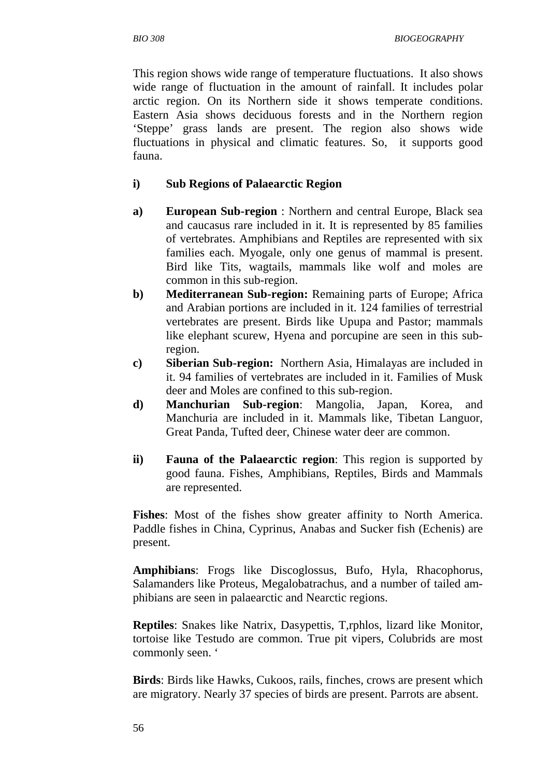This region shows wide range of temperature fluctuations. It also shows wide range of fluctuation in the amount of rainfall. It includes polar arctic region. On its Northern side it shows temperate conditions. Eastern Asia shows deciduous forests and in the Northern region 'Steppe' grass lands are present. The region also shows wide fluctuations in physical and climatic features. So, it supports good fauna.

#### **i) Sub Regions of Palaearctic Region**

- **a) European Sub-region** : Northern and central Europe, Black sea and caucasus rare included in it. It is represented by 85 families of vertebrates. Amphibians and Reptiles are represented with six families each. Myogale, only one genus of mammal is present. Bird like Tits, wagtails, mammals like wolf and moles are common in this sub-region.
- **b) Mediterranean Sub-region:** Remaining parts of Europe; Africa and Arabian portions are included in it. 124 families of terrestrial vertebrates are present. Birds like Upupa and Pastor; mammals like elephant scurew, Hyena and porcupine are seen in this subregion.
- **c) Siberian Sub-region:** Northern Asia, Himalayas are included in it. 94 families of vertebrates are included in it. Families of Musk deer and Moles are confined to this sub-region.
- **d) Manchurian Sub-region**: Mangolia, Japan, Korea, and Manchuria are included in it. Mammals like, Tibetan Languor, Great Panda, Tufted deer, Chinese water deer are common.
- **ii) Fauna of the Palaearctic region**: This region is supported by good fauna. Fishes, Amphibians, Reptiles, Birds and Mammals are represented.

**Fishes**: Most of the fishes show greater affinity to North America. Paddle fishes in China, Cyprinus, Anabas and Sucker fish (Echenis) are present.

**Amphibians**: Frogs like Discoglossus, Bufo, Hyla, Rhacophorus, Salamanders like Proteus, Megalobatrachus, and a number of tailed amphibians are seen in palaearctic and Nearctic regions.

**Reptiles**: Snakes like Natrix, Dasypettis, T,rphlos, lizard like Monitor, tortoise like Testudo are common. True pit vipers, Colubrids are most commonly seen. '

**Birds**: Birds like Hawks, Cukoos, rails, finches, crows are present which are migratory. Nearly 37 species of birds are present. Parrots are absent.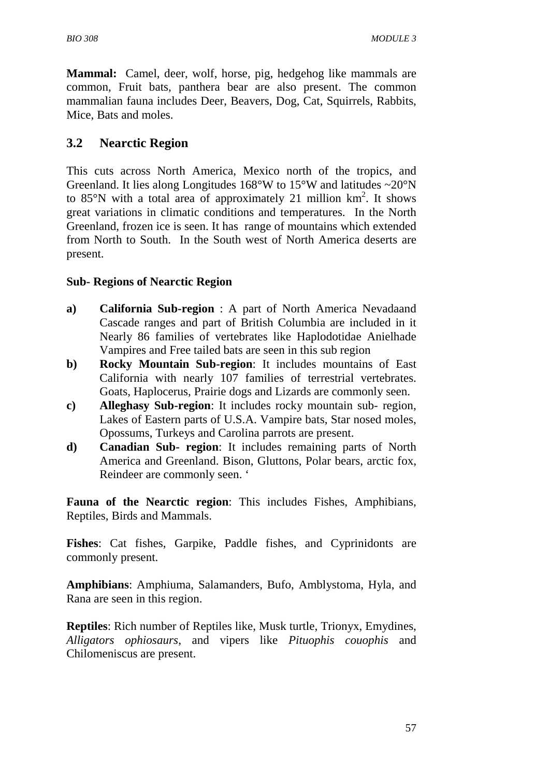**Mammal:** Camel, deer, wolf, horse, pig, hedgehog like mammals are common, Fruit bats, panthera bear are also present. The common mammalian fauna includes Deer, Beavers, Dog, Cat, Squirrels, Rabbits, Mice, Bats and moles.

# **3.2 Nearctic Region**

This cuts across North America, Mexico north of the tropics, and Greenland. It lies along Longitudes  $168^{\circ}$ W to  $15^{\circ}$ W and latitudes  $\sim$ 20<sup>°</sup>N to  $85^{\circ}$ N with a total area of approximately 21 million  $km^2$ . It shows great variations in climatic conditions and temperatures. In the North Greenland, frozen ice is seen. It has range of mountains which extended from North to South. In the South west of North America deserts are present.

#### **Sub- Regions of Nearctic Region**

- **a) California Sub-region** : A part of North America Nevadaand Cascade ranges and part of British Columbia are included in it Nearly 86 families of vertebrates like Haplodotidae Anielhade Vampires and Free tailed bats are seen in this sub region
- **b) Rocky Mountain Sub-region**: It includes mountains of East California with nearly 107 families of terrestrial vertebrates. Goats, Haplocerus, Prairie dogs and Lizards are commonly seen.
- **c) Alleghasy Sub-region**: It includes rocky mountain sub- region, Lakes of Eastern parts of U.S.A. Vampire bats, Star nosed moles, Opossums, Turkeys and Carolina parrots are present.
- **d) Canadian Sub- region**: It includes remaining parts of North America and Greenland. Bison, Gluttons, Polar bears, arctic fox, Reindeer are commonly seen. '

**Fauna of the Nearctic region**: This includes Fishes, Amphibians, Reptiles, Birds and Mammals.

**Fishes**: Cat fishes, Garpike, Paddle fishes, and Cyprinidonts are commonly present.

**Amphibians**: Amphiuma, Salamanders, Bufo, Amblystoma, Hyla, and Rana are seen in this region.

**Reptiles**: Rich number of Reptiles like, Musk turtle, Trionyx, Emydines, *Alligators ophiosaurs*, and vipers like *Pituophis couophis* and Chilomeniscus are present.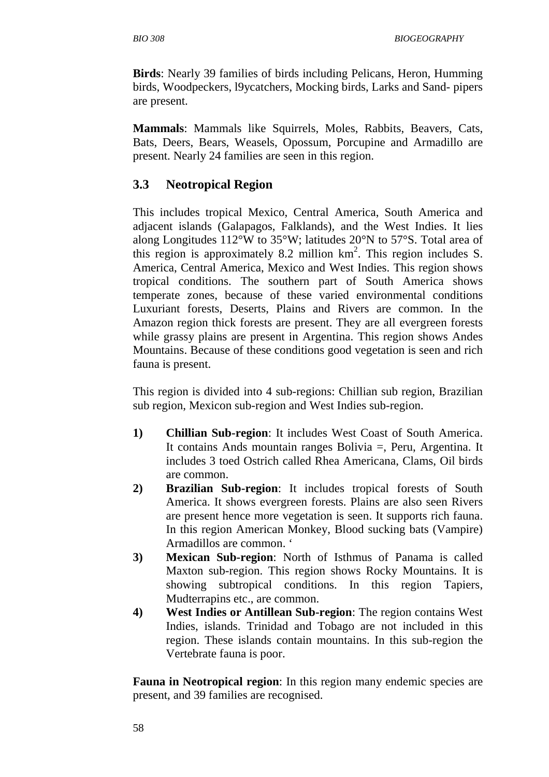**Birds**: Nearly 39 families of birds including Pelicans, Heron, Humming birds, Woodpeckers, l9ycatchers, Mocking birds, Larks and Sand- pipers are present.

**Mammals**: Mammals like Squirrels, Moles, Rabbits, Beavers, Cats, Bats, Deers, Bears, Weasels, Opossum, Porcupine and Armadillo are present. Nearly 24 families are seen in this region.

#### **3.3 Neotropical Region**

This includes tropical Mexico, Central America, South America and adjacent islands (Galapagos, Falklands), and the West Indies. It lies along Longitudes 112°W to 35°W; latitudes 20°N to 57°S. Total area of this region is approximately 8.2 million  $km^2$ . This region includes S. America, Central America, Mexico and West Indies. This region shows tropical conditions. The southern part of South America shows temperate zones, because of these varied environmental conditions Luxuriant forests, Deserts, Plains and Rivers are common. In the Amazon region thick forests are present. They are all evergreen forests while grassy plains are present in Argentina. This region shows Andes Mountains. Because of these conditions good vegetation is seen and rich fauna is present.

This region is divided into 4 sub-regions: Chillian sub region, Brazilian sub region, Mexicon sub-region and West Indies sub-region.

- **1) Chillian Sub-region**: It includes West Coast of South America. It contains Ands mountain ranges Bolivia =, Peru, Argentina. It includes 3 toed Ostrich called Rhea Americana, Clams, Oil birds are common.
- **2) Brazilian Sub-region**: It includes tropical forests of South America. It shows evergreen forests. Plains are also seen Rivers are present hence more vegetation is seen. It supports rich fauna. In this region American Monkey, Blood sucking bats (Vampire) Armadillos are common. '
- **3) Mexican Sub-region**: North of Isthmus of Panama is called Maxton sub-region. This region shows Rocky Mountains. It is showing subtropical conditions. In this region Tapiers, Mudterrapins etc., are common.
- **4) West Indies or Antillean Sub-region**: The region contains West Indies, islands. Trinidad and Tobago are not included in this region. These islands contain mountains. In this sub-region the Vertebrate fauna is poor.

**Fauna in Neotropical region**: In this region many endemic species are present, and 39 families are recognised.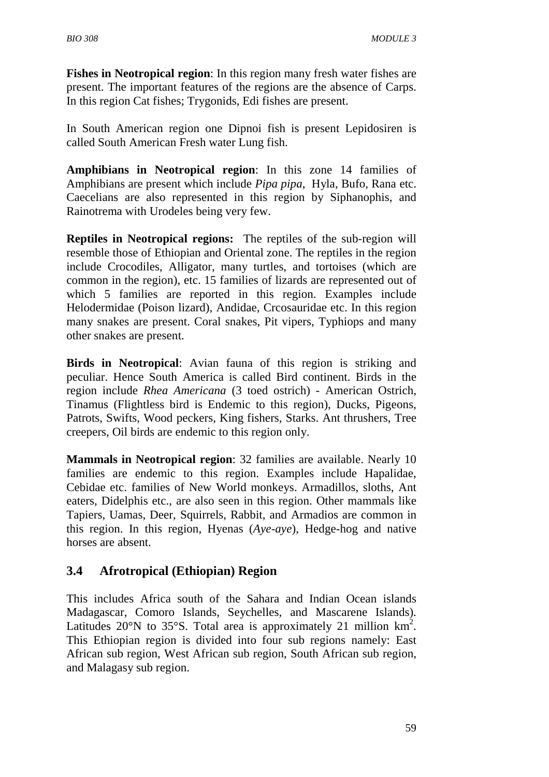**Fishes in Neotropical region**: In this region many fresh water fishes are present. The important features of the regions are the absence of Carps. In this region Cat fishes; Trygonids, Edi fishes are present.

In South American region one Dipnoi fish is present Lepidosiren is called South American Fresh water Lung fish.

**Amphibians in Neotropical region**: In this zone 14 families of Amphibians are present which include *Pipa pipa*, Hyla, Bufo, Rana etc. Caecelians are also represented in this region by Siphanophis, and Rainotrema with Urodeles being very few.

**Reptiles in Neotropical regions:** The reptiles of the sub-region will resemble those of Ethiopian and Oriental zone. The reptiles in the region include Crocodiles, Alligator, many turtles, and tortoises (which are common in the region), etc. 15 families of lizards are represented out of which 5 families are reported in this region. Examples include Helodermidae (Poison lizard), Andidae, Crcosauridae etc. In this region many snakes are present. Coral snakes, Pit vipers, Typhiops and many other snakes are present.

**Birds in Neotropical**: Avian fauna of this region is striking and peculiar. Hence South America is called Bird continent. Birds in the region include *Rhea Americana* (3 toed ostrich) - American Ostrich, Tinamus (Flightless bird is Endemic to this region), Ducks, Pigeons, Patrots, Swifts, Wood peckers, King fishers, Starks. Ant thrushers, Tree creepers, Oil birds are endemic to this region only.

**Mammals in Neotropical region**: 32 families are available. Nearly 10 families are endemic to this region. Examples include Hapalidae, Cebidae etc. families of New World monkeys. Armadillos, sloths, Ant eaters, Didelphis etc., are also seen in this region. Other mammals like Tapiers, Uamas, Deer, Squirrels, Rabbit, and Armadios are common in this region. In this region, Hyenas (*Aye-aye*), Hedge-hog and native horses are absent.

### **3.4 Afrotropical (Ethiopian) Region**

This includes Africa south of the Sahara and Indian Ocean islands Madagascar, Comoro Islands, Seychelles, and Mascarene Islands). Latitudes 20°N to 35°S. Total area is approximately 21 million  $km^2$ . This Ethiopian region is divided into four sub regions namely: East African sub region, West African sub region, South African sub region, and Malagasy sub region.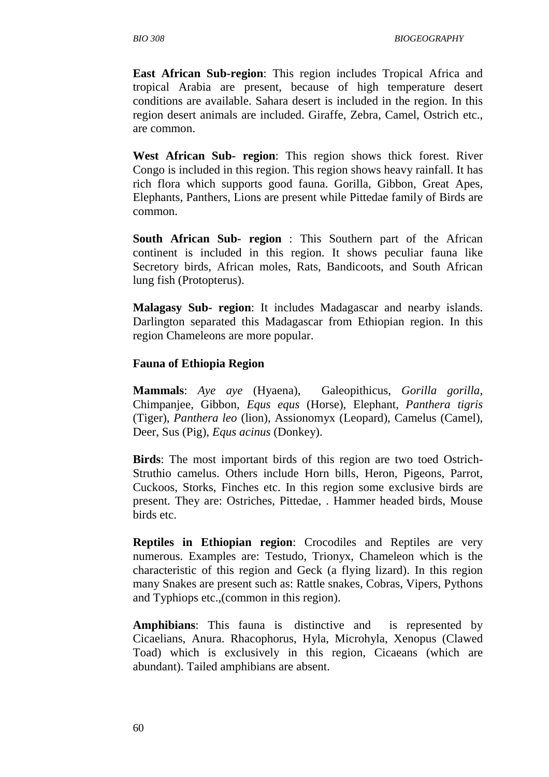**East African Sub-region**: This region includes Tropical Africa and tropical Arabia are present, because of high temperature desert conditions are available. Sahara desert is included in the region. In this region desert animals are included. Giraffe, Zebra, Camel, Ostrich etc., are common.

**West African Sub- region**: This region shows thick forest. River Congo is included in this region. This region shows heavy rainfall. It has rich flora which supports good fauna. Gorilla, Gibbon, Great Apes, Elephants, Panthers, Lions are present while Pittedae family of Birds are common.

**South African Sub- region** : This Southern part of the African continent is included in this region. It shows peculiar fauna like Secretory birds, African moles, Rats, Bandicoots, and South African lung fish (Protopterus).

**Malagasy Sub- region**: It includes Madagascar and nearby islands. Darlington separated this Madagascar from Ethiopian region. In this region Chameleons are more popular.

#### **Fauna of Ethiopia Region**

**Mammals**: *Aye aye* (Hyaena), Galeopithicus, *Gorilla gorilla*, Chimpanjee, Gibbon, *Equs equs* (Horse), Elephant, *Panthera tigris* (Tiger), *Panthera leo* (lion), Assionomyx (Leopard), Camelus (Camel), Deer, Sus (Pig), *Equs acinus* (Donkey).

**Birds**: The most important birds of this region are two toed Ostrich-Struthio camelus. Others include Horn bills, Heron, Pigeons, Parrot, Cuckoos, Storks, Finches etc. In this region some exclusive birds are present. They are: Ostriches, Pittedae, . Hammer headed birds, Mouse birds etc.

**Reptiles in Ethiopian region**: Crocodiles and Reptiles are very numerous. Examples are: Testudo, Trionyx, Chameleon which is the characteristic of this region and Geck (a flying lizard). In this region many Snakes are present such as: Rattle snakes, Cobras, Vipers, Pythons and Typhiops etc.,(common in this region).

**Amphibians**: This fauna is distinctive and is represented by Cicaelians, Anura. Rhacophorus, Hyla, Microhyla, Xenopus (Clawed Toad) which is exclusively in this region, Cicaeans (which are abundant). Tailed amphibians are absent.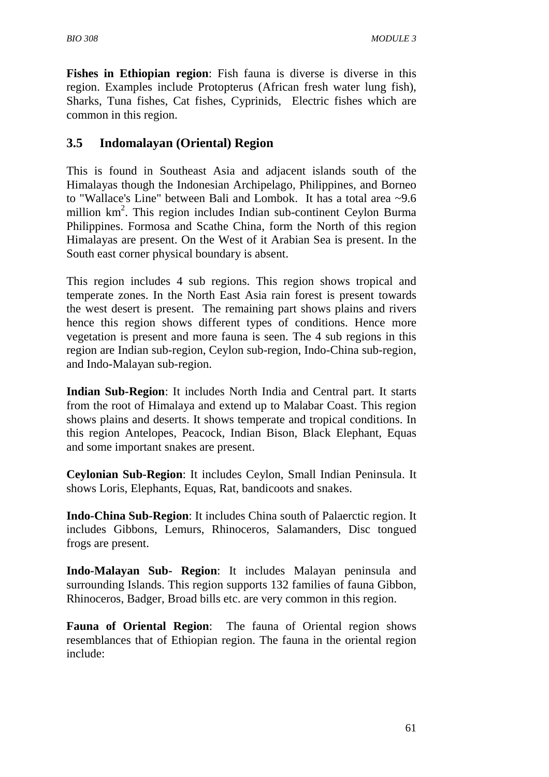**Fishes in Ethiopian region**: Fish fauna is diverse is diverse in this region. Examples include Protopterus (African fresh water lung fish), Sharks, Tuna fishes, Cat fishes, Cyprinids, Electric fishes which are common in this region.

# **3.5 Indomalayan (Oriental) Region**

This is found in Southeast Asia and adjacent islands south of the Himalayas though the Indonesian Archipelago, Philippines, and Borneo to "Wallace's Line" between Bali and Lombok. It has a total area ~9.6 million km<sup>2</sup>. This region includes Indian sub-continent Ceylon Burma Philippines. Formosa and Scathe China, form the North of this region Himalayas are present. On the West of it Arabian Sea is present. In the South east corner physical boundary is absent.

This region includes 4 sub regions. This region shows tropical and temperate zones. In the North East Asia rain forest is present towards the west desert is present. The remaining part shows plains and rivers hence this region shows different types of conditions. Hence more vegetation is present and more fauna is seen. The 4 sub regions in this region are Indian sub-region, Ceylon sub-region, Indo-China sub-region, and Indo-Malayan sub-region.

**Indian Sub-Region**: It includes North India and Central part. It starts from the root of Himalaya and extend up to Malabar Coast. This region shows plains and deserts. It shows temperate and tropical conditions. In this region Antelopes, Peacock, Indian Bison, Black Elephant, Equas and some important snakes are present.

**Ceylonian Sub-Region**: It includes Ceylon, Small Indian Peninsula. It shows Loris, Elephants, Equas, Rat, bandicoots and snakes.

**Indo-China Sub-Region**: It includes China south of Palaerctic region. It includes Gibbons, Lemurs, Rhinoceros, Salamanders, Disc tongued frogs are present.

**Indo-Malayan Sub- Region**: It includes Malayan peninsula and surrounding Islands. This region supports 132 families of fauna Gibbon, Rhinoceros, Badger, Broad bills etc. are very common in this region.

**Fauna of Oriental Region**: The fauna of Oriental region shows resemblances that of Ethiopian region. The fauna in the oriental region include: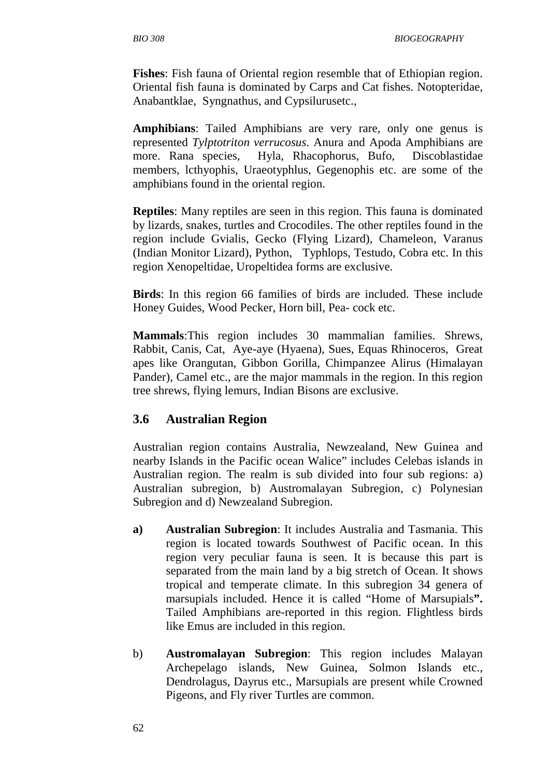**Fishes**: Fish fauna of Oriental region resemble that of Ethiopian region. Oriental fish fauna is dominated by Carps and Cat fishes. Notopteridae, Anabantklae, Syngnathus, and Cypsilurusetc.,

**Amphibians**: Tailed Amphibians are very rare, only one genus is represented *Tylptotriton verrucosus*. Anura and Apoda Amphibians are more. Rana species, Hyla, Rhacophorus, Bufo, Discoblastidae members, lcthyophis, Uraeotyphlus, Gegenophis etc. are some of the amphibians found in the oriental region.

**Reptiles**: Many reptiles are seen in this region. This fauna is dominated by lizards, snakes, turtles and Crocodiles. The other reptiles found in the region include Gvialis, Gecko (Flying Lizard), Chameleon, Varanus (Indian Monitor Lizard), Python, Typhlops, Testudo, Cobra etc. In this region Xenopeltidae, Uropeltidea forms are exclusive.

**Birds**: In this region 66 families of birds are included. These include Honey Guides, Wood Pecker, Horn bill, Pea- cock etc.

**Mammals**:This region includes 30 mammalian families. Shrews, Rabbit, Canis, Cat, Aye-aye (Hyaena), Sues, Equas Rhinoceros, Great apes like Orangutan, Gibbon Gorilla, Chimpanzee Alirus (Himalayan Pander), Camel etc., are the major mammals in the region. In this region tree shrews, flying lemurs, Indian Bisons are exclusive.

### **3.6 Australian Region**

Australian region contains Australia, Newzealand, New Guinea and nearby Islands in the Pacific ocean Walice" includes Celebas islands in Australian region. The realm is sub divided into four sub regions: a) Australian subregion, b) Austromalayan Subregion, c) Polynesian Subregion and d) Newzealand Subregion.

- **a) Australian Subregion**: It includes Australia and Tasmania. This region is located towards Southwest of Pacific ocean. In this region very peculiar fauna is seen. It is because this part is separated from the main land by a big stretch of Ocean. It shows tropical and temperate climate. In this subregion 34 genera of marsupials included. Hence it is called "Home of Marsupials**".**  Tailed Amphibians are-reported in this region. Flightless birds like Emus are included in this region.
- b) **Austromalayan Subregion**: This region includes Malayan Archepelago islands, New Guinea, Solmon Islands etc., Dendrolagus, Dayrus etc., Marsupials are present while Crowned Pigeons, and Fly river Turtles are common.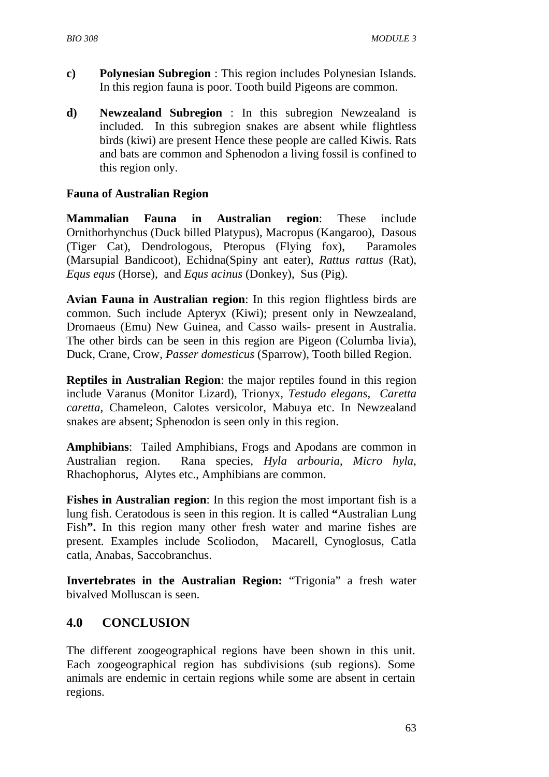- **c) Polynesian Subregion** : This region includes Polynesian Islands. In this region fauna is poor. Tooth build Pigeons are common.
- **d) Newzealand Subregion** : In this subregion Newzealand is included. In this subregion snakes are absent while flightless birds (kiwi) are present Hence these people are called Kiwis. Rats and bats are common and Sphenodon a living fossil is confined to this region only.

#### **Fauna of Australian Region**

**Mammalian Fauna in Australian region**: These include Ornithorhynchus (Duck billed Platypus), Macropus (Kangaroo), Dasous (Tiger Cat), Dendrologous, Pteropus (Flying fox), Paramoles (Marsupial Bandicoot), Echidna(Spiny ant eater), *Rattus rattus* (Rat), *Equs equs* (Horse), and *Equs acinus* (Donkey), Sus (Pig).

**Avian Fauna in Australian region**: In this region flightless birds are common. Such include Apteryx (Kiwi); present only in Newzealand, Dromaeus (Emu) New Guinea, and Casso wails- present in Australia. The other birds can be seen in this region are Pigeon (Columba livia), Duck, Crane, Crow, *Passer domesticus* (Sparrow), Tooth billed Region.

**Reptiles in Australian Region**: the major reptiles found in this region include Varanus (Monitor Lizard), Trionyx, *Testudo elegans*, *Caretta caretta*, Chameleon, Calotes versicolor, Mabuya etc. In Newzealand snakes are absent; Sphenodon is seen only in this region.

**Amphibians**: Tailed Amphibians, Frogs and Apodans are common in Australian region. Rana species, *Hyla arbouria*, *Micro hyla*, Rhachophorus, Alytes etc., Amphibians are common.

**Fishes in Australian region**: In this region the most important fish is a lung fish. Ceratodous is seen in this region. It is called **"**Australian Lung Fish**".** In this region many other fresh water and marine fishes are present. Examples include Scoliodon, Macarell, Cynoglosus, Catla catla, Anabas, Saccobranchus.

**Invertebrates in the Australian Region:** "Trigonia" a fresh water bivalved Molluscan is seen.

# **4.0 CONCLUSION**

The different zoogeographical regions have been shown in this unit. Each zoogeographical region has subdivisions (sub regions). Some animals are endemic in certain regions while some are absent in certain regions.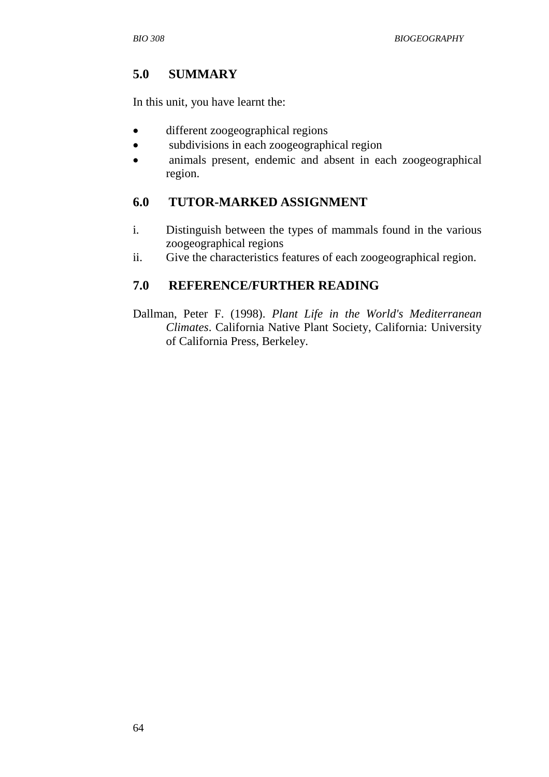### **5.0 SUMMARY**

In this unit, you have learnt the:

- different zoogeographical regions
- subdivisions in each zoogeographical region
- animals present, endemic and absent in each zoogeographical region.

## **6.0 TUTOR-MARKED ASSIGNMENT**

- i. Distinguish between the types of mammals found in the various zoogeographical regions
- ii. Give the characteristics features of each zoogeographical region.

## **7.0 REFERENCE/FURTHER READING**

Dallman, Peter F. (1998). *Plant Life in the World's Mediterranean Climates*. California Native Plant Society, California: University of California Press, Berkeley.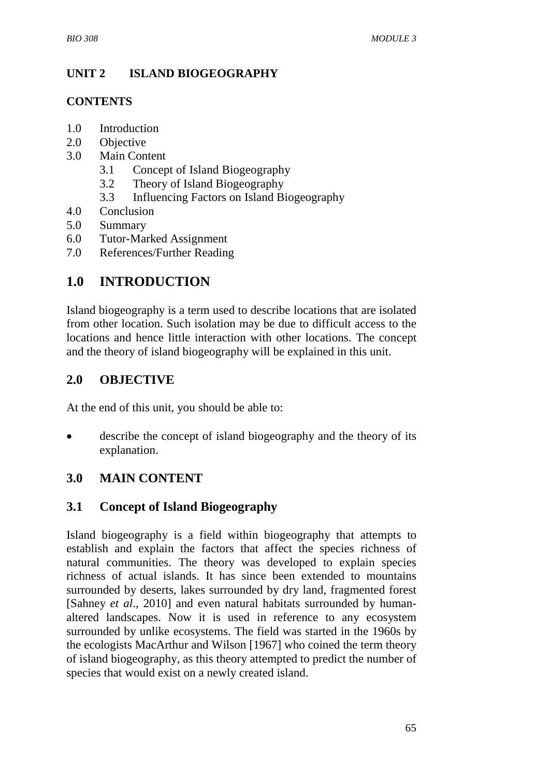### **UNIT 2 ISLAND BIOGEOGRAPHY**

#### **CONTENTS**

- 1.0 Introduction
- 2.0 Objective
- 3.0 Main Content
	- 3.1 Concept of Island Biogeography
	- 3.2 Theory of Island Biogeography
	- 3.3 Influencing Factors on Island Biogeography
- 4.0 Conclusion
- 5.0 Summary
- 6.0 Tutor-Marked Assignment
- 7.0 References/Further Reading

## **1.0 INTRODUCTION**

Island biogeography is a term used to describe locations that are isolated from other location. Such isolation may be due to difficult access to the locations and hence little interaction with other locations. The concept and the theory of island biogeography will be explained in this unit.

### **2.0 OBJECTIVE**

At the end of this unit, you should be able to:

describe the concept of island biogeography and the theory of its explanation.

## **3.0 MAIN CONTENT**

#### **3.1 Concept of Island Biogeography**

Island biogeography is a field within biogeography that attempts to establish and explain the factors that affect the species richness of natural communities. The theory was developed to explain species richness of actual islands. It has since been extended to mountains surrounded by deserts, lakes surrounded by dry land, fragmented forest [Sahney *et al*., 2010] and even natural habitats surrounded by humanaltered landscapes. Now it is used in reference to any ecosystem surrounded by unlike ecosystems. The field was started in the 1960s by the ecologists MacArthur and Wilson [1967] who coined the term theory of island biogeography, as this theory attempted to predict the number of species that would exist on a newly created island.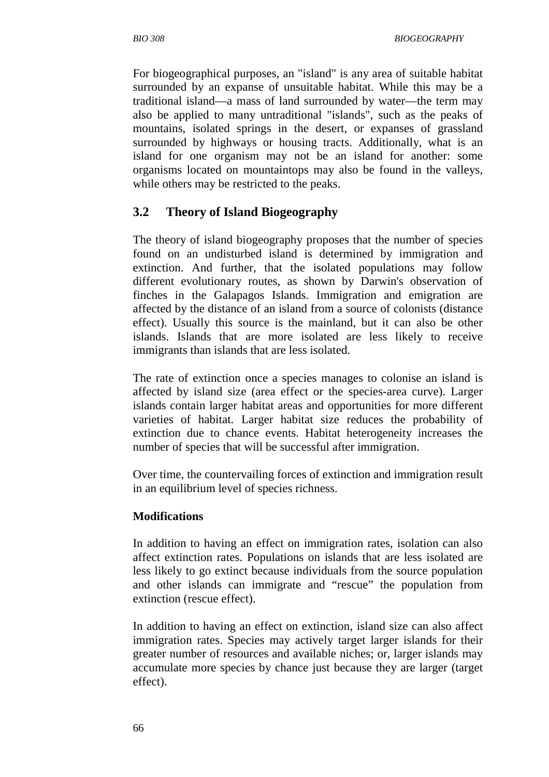For biogeographical purposes, an "island" is any area of suitable habitat surrounded by an expanse of unsuitable habitat. While this may be a traditional island—a mass of land surrounded by water—the term may also be applied to many untraditional "islands", such as the peaks of mountains, isolated springs in the desert, or expanses of grassland surrounded by highways or housing tracts. Additionally, what is an island for one organism may not be an island for another: some organisms located on mountaintops may also be found in the valleys, while others may be restricted to the peaks.

#### **3.2 Theory of Island Biogeography**

The theory of island biogeography proposes that the number of species found on an undisturbed island is determined by immigration and extinction. And further, that the isolated populations may follow different evolutionary routes, as shown by Darwin's observation of finches in the Galapagos Islands. Immigration and emigration are affected by the distance of an island from a source of colonists (distance effect). Usually this source is the mainland, but it can also be other islands. Islands that are more isolated are less likely to receive immigrants than islands that are less isolated.

The rate of extinction once a species manages to colonise an island is affected by island size (area effect or the species-area curve). Larger islands contain larger habitat areas and opportunities for more different varieties of habitat. Larger habitat size reduces the probability of extinction due to chance events. Habitat heterogeneity increases the number of species that will be successful after immigration.

Over time, the countervailing forces of extinction and immigration result in an equilibrium level of species richness.

#### **Modifications**

In addition to having an effect on immigration rates, isolation can also affect extinction rates. Populations on islands that are less isolated are less likely to go extinct because individuals from the source population and other islands can immigrate and "rescue" the population from extinction (rescue effect).

In addition to having an effect on extinction, island size can also affect immigration rates. Species may actively target larger islands for their greater number of resources and available niches; or, larger islands may accumulate more species by chance just because they are larger (target effect).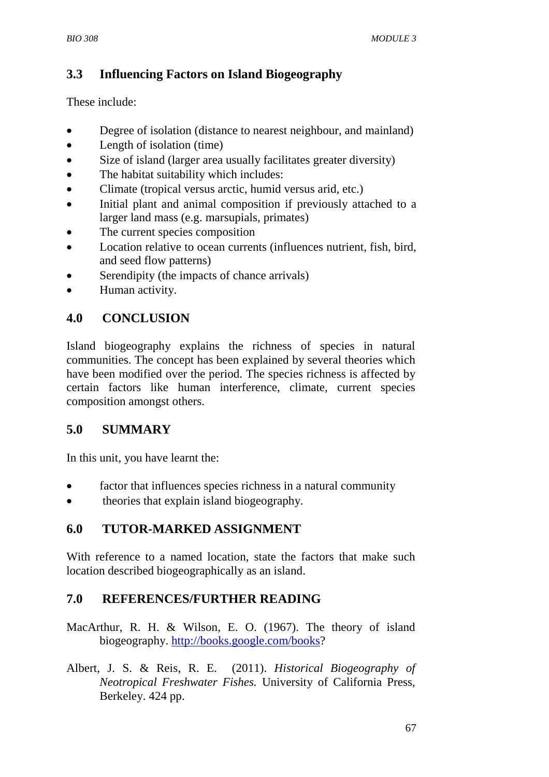# **3.3 Influencing Factors on Island Biogeography**

These include:

- Degree of isolation (distance to nearest neighbour, and mainland)
- Length of isolation (time)
- Size of island (larger area usually facilitates greater diversity)
- The habitat suitability which includes:
- Climate (tropical versus arctic, humid versus arid, etc.)
- Initial plant and animal composition if previously attached to a larger land mass (e.g. marsupials, primates)
- The current species composition
- Location relative to ocean currents (influences nutrient, fish, bird, and seed flow patterns)
- Serendipity (the impacts of chance arrivals)
- Human activity.

# **4.0 CONCLUSION**

Island biogeography explains the richness of species in natural communities. The concept has been explained by several theories which have been modified over the period. The species richness is affected by certain factors like human interference, climate, current species composition amongst others.

## **5.0 SUMMARY**

In this unit, you have learnt the:

- factor that influences species richness in a natural community
- theories that explain island biogeography.

# **6.0 TUTOR-MARKED ASSIGNMENT**

With reference to a named location, state the factors that make such location described biogeographically as an island.

# **7.0 REFERENCES/FURTHER READING**

- MacArthur, R. H. & Wilson, E. O. (1967). The theory of island biogeography. http://books.google.com/books?
- Albert, J. S. & Reis, R. E. (2011). *Historical Biogeography of Neotropical Freshwater Fishes.* University of California Press, Berkeley. 424 pp.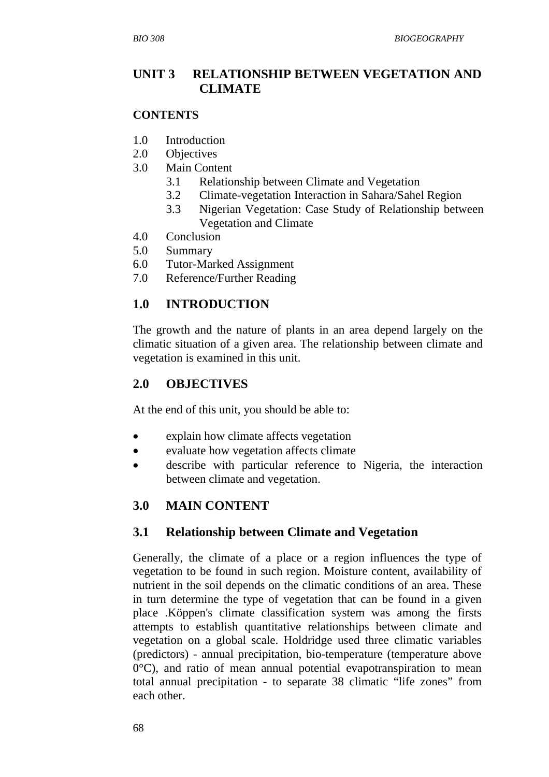#### **UNIT 3 RELATIONSHIP BETWEEN VEGETATION AND CLIMATE**

#### **CONTENTS**

- 1.0 Introduction
- 2.0 Objectives
- 3.0 Main Content
	- 3.1 Relationship between Climate and Vegetation
	- 3.2 Climate-vegetation Interaction in Sahara/Sahel Region
	- 3.3 Nigerian Vegetation: Case Study of Relationship between Vegetation and Climate
- 4.0 Conclusion
- 5.0 Summary
- 6.0 Tutor-Marked Assignment
- 7.0 Reference/Further Reading

#### **1.0 INTRODUCTION**

The growth and the nature of plants in an area depend largely on the climatic situation of a given area. The relationship between climate and vegetation is examined in this unit.

#### **2.0 OBJECTIVES**

At the end of this unit, you should be able to:

- explain how climate affects vegetation
- evaluate how vegetation affects climate
- describe with particular reference to Nigeria, the interaction between climate and vegetation.

#### **3.0 MAIN CONTENT**

#### **3.1 Relationship between Climate and Vegetation**

Generally, the climate of a place or a region influences the type of vegetation to be found in such region. Moisture content, availability of nutrient in the soil depends on the climatic conditions of an area. These in turn determine the type of vegetation that can be found in a given place .Köppen's climate classification system was among the firsts attempts to establish quantitative relationships between climate and vegetation on a global scale. Holdridge used three climatic variables (predictors) - annual precipitation, bio-temperature (temperature above  $0^{\circ}$ C), and ratio of mean annual potential evapotranspiration to mean total annual precipitation - to separate 38 climatic "life zones" from each other.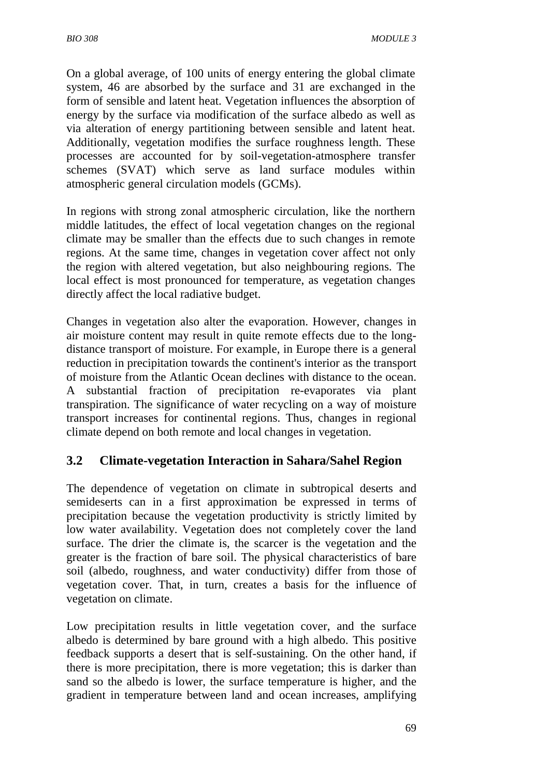On a global average, of 100 units of energy entering the global climate system, 46 are absorbed by the surface and 31 are exchanged in the form of sensible and latent heat. Vegetation influences the absorption of energy by the surface via modification of the surface albedo as well as via alteration of energy partitioning between sensible and latent heat. Additionally, vegetation modifies the surface roughness length. These processes are accounted for by soil-vegetation-atmosphere transfer schemes (SVAT) which serve as land surface modules within atmospheric general circulation models (GCMs).

In regions with strong zonal atmospheric circulation, like the northern middle latitudes, the effect of local vegetation changes on the regional climate may be smaller than the effects due to such changes in remote regions. At the same time, changes in vegetation cover affect not only the region with altered vegetation, but also neighbouring regions. The local effect is most pronounced for temperature, as vegetation changes directly affect the local radiative budget.

Changes in vegetation also alter the evaporation. However, changes in air moisture content may result in quite remote effects due to the longdistance transport of moisture. For example, in Europe there is a general reduction in precipitation towards the continent's interior as the transport of moisture from the Atlantic Ocean declines with distance to the ocean. A substantial fraction of precipitation re-evaporates via plant transpiration. The significance of water recycling on a way of moisture transport increases for continental regions. Thus, changes in regional climate depend on both remote and local changes in vegetation.

#### **3.2 Climate-vegetation Interaction in Sahara/Sahel Region**

The dependence of vegetation on climate in subtropical deserts and semideserts can in a first approximation be expressed in terms of precipitation because the vegetation productivity is strictly limited by low water availability. Vegetation does not completely cover the land surface. The drier the climate is, the scarcer is the vegetation and the greater is the fraction of bare soil. The physical characteristics of bare soil (albedo, roughness, and water conductivity) differ from those of vegetation cover. That, in turn, creates a basis for the influence of vegetation on climate.

Low precipitation results in little vegetation cover, and the surface albedo is determined by bare ground with a high albedo. This positive feedback supports a desert that is self-sustaining. On the other hand, if there is more precipitation, there is more vegetation; this is darker than sand so the albedo is lower, the surface temperature is higher, and the gradient in temperature between land and ocean increases, amplifying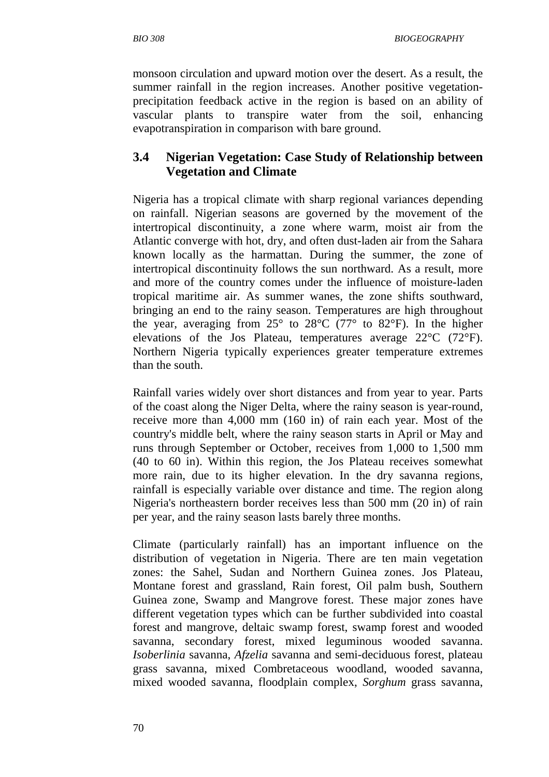*BIO 308 BIOGEOGRAPHY* 

monsoon circulation and upward motion over the desert. As a result, the summer rainfall in the region increases. Another positive vegetationprecipitation feedback active in the region is based on an ability of vascular plants to transpire water from the soil, enhancing evapotranspiration in comparison with bare ground.

### **3.4 Nigerian Vegetation: Case Study of Relationship between Vegetation and Climate**

Nigeria has a tropical climate with sharp regional variances depending on rainfall. Nigerian seasons are governed by the movement of the intertropical discontinuity, a zone where warm, moist air from the Atlantic converge with hot, dry, and often dust-laden air from the Sahara known locally as the harmattan. During the summer, the zone of intertropical discontinuity follows the sun northward. As a result, more and more of the country comes under the influence of moisture-laden tropical maritime air. As summer wanes, the zone shifts southward, bringing an end to the rainy season. Temperatures are high throughout the year, averaging from  $25^{\circ}$  to  $28^{\circ}$  C (77° to 82°F). In the higher elevations of the Jos Plateau, temperatures average 22°C (72°F). Northern Nigeria typically experiences greater temperature extremes than the south.

Rainfall varies widely over short distances and from year to year. Parts of the coast along the Niger Delta, where the rainy season is year-round, receive more than 4,000 mm (160 in) of rain each year. Most of the country's middle belt, where the rainy season starts in April or May and runs through September or October, receives from 1,000 to 1,500 mm (40 to 60 in). Within this region, the Jos Plateau receives somewhat more rain, due to its higher elevation. In the dry savanna regions, rainfall is especially variable over distance and time. The region along Nigeria's northeastern border receives less than 500 mm (20 in) of rain per year, and the rainy season lasts barely three months.

Climate (particularly rainfall) has an important influence on the distribution of vegetation in Nigeria. There are ten main vegetation zones: the Sahel, Sudan and Northern Guinea zones. Jos Plateau, Montane forest and grassland, Rain forest, Oil palm bush, Southern Guinea zone, Swamp and Mangrove forest. These major zones have different vegetation types which can be further subdivided into coastal forest and mangrove, deltaic swamp forest, swamp forest and wooded savanna, secondary forest, mixed leguminous wooded savanna. *Isoberlinia* savanna, *Afzelia* savanna and semi-deciduous forest, plateau grass savanna, mixed Combretaceous woodland, wooded savanna, mixed wooded savanna, floodplain complex, *Sorghum* grass savanna,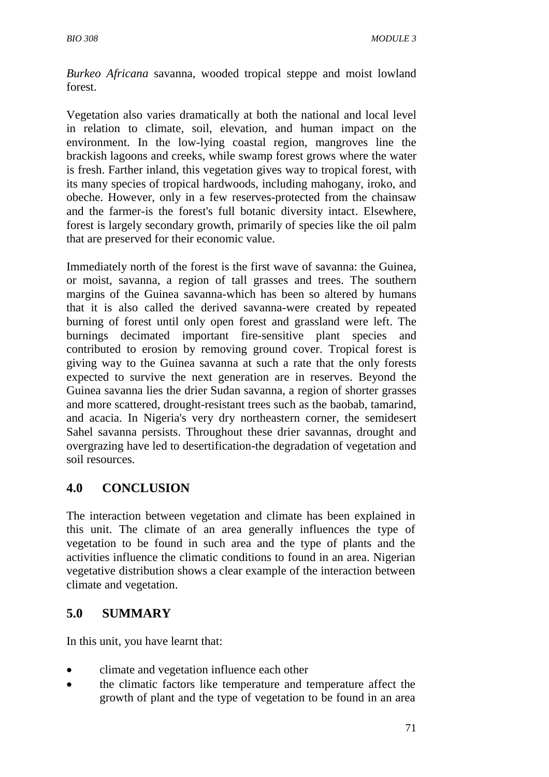*Burkeo Africana* savanna, wooded tropical steppe and moist lowland forest.

Vegetation also varies dramatically at both the national and local level in relation to climate, soil, elevation, and human impact on the environment. In the low-lying coastal region, mangroves line the brackish lagoons and creeks, while swamp forest grows where the water is fresh. Farther inland, this vegetation gives way to tropical forest, with its many species of tropical hardwoods, including mahogany, iroko, and obeche. However, only in a few reserves-protected from the chainsaw and the farmer-is the forest's full botanic diversity intact. Elsewhere, forest is largely secondary growth, primarily of species like the oil palm that are preserved for their economic value.

Immediately north of the forest is the first wave of savanna: the Guinea, or moist, savanna, a region of tall grasses and trees. The southern margins of the Guinea savanna-which has been so altered by humans that it is also called the derived savanna-were created by repeated burning of forest until only open forest and grassland were left. The burnings decimated important fire-sensitive plant species and contributed to erosion by removing ground cover. Tropical forest is giving way to the Guinea savanna at such a rate that the only forests expected to survive the next generation are in reserves. Beyond the Guinea savanna lies the drier Sudan savanna, a region of shorter grasses and more scattered, drought-resistant trees such as the baobab, tamarind, and acacia. In Nigeria's very dry northeastern corner, the semidesert Sahel savanna persists. Throughout these drier savannas, drought and overgrazing have led to desertification-the degradation of vegetation and soil resources.

## **4.0 CONCLUSION**

The interaction between vegetation and climate has been explained in this unit. The climate of an area generally influences the type of vegetation to be found in such area and the type of plants and the activities influence the climatic conditions to found in an area. Nigerian vegetative distribution shows a clear example of the interaction between climate and vegetation.

## **5.0 SUMMARY**

In this unit, you have learnt that:

- climate and vegetation influence each other
- the climatic factors like temperature and temperature affect the growth of plant and the type of vegetation to be found in an area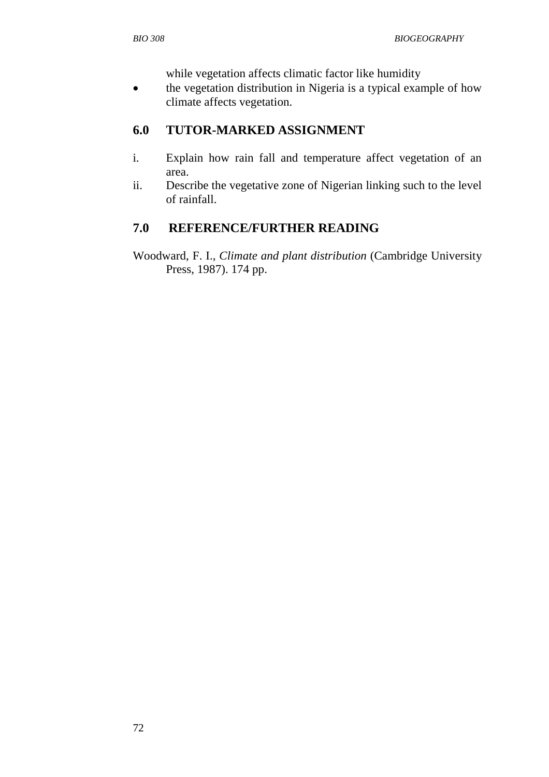while vegetation affects climatic factor like humidity

• the vegetation distribution in Nigeria is a typical example of how climate affects vegetation.

## **6.0 TUTOR-MARKED ASSIGNMENT**

- i. Explain how rain fall and temperature affect vegetation of an area.
- ii. Describe the vegetative zone of Nigerian linking such to the level of rainfall.

#### **7.0 REFERENCE/FURTHER READING**

Woodward, F. I., *Climate and plant distribution* (Cambridge University Press, 1987). 174 pp.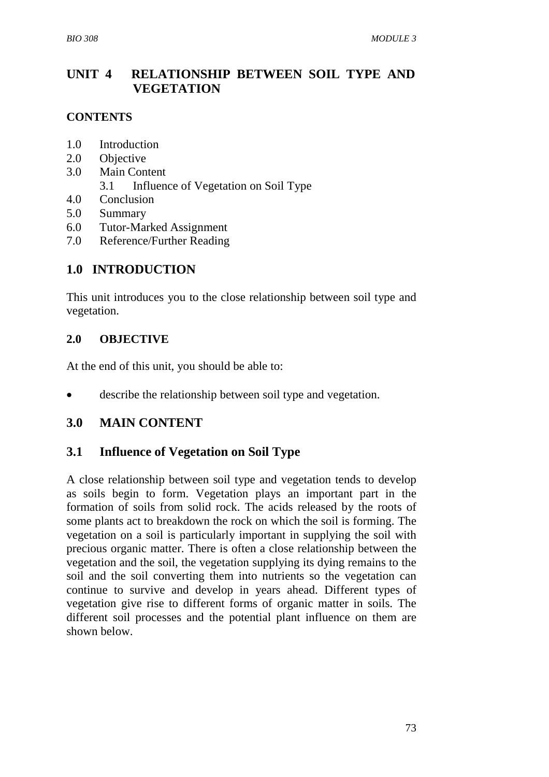## **UNIT 4 RELATIONSHIP BETWEEN SOIL TYPE AND VEGETATION**

#### **CONTENTS**

- 1.0 Introduction
- 2.0 Objective
- 3.0 Main Content
	- 3.1 Influence of Vegetation on Soil Type
- 4.0 Conclusion
- 5.0 Summary
- 6.0 Tutor-Marked Assignment
- 7.0 Reference/Further Reading

### **1.0 INTRODUCTION**

This unit introduces you to the close relationship between soil type and vegetation.

#### **2.0 OBJECTIVE**

At the end of this unit, you should be able to:

describe the relationship between soil type and vegetation.

#### **3.0 MAIN CONTENT**

#### **3.1 Influence of Vegetation on Soil Type**

A close relationship between soil type and vegetation tends to develop as soils begin to form. Vegetation plays an important part in the formation of soils from solid rock. The acids released by the roots of some plants act to breakdown the rock on which the soil is forming. The vegetation on a soil is particularly important in supplying the soil with precious organic matter. There is often a close relationship between the vegetation and the soil, the vegetation supplying its dying remains to the soil and the soil converting them into nutrients so the vegetation can continue to survive and develop in years ahead. Different types of vegetation give rise to different forms of organic matter in soils. The different soil processes and the potential plant influence on them are shown below.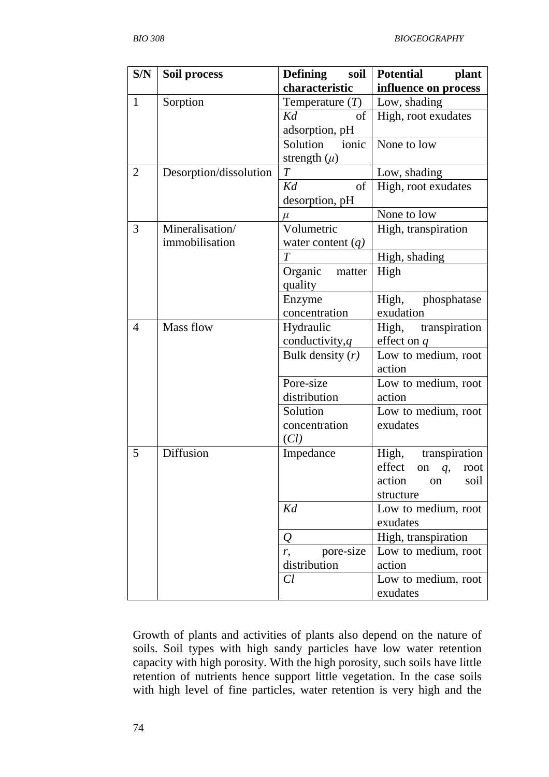| S/N<br><b>Defining</b><br>soil<br>Soil process                        | Potential plant  |
|-----------------------------------------------------------------------|------------------|
| characteristic<br>influence on process                                |                  |
| Sorption<br>Low, shading<br>$\mathbf{1}$<br>Temperature $(T)$         |                  |
| High, root exudates<br>Kd<br>of                                       |                  |
| adsorption, pH                                                        |                  |
| ionic<br>Solution<br>None to low                                      |                  |
| strength $(\mu)$                                                      |                  |
| Desorption/dissolution<br>$\overline{2}$<br>Low, shading<br>$\, T \,$ |                  |
| Kd<br>of<br>High, root exudates                                       |                  |
| desorption, pH                                                        |                  |
| None to low<br>$\mu$                                                  |                  |
| Volumetric<br>High, transpiration<br>3<br>Mineralisation/             |                  |
| immobilisation<br>water content $(q)$                                 |                  |
| $\overline{T}$<br>High, shading                                       |                  |
| Organic<br>High<br>matter                                             |                  |
| quality                                                               |                  |
| Enzyme<br>High, phosphatase                                           |                  |
| concentration<br>exudation                                            |                  |
| Mass flow<br>$\overline{4}$<br>Hydraulic<br>High,                     | transpiration    |
| conductivity, $q$<br>effect on $q$                                    |                  |
| Bulk density $(r)$<br>Low to medium, root                             |                  |
| action                                                                |                  |
| Pore-size<br>Low to medium, root                                      |                  |
| distribution<br>action                                                |                  |
| Solution<br>Low to medium, root                                       |                  |
| exudates<br>concentration                                             |                  |
| (Cl)                                                                  |                  |
| Diffusion<br>High, transpiration<br>5<br>Impedance                    |                  |
| effect                                                                | on $q$ ,<br>root |
| action<br>on                                                          | soil             |
| structure<br>Kd                                                       |                  |
| Low to medium, root<br>exudates                                       |                  |
| High, transpiration<br>Q                                              |                  |
| Low to medium, root<br>pore-size                                      |                  |
| r,<br>distribution<br>action                                          |                  |
| Cl<br>Low to medium, root                                             |                  |
| exudates                                                              |                  |

Growth of plants and activities of plants also depend on the nature of soils. Soil types with high sandy particles have low water retention capacity with high porosity. With the high porosity, such soils have little retention of nutrients hence support little vegetation. In the case soils with high level of fine particles, water retention is very high and the